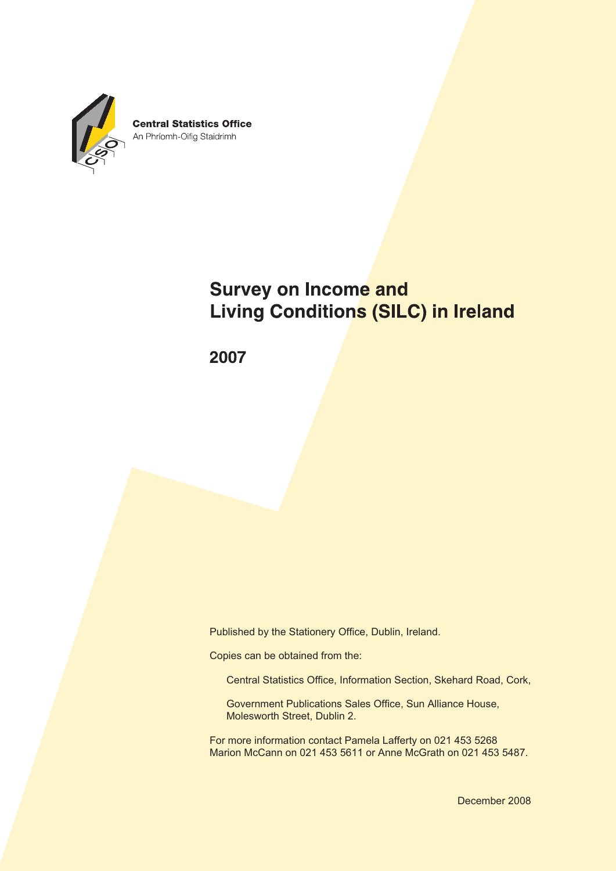

# **Survey on Income and Living Conditions (SILC) in Ireland**

2007

Published by the Stationery Office, Dublin, Ireland.

Copies can be obtained from the:

Central Statistics Office, Information Section, Skehard Road, Cork,

Government Publications Sales Office, Sun Alliance House, Molesworth Street, Dublin 2.

For more information contact Pamela Lafferty on 021 453 5268 Marion McCann on 021 453 5611 or Anne McGrath on 021 453 5487.

December 2008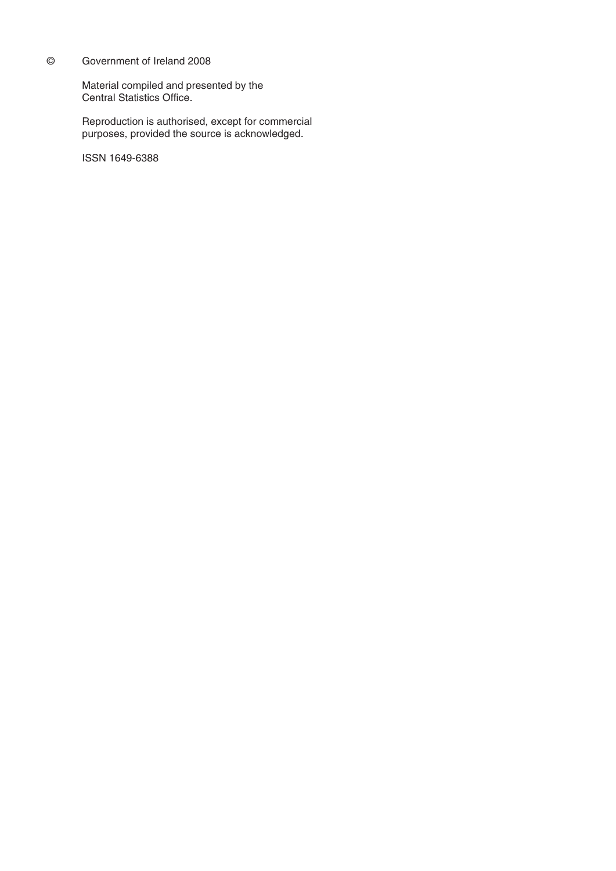#### © Government of Ireland 2008

Material compiled and presented by the Central Statistics Office.

Reproduction is authorised, except for commercial purposes, provided the source is acknowledged.

ISSN 1649-6388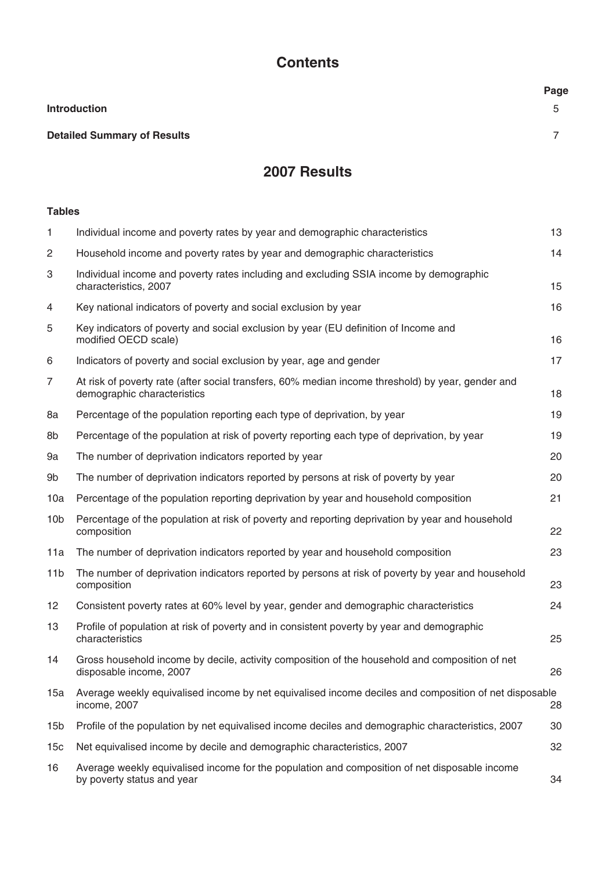# **Contents**

|                                    | Page         |
|------------------------------------|--------------|
| <b>Introduction</b>                | $\mathbf{r}$ |
| <b>Detailed Summary of Results</b> |              |

# **2007 Results**

# **Tables**

| Individual income and poverty rates by year and demographic characteristics                                                      | 13  |
|----------------------------------------------------------------------------------------------------------------------------------|-----|
| Household income and poverty rates by year and demographic characteristics                                                       | 14  |
| Individual income and poverty rates including and excluding SSIA income by demographic<br>characteristics, 2007                  | 15  |
| Key national indicators of poverty and social exclusion by year                                                                  | 16  |
| Key indicators of poverty and social exclusion by year (EU definition of Income and<br>modified OECD scale)                      | 16  |
| Indicators of poverty and social exclusion by year, age and gender                                                               | 17  |
| At risk of poverty rate (after social transfers, 60% median income threshold) by year, gender and<br>demographic characteristics | 18  |
| Percentage of the population reporting each type of deprivation, by year                                                         | 19  |
| Percentage of the population at risk of poverty reporting each type of deprivation, by year                                      | 19  |
| The number of deprivation indicators reported by year                                                                            | 20  |
| The number of deprivation indicators reported by persons at risk of poverty by year                                              | 20  |
| Percentage of the population reporting deprivation by year and household composition                                             | 21  |
| Percentage of the population at risk of poverty and reporting deprivation by year and household<br>composition                   | 22  |
| The number of deprivation indicators reported by year and household composition                                                  | 23  |
| The number of deprivation indicators reported by persons at risk of poverty by year and household<br>composition                 | 23  |
| Consistent poverty rates at 60% level by year, gender and demographic characteristics                                            | 24  |
| Profile of population at risk of poverty and in consistent poverty by year and demographic<br>characteristics                    | 25  |
| Gross household income by decile, activity composition of the household and composition of net<br>disposable income, 2007        | 26  |
| Average weekly equivalised income by net equivalised income deciles and composition of net disposable<br>income, 2007            | 28  |
| Profile of the population by net equivalised income deciles and demographic characteristics, 2007                                | 30  |
| Net equivalised income by decile and demographic characteristics, 2007                                                           | 32  |
| Average weekly equivalised income for the population and composition of net disposable income<br>by poverty status and year      | 34  |
|                                                                                                                                  | 15a |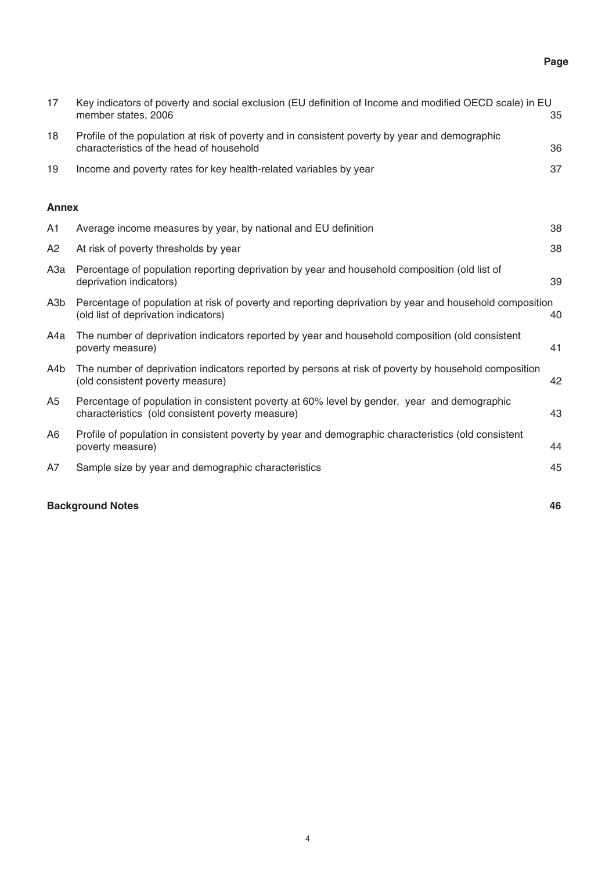# **Page**

| 17               | Key indicators of poverty and social exclusion (EU definition of Income and modified OECD scale) in EU<br>member states, 2006                   | 35 |
|------------------|-------------------------------------------------------------------------------------------------------------------------------------------------|----|
| 18               | Profile of the population at risk of poverty and in consistent poverty by year and demographic<br>characteristics of the head of household      | 36 |
| 19               | Income and poverty rates for key health-related variables by year                                                                               | 37 |
| <b>Annex</b>     |                                                                                                                                                 |    |
| A1               | Average income measures by year, by national and EU definition                                                                                  | 38 |
| A <sub>2</sub>   | At risk of poverty thresholds by year                                                                                                           | 38 |
| АЗа              | Percentage of population reporting deprivation by year and household composition (old list of<br>deprivation indicators)                        | 39 |
| A <sub>3</sub> b | Percentage of population at risk of poverty and reporting deprivation by year and household composition<br>(old list of deprivation indicators) | 40 |
| A4a              | The number of deprivation indicators reported by year and household composition (old consistent<br>poverty measure)                             | 41 |
| A4b              | The number of deprivation indicators reported by persons at risk of poverty by household composition<br>(old consistent poverty measure)        | 42 |
| A <sub>5</sub>   | Percentage of population in consistent poverty at 60% level by gender, year and demographic<br>characteristics (old consistent poverty measure) | 43 |
| A <sub>6</sub>   | Profile of population in consistent poverty by year and demographic characteristics (old consistent<br>poverty measure)                         | 44 |
| A7               | Sample size by year and demographic characteristics                                                                                             | 45 |
|                  | <b>Background Notes</b>                                                                                                                         | 46 |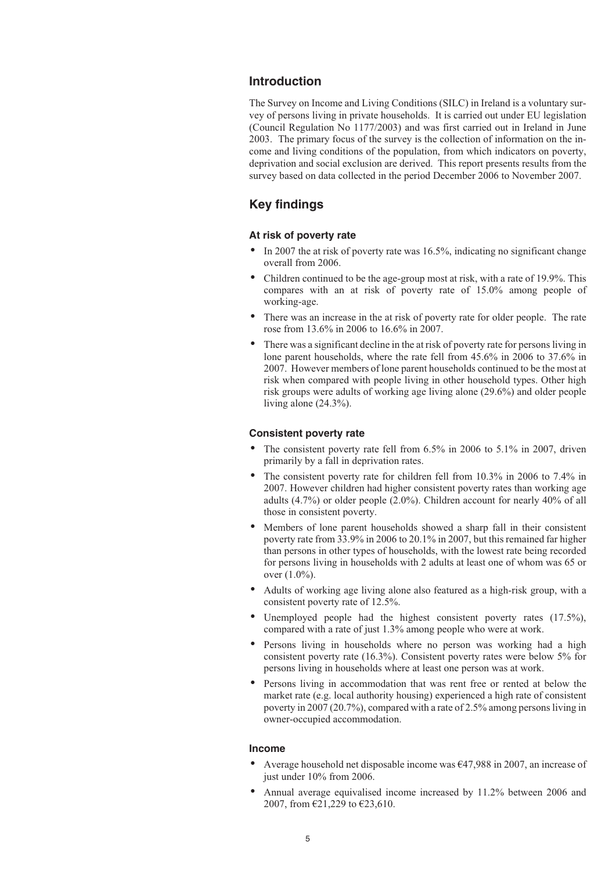### **Introduction**

The Survey on Income and Living Conditions (SILC) in Ireland is a voluntary survey of persons living in private households. It is carried out under EU legislation (Council Regulation No 1177/2003) and was first carried out in Ireland in June 2003. The primary focus of the survey is the collection of information on the income and living conditions of the population, from which indicators on poverty, deprivation and social exclusion are derived. This report presents results from the survey based on data collected in the period December 2006 to November 2007.

# **Key findings**

#### **At risk of poverty rate**

- In 2007 the at risk of poverty rate was 16.5%, indicating no significant change overall from 2006.
- - Children continued to be the age-group most at risk, with a rate of 19.9%. This compares with an at risk of poverty rate of 15.0% among people of working-age.
- - There was an increase in the at risk of poverty rate for older people. The rate rose from 13.6% in 2006 to 16.6% in 2007.
- - There was a significant decline in the at risk of poverty rate for persons living in lone parent households, where the rate fell from 45.6% in 2006 to 37.6% in 2007. However members of lone parent households continued to be the most at risk when compared with people living in other household types. Other high risk groups were adults of working age living alone (29.6%) and older people living alone (24.3%).

#### **Consistent poverty rate**

- $\bullet$  The consistent poverty rate fell from 6.5% in 2006 to 5.1% in 2007, driven primarily by a fall in deprivation rates.
- - The consistent poverty rate for children fell from 10.3% in 2006 to 7.4% in 2007. However children had higher consistent poverty rates than working age adults (4.7%) or older people (2.0%). Children account for nearly 40% of all those in consistent poverty.
- - Members of lone parent households showed a sharp fall in their consistent poverty rate from 33.9% in 2006 to 20.1% in 2007, but this remained far higher than persons in other types of households, with the lowest rate being recorded for persons living in households with 2 adults at least one of whom was 65 or over (1.0%).
- - Adults of working age living alone also featured as a high-risk group, with a consistent poverty rate of 12.5%.
- -Unemployed people had the highest consistent poverty rates  $(17.5\%)$ , compared with a rate of just 1.3% among people who were at work.
- - Persons living in households where no person was working had a high consistent poverty rate (16.3%). Consistent poverty rates were below 5% for persons living in households where at least one person was at work.
- - Persons living in accommodation that was rent free or rented at below the market rate (e.g. local authority housing) experienced a high rate of consistent poverty in 2007 (20.7%), compared with a rate of 2.5% among persons living in owner-occupied accommodation.

#### **Income**

- - Average household net disposable income was €47,988 in 2007, an increase of just under 10% from 2006.
- $\bullet$  Annual average equivalised income increased by 11.2% between 2006 and 2007, from €21,229 to €23,610.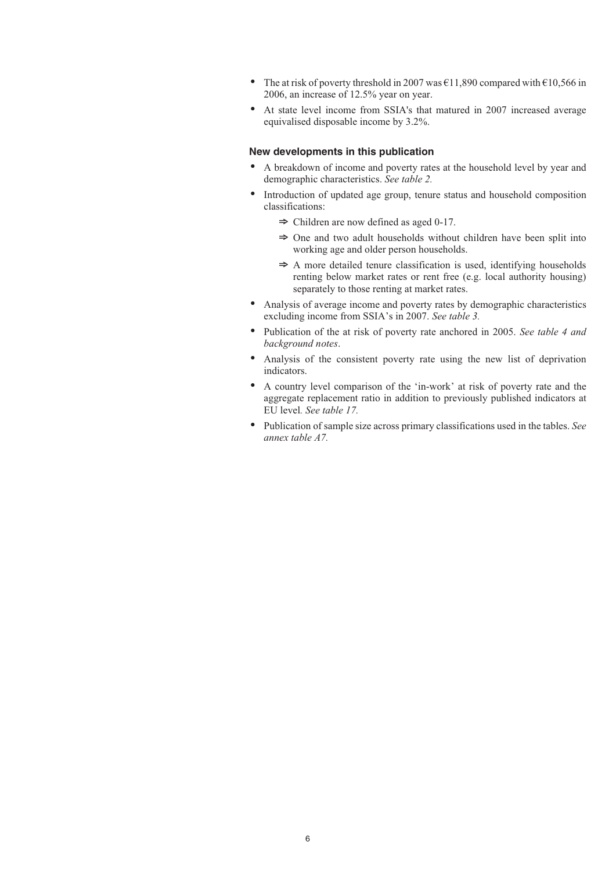- -The at risk of poverty threshold in 2007 was  $\epsilon$ 11,890 compared with  $\epsilon$ 10,566 in 2006, an increase of 12.5% year on year.
- At state level income from SSIA's that matured in 2007 increased average equivalised disposable income by 3.2%.

#### **New developments in this publication**

- A breakdown of income and poverty rates at the household level by year and demographic characteristics. *See table 2.*
- - Introduction of updated age group, tenure status and household composition classifications:
	- $\Rightarrow$  Children are now defined as aged 0-17.
	- $\Rightarrow$  One and two adult households without children have been split into working age and older person households.
	- $\Rightarrow$  A more detailed tenure classification is used, identifying households renting below market rates or rent free (e.g. local authority housing) separately to those renting at market rates.
- $\bullet$  Analysis of average income and poverty rates by demographic characteristics excluding income from SSIA's in 2007. *See table 3.*
- Publication of the at risk of poverty rate anchored in 2005. *See table 4 and background notes*.
- - Analysis of the consistent poverty rate using the new list of deprivation indicators.
- A country level comparison of the 'in-work' at risk of poverty rate and the aggregate replacement ratio in addition to previously published indicators at EU level*. See table 17.*
- Publication of sample size across primary classifications used in the tables. *See annex table A7.*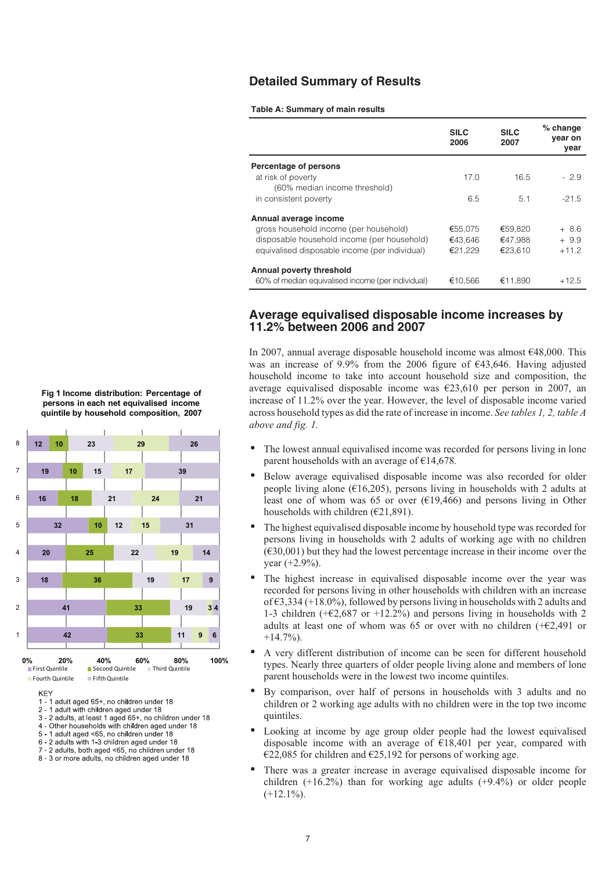### **Detailed Summary of Results**

#### **Table A: Summary of main results**

|                                                   | <b>SILC</b><br>2006 | <b>SILC</b><br>2007 | $%$ change<br>year on<br>year |
|---------------------------------------------------|---------------------|---------------------|-------------------------------|
| Percentage of persons                             |                     |                     |                               |
| at risk of poverty                                | 17.0                | 16.5                | $-2.9$                        |
| (60% median income threshold)                     |                     |                     |                               |
| in consistent poverty                             | 6.5                 | 5.1                 | $-21.5$                       |
| Annual average income                             |                     |                     |                               |
| gross household income (per household)            | €55,075             | €59.820             | $+8.6$                        |
| disposable household income (per household)       | €43.646             | €47.988             | $+9.9$                        |
| equivalised disposable income (per individual)    | €21.229             | €23.610             | $+11.2$                       |
| Annual poverty threshold                          |                     |                     |                               |
| 60% of median equivalised income (per individual) | €10.566             | €11.890             | $+12.5$                       |

### **Average equivalised disposable income increases by 11.2% between 2006 and 2007**

In 2007, annual average disposable household income was almost €48,000. This was an increase of 9.9% from the 2006 figure of €43,646. Having adjusted household income to take into account household size and composition, the average equivalised disposable income was €23,610 per person in 2007, an increase of 11.2% over the year. However, the level of disposable income varied across household types as did the rate of increase in income. *See tables 1, 2, table A above and fig. 1.*

- $\bullet$  The lowest annual equivalised income was recorded for persons living in lone parent households with an average of €14,678.
- - Below average equivalised disposable income was also recorded for older people living alone ( $\epsilon$ 16,205), persons living in households with 2 adults at least one of whom was 65 or over  $(619,466)$  and persons living in Other households with children ( $E$ 21,891).
- - The highest equivalised disposable income by household type was recorded for persons living in households with 2 adults of working age with no children  $(\text{\textsterling}30,001)$  but they had the lowest percentage increase in their income over the year (+2.9%).
- - The highest increase in equivalised disposable income over the year was recorded for persons living in other households with children with an increase of €3,334 (+18.0%), followed by persons living in households with 2 adults and 1-3 children ( $+62,687$  or  $+12.2%$ ) and persons living in households with 2 adults at least one of whom was 65 or over with no children  $(+62,491)$  or  $+14.7\%$ ).
- - A very different distribution of income can be seen for different household types. Nearly three quarters of older people living alone and members of lone parent households were in the lowest two income quintiles.
- - By comparison, over half of persons in households with 3 adults and no children or 2 working age adults with no children were in the top two income quintiles.
- - Looking at income by age group older people had the lowest equivalised disposable income with an average of  $E18,401$  per year, compared with €22,085 for children and €25,192 for persons of working age.
- - There was a greater increase in average equivalised disposable income for children  $(+16.2%)$  than for working age adults  $(+9.4%)$  or older people  $(+12.1\%)$ .

**Fig 1 Income distribution: Percentage of persons in each net equivalised income quintile by household composition, 2007**



**KEY** 



- 2 1 adult with children aged under 18
- 3 2 adults, at least 1 aged 65+, no children under 18 4 - Other households with children aged under 18
- 5 1 adult aged <65, no children under 18
- 6 2 adults with 1-3 children aged under 18
- 7 2 adults, both aged <65, no children under 18
- 8 3 or more adults, no children aged under 18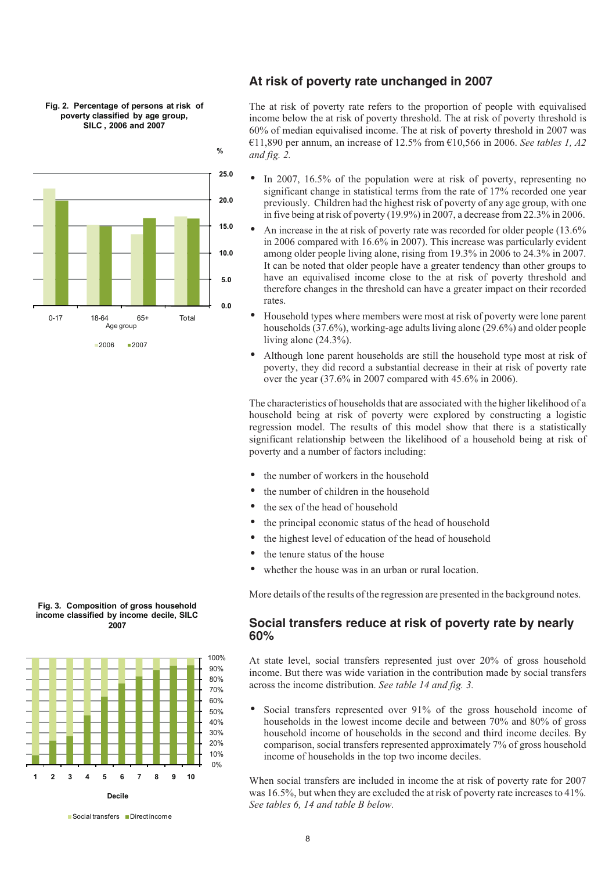

**Fig. 2. Percentage of persons at risk of poverty classified by age group, SILC , 2006 and 2007**

**%**

### **At risk of poverty rate unchanged in 2007**

The at risk of poverty rate refers to the proportion of people with equivalised income below the at risk of poverty threshold. The at risk of poverty threshold is 60% of median equivalised income. The at risk of poverty threshold in 2007 was €11,890 per annum, an increase of 12.5% from €10,566 in 2006. *See tables 1, A2 and fig. 2.*

- In 2007, 16.5% of the population were at risk of poverty, representing no significant change in statistical terms from the rate of 17% recorded one year previously. Children had the highest risk of poverty of any age group, with one in five being at risk of poverty (19.9%) in 2007, a decrease from 22.3% in 2006.
- - An increase in the at risk of poverty rate was recorded for older people (13.6% in 2006 compared with 16.6% in 2007). This increase was particularly evident among older people living alone, rising from 19.3% in 2006 to 24.3% in 2007. It can be noted that older people have a greater tendency than other groups to have an equivalised income close to the at risk of poverty threshold and therefore changes in the threshold can have a greater impact on their recorded rates.
	- - Household types where members were most at risk of poverty were lone parent households (37.6%), working-age adults living alone (29.6%) and older people living alone (24.3%).
	- Although lone parent households are still the household type most at risk of poverty, they did record a substantial decrease in their at risk of poverty rate over the year (37.6% in 2007 compared with 45.6% in 2006).

The characteristics of households that are associated with the higher likelihood of a household being at risk of poverty were explored by constructing a logistic regression model. The results of this model show that there is a statistically significant relationship between the likelihood of a household being at risk of poverty and a number of factors including:

- the number of workers in the household
- the number of children in the household
- the sex of the head of household
- the principal economic status of the head of household
- the highest level of education of the head of household
- the tenure status of the house
- whether the house was in an urban or rural location.

More details of the results of the regression are presented in the background notes.

### **Social transfers reduce at risk of poverty rate by nearly 60%**

At state level, social transfers represented just over 20% of gross household income. But there was wide variation in the contribution made by social transfers across the income distribution. *See table 14 and fig. 3.*

- Social transfers represented over 91% of the gross household income of households in the lowest income decile and between 70% and 80% of gross household income of households in the second and third income deciles. By comparison, social transfers represented approximately 7% of gross household income of households in the top two income deciles.

When social transfers are included in income the at risk of poverty rate for 2007 was 16.5%, but when they are excluded the at risk of poverty rate increases to 41%. *See tables 6, 14 and table B below.*

**Fig. 3***.* **Composition of gross household income classified by income decile, SILC 2007**



<sup>■</sup> Social transfers ■ Directincome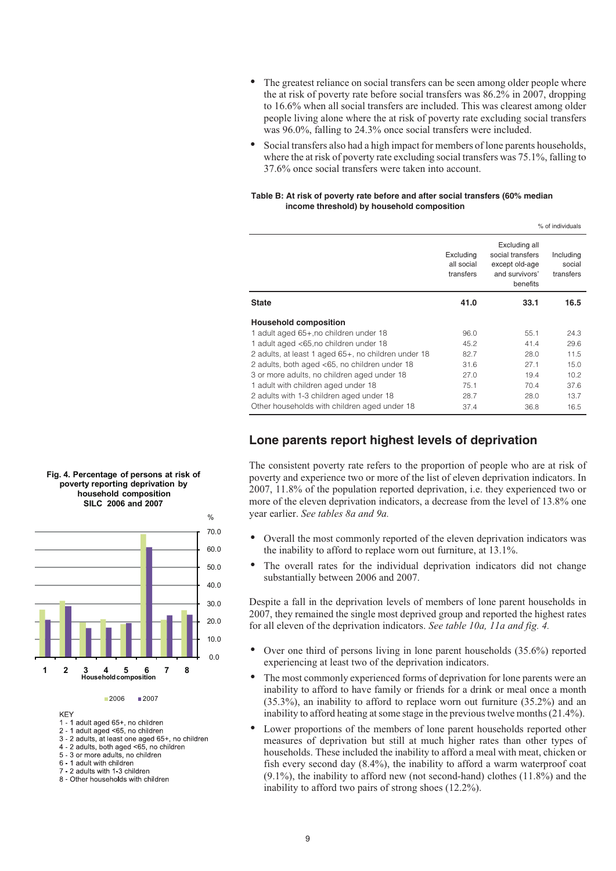- - The greatest reliance on social transfers can be seen among older people where the at risk of poverty rate before social transfers was 86.2% in 2007, dropping to 16.6% when all social transfers are included. This was clearest among older people living alone where the at risk of poverty rate excluding social transfers was 96.0%, falling to 24.3% once social transfers were included.
- $\bullet$  Social transfers also had a high impact for members of lone parents households, where the at risk of poverty rate excluding social transfers was 75.1%, falling to 37.6% once social transfers were taken into account.

#### **Table B: At risk of poverty rate before and after social transfers (60% median income threshold) by household composition**

|                                                     |                                      |                                                                                   | % of individuals                 |
|-----------------------------------------------------|--------------------------------------|-----------------------------------------------------------------------------------|----------------------------------|
|                                                     | Excluding<br>all social<br>transfers | Excluding all<br>social transfers<br>except old-age<br>and survivors'<br>benefits | Including<br>social<br>transfers |
| <b>State</b>                                        | 41.0                                 | 33.1                                                                              | 16.5                             |
| <b>Household composition</b>                        |                                      |                                                                                   |                                  |
| 1 adult aged 65+, no children under 18              | 96.0                                 | 55.1                                                                              | 24.3                             |
| 1 adult aged <65,no children under 18               | 45.2                                 | 41.4                                                                              | 29.6                             |
| 2 adults, at least 1 aged 65+, no children under 18 | 82.7                                 | 28.0                                                                              | 11.5                             |
| 2 adults, both aged <65, no children under 18       | 31.6                                 | 27.1                                                                              | 15.0                             |
| 3 or more adults, no children aged under 18         | 27.0                                 | 19.4                                                                              | 10.2                             |
| 1 adult with children aged under 18                 | 75.1                                 | 70.4                                                                              | 37.6                             |
| 2 adults with 1-3 children aged under 18            | 28.7                                 | 28.0                                                                              | 13.7                             |
| Other households with children aged under 18        | 37.4                                 | 36.8                                                                              | 16.5                             |

# **Lone parents report highest levels of deprivation**

The consistent poverty rate refers to the proportion of people who are at risk of poverty and experience two or more of the list of eleven deprivation indicators. In 2007, 11.8% of the population reported deprivation, i.e. they experienced two or more of the eleven deprivation indicators, a decrease from the level of 13.8% one year earlier. *See tables 8a and 9a.*

- - Overall the most commonly reported of the eleven deprivation indicators was the inability to afford to replace worn out furniture, at 13.1%.
- $\bullet$  The overall rates for the individual deprivation indicators did not change substantially between 2006 and 2007.

Despite a fall in the deprivation levels of members of lone parent households in 2007, they remained the single most deprived group and reported the highest rates for all eleven of the deprivation indicators. *See table 10a, 11a and fig. 4.*

- - Over one third of persons living in lone parent households (35.6%) reported experiencing at least two of the deprivation indicators.
- $\bullet$  The most commonly experienced forms of deprivation for lone parents were an inability to afford to have family or friends for a drink or meal once a month (35.3%), an inability to afford to replace worn out furniture (35.2%) and an inability to afford heating at some stage in the previous twelve months (21.4%).
- - Lower proportions of the members of lone parent households reported other measures of deprivation but still at much higher rates than other types of households. These included the inability to afford a meal with meat, chicken or fish every second day (8.4%), the inability to afford a warm waterproof coat (9.1%), the inability to afford new (not second-hand) clothes (11.8%) and the inability to afford two pairs of strong shoes (12.2%).

#### **Fig. 4. Percentage of persons at risk of poverty reporting deprivation by household composition SILC 2006 and 2007**



#### 2006 2007

**KFY** 

- 1 1 adult aged 65+, no children
- 2 1 adult aged <65, no children
- 3 2 adults, at least one aged 65+, no children<br>4 2 adults, at least one aged 65+, no children<br>4 2 adults, both aged <65, no children
- 5 3 or more adults, no children
- 6 1 adult with children
- 7 2 adults with 1-3 children
- 8 Other households with children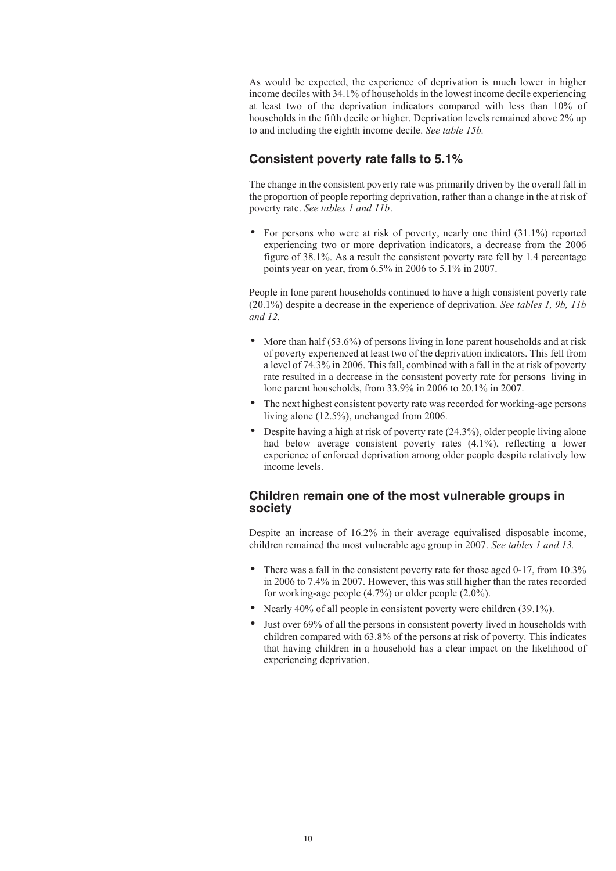As would be expected, the experience of deprivation is much lower in higher income deciles with 34.1% of households in the lowest income decile experiencing at least two of the deprivation indicators compared with less than 10% of households in the fifth decile or higher. Deprivation levels remained above 2% up to and including the eighth income decile. *See table 15b.*

### **Consistent poverty rate falls to 5.1%**

The change in the consistent poverty rate was primarily driven by the overall fall in the proportion of people reporting deprivation, rather than a change in the at risk of poverty rate. *See tables 1 and 11b*.

- For persons who were at risk of poverty, nearly one third (31.1%) reported experiencing two or more deprivation indicators, a decrease from the 2006 figure of 38.1%. As a result the consistent poverty rate fell by 1.4 percentage points year on year, from 6.5% in 2006 to 5.1% in 2007.

People in lone parent households continued to have a high consistent poverty rate (20.1%) despite a decrease in the experience of deprivation. *See tables 1, 9b, 11b and 12.*

- More than half (53.6%) of persons living in lone parent households and at risk of poverty experienced at least two of the deprivation indicators. This fell from a level of 74.3% in 2006. This fall, combined with a fall in the at risk of poverty rate resulted in a decrease in the consistent poverty rate for persons living in lone parent households, from 33.9% in 2006 to 20.1% in 2007.
- - The next highest consistent poverty rate was recorded for working-age persons living alone (12.5%), unchanged from 2006.
- Despite having a high at risk of poverty rate (24.3%), older people living alone had below average consistent poverty rates (4.1%), reflecting a lower experience of enforced deprivation among older people despite relatively low income levels.

### **Children remain one of the most vulnerable groups in society**

Despite an increase of 16.2% in their average equivalised disposable income, children remained the most vulnerable age group in 2007. *See tables 1 and 13.*

- - There was a fall in the consistent poverty rate for those aged 0-17, from 10.3% in 2006 to 7.4% in 2007. However, this was still higher than the rates recorded for working-age people (4.7%) or older people (2.0%).
- Nearly 40% of all people in consistent poverty were children (39.1%).
- - Just over 69% of all the persons in consistent poverty lived in households with children compared with 63.8% of the persons at risk of poverty. This indicates that having children in a household has a clear impact on the likelihood of experiencing deprivation.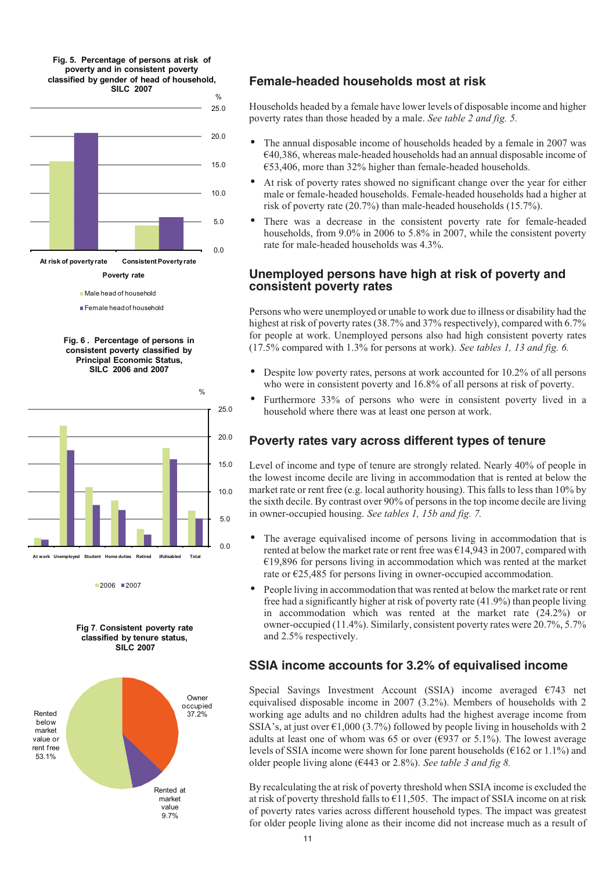**Fig. 5. Percentage of persons at risk of poverty and in consistent poverty classified by gender of head of household,**





Female headof household





2006 2007

**Fig 7***.* **Consistent poverty rate classified by tenure status, SILC 2007**



# **Female-headed households most at risk**

Households headed by a female have lower levels of disposable income and higher poverty rates than those headed by a male. *See table 2 and fig. 5.*

- - The annual disposable income of households headed by a female in 2007 was  $€40,386$ , whereas male-headed households had an annual disposable income of €53,406, more than 32% higher than female-headed households.
- - At risk of poverty rates showed no significant change over the year for either male or female-headed households. Female-headed households had a higher at risk of poverty rate (20.7%) than male-headed households (15.7%).
- - There was a decrease in the consistent poverty rate for female-headed households, from 9.0% in 2006 to 5.8% in 2007, while the consistent poverty rate for male-headed households was 4.3%.

### **Unemployed persons have high at risk of poverty and consistent poverty rates**

Persons who were unemployed or unable to work due to illness or disability had the highest at risk of poverty rates (38.7% and 37% respectively), compared with 6.7% for people at work. Unemployed persons also had high consistent poverty rates (17.5% compared with 1.3% for persons at work). *See tables 1, 13 and fig. 6.*

- - Despite low poverty rates, persons at work accounted for 10.2% of all persons who were in consistent poverty and 16.8% of all persons at risk of poverty.
- $\bullet$  Furthermore 33% of persons who were in consistent poverty lived in a household where there was at least one person at work.

# **Poverty rates vary across different types of tenure**

Level of income and type of tenure are strongly related. Nearly 40% of people in the lowest income decile are living in accommodation that is rented at below the market rate or rent free (e.g. local authority housing). This falls to less than 10% by the sixth decile. By contrast over 90% of persons in the top income decile are living in owner-occupied housing. *See tables 1, 15b and fig. 7.*

- - The average equivalised income of persons living in accommodation that is rented at below the market rate or rent free was  $\epsilon$ 14,943 in 2007, compared with  $€19,896$  for persons living in accommodation which was rented at the market rate or €25,485 for persons living in owner-occupied accommodation.
- - People living in accommodation that was rented at below the market rate or rent free had a significantly higher at risk of poverty rate (41.9%) than people living in accommodation which was rented at the market rate (24.2%) or owner-occupied (11.4%). Similarly, consistent poverty rates were 20.7%, 5.7% and 2.5% respectively.

# **SSIA income accounts for 3.2% of equivalised income**

Special Savings Investment Account (SSIA) income averaged €743 net equivalised disposable income in 2007 (3.2%). Members of households with 2 working age adults and no children adults had the highest average income from SSIA's, at just over  $\epsilon$ 1,000 (3.7%) followed by people living in households with 2 adults at least one of whom was 65 or over ( $\epsilon$ 937 or 5.1%). The lowest average levels of SSIA income were shown for lone parent households ( $\epsilon$ 162 or 1.1%) and older people living alone (€443 or 2.8%). *See table 3 and fig 8.*

By recalculating the at risk of poverty threshold when SSIA income is excluded the at risk of poverty threshold falls to  $\epsilon$ 11,505. The impact of SSIA income on at risk of poverty rates varies across different household types. The impact was greatest for older people living alone as their income did not increase much as a result of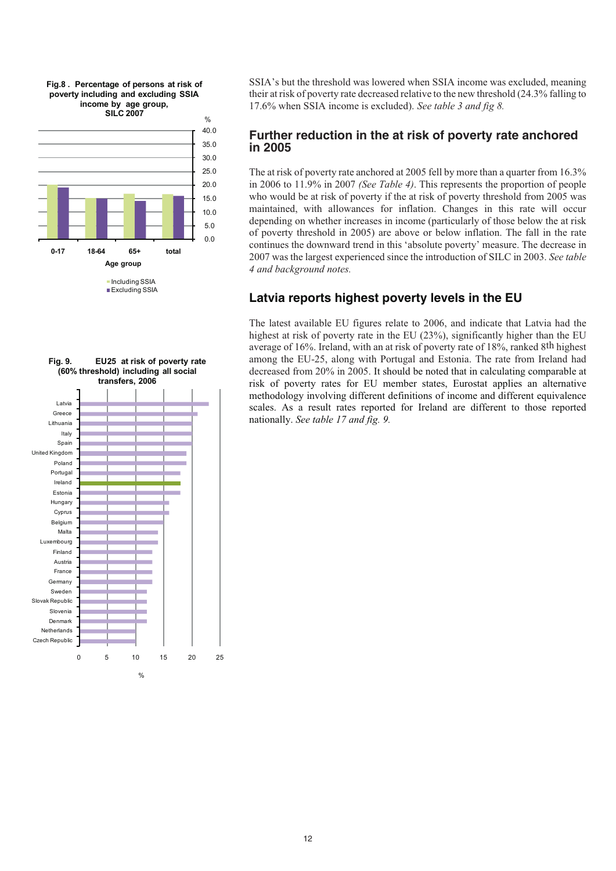

0 5 10 15 20 25 Czech Republic Netherlands Denmark Slovenia Slovak Republic Sweden Germany France Austria Finland Luxembourg Malta Belgium Cyprus Hungary Estonia Ireland Portugal Poland United Kingdom Spain Italy Lithuania Greece Latvia **Fig. 9***.* **EU25 at risk of poverty rate (60% threshold) including all social transfers, 2006**

 $\frac{9}{6}$ 

SSIA's but the threshold was lowered when SSIA income was excluded, meaning their at risk of poverty rate decreased relative to the new threshold (24.3% falling to 17.6% when SSIA income is excluded). *See table 3 and fig 8.*

### **Further reduction in the at risk of poverty rate anchored in 2005**

The at risk of poverty rate anchored at 2005 fell by more than a quarter from 16.3% in 2006 to 11.9% in 2007 *(See Table 4)*. This represents the proportion of people who would be at risk of poverty if the at risk of poverty threshold from 2005 was maintained, with allowances for inflation. Changes in this rate will occur depending on whether increases in income (particularly of those below the at risk of poverty threshold in 2005) are above or below inflation. The fall in the rate continues the downward trend in this 'absolute poverty' measure. The decrease in 2007 was the largest experienced since the introduction of SILC in 2003. *See table 4 and background notes.*

# **Latvia reports highest poverty levels in the EU**

The latest available EU figures relate to 2006, and indicate that Latvia had the highest at risk of poverty rate in the EU (23%), significantly higher than the EU average of 16%. Ireland, with an at risk of poverty rate of 18%, ranked 8th highest among the EU-25, along with Portugal and Estonia. The rate from Ireland had decreased from 20% in 2005. It should be noted that in calculating comparable at risk of poverty rates for EU member states, Eurostat applies an alternative methodology involving different definitions of income and different equivalence scales. As a result rates reported for Ireland are different to those reported nationally. *See table 17 and fig. 9.*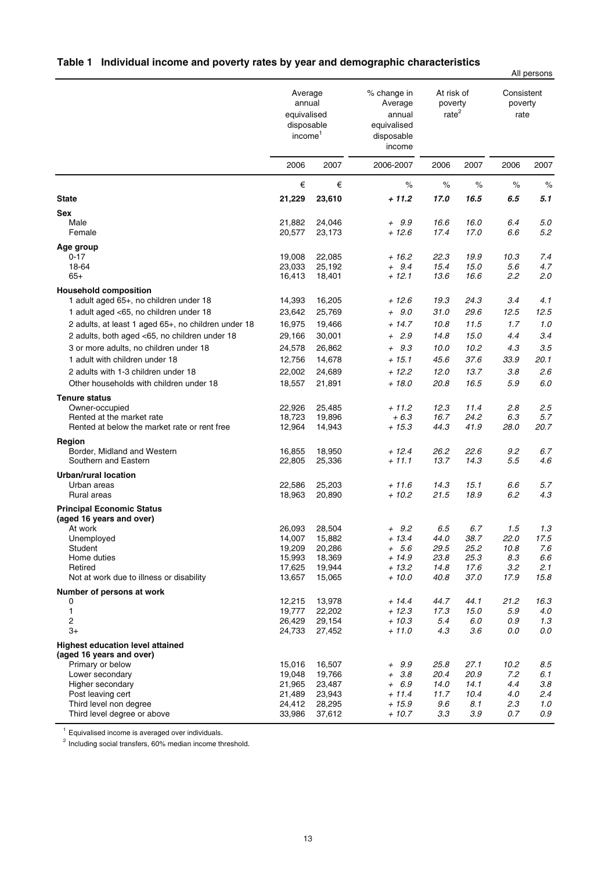|                                                                     |                                                                       |                  |                                                                         |                                            |              |                               | All persons    |
|---------------------------------------------------------------------|-----------------------------------------------------------------------|------------------|-------------------------------------------------------------------------|--------------------------------------------|--------------|-------------------------------|----------------|
|                                                                     | Average<br>annual<br>equivalised<br>disposable<br>income <sup>1</sup> |                  | % change in<br>Average<br>annual<br>equivalised<br>disposable<br>income | At risk of<br>poverty<br>rate <sup>2</sup> |              | Consistent<br>poverty<br>rate |                |
|                                                                     | 2006                                                                  | 2007             | 2006-2007                                                               | 2006                                       | 2007         | 2006                          | 2007           |
|                                                                     | €                                                                     | €                | $\%$                                                                    | $\%$                                       | $\%$         | $\%$                          | $\%$           |
| <b>State</b>                                                        | 21,229                                                                | 23,610           | + 11.2                                                                  | 17.0                                       | 16.5         | 6.5                           | 5.1            |
| <b>Sex</b>                                                          |                                                                       |                  |                                                                         |                                            |              |                               |                |
| Male                                                                | 21,882                                                                | 24,046           | $+ 9.9$                                                                 | 16.6                                       | 16.0         | 6.4                           | 5.0            |
| Female                                                              | 20,577                                                                | 23,173           | $+12.6$                                                                 | 17.4                                       | 17.0         | 6.6                           | 5.2            |
| Age group                                                           |                                                                       |                  |                                                                         |                                            |              |                               |                |
| $0 - 17$<br>18-64                                                   | 19,008<br>23,033                                                      | 22,085<br>25,192 | + 16.2<br>$+ 9.4$                                                       | 22.3<br>15.4                               | 19.9<br>15.0 | 10.3<br>5.6                   | 7.4<br>4.7     |
| $65+$                                                               | 16,413                                                                | 18,401           | $+12.1$                                                                 | 13.6                                       | 16.6         | 2.2                           | 2.0            |
| <b>Household composition</b>                                        |                                                                       |                  |                                                                         |                                            |              |                               |                |
| 1 adult aged 65+, no children under 18                              | 14,393                                                                | 16,205           | + 12.6                                                                  | 19.3                                       | 24.3         | 3.4                           | 4.1            |
| 1 adult aged <65, no children under 18                              | 23,642                                                                | 25,769           | $+ 9.0$                                                                 | 31.0                                       | 29.6         | 12.5                          | 12.5           |
| 2 adults, at least 1 aged 65+, no children under 18                 | 16,975                                                                | 19,466           | $+14.7$                                                                 | 10.8                                       | 11.5         | 1.7                           | 1.0            |
| 2 adults, both aged <65, no children under 18                       | 29,166                                                                | 30,001           | $+2.9$                                                                  | 14.8                                       | 15.0         | 4.4                           | 3.4            |
| 3 or more adults, no children under 18                              | 24,578                                                                | 26,862           | $+ 9.3$                                                                 | 10.0                                       | 10.2         | 4.3                           | 3.5            |
| 1 adult with children under 18                                      | 12,756                                                                | 14,678           | $+15.1$                                                                 | 45.6                                       | 37.6         | 33.9                          | 20.1           |
| 2 adults with 1-3 children under 18                                 | 22,002                                                                | 24,689           | $+12.2$                                                                 | 12.0                                       | 13.7         | 3.8                           | 2.6            |
| Other households with children under 18                             | 18,557                                                                | 21,891           | $+18.0$                                                                 | 20.8                                       | 16.5         | 5.9                           | 6.0            |
| <b>Tenure status</b>                                                |                                                                       |                  |                                                                         |                                            |              |                               |                |
| Owner-occupied                                                      | 22,926                                                                | 25,485           | $+11.2$                                                                 | 12.3                                       | 11.4         | 2.8                           | 2.5            |
| Rented at the market rate                                           | 18,723                                                                | 19,896           | $+6.3$                                                                  | 16.7                                       | 24.2         | 6.3                           | 5.7            |
| Rented at below the market rate or rent free                        | 12,964                                                                | 14,943           | $+15.3$                                                                 | 44.3                                       | 41.9         | 28.0                          | 20.7           |
| Region                                                              |                                                                       |                  |                                                                         |                                            |              |                               |                |
| Border, Midland and Western<br>Southern and Eastern                 | 16,855<br>22,805                                                      | 18,950<br>25,336 | $+12.4$<br>$+11.1$                                                      | 26.2<br>13.7                               | 22.6<br>14.3 | 9.2<br>5.5                    | 6.7<br>4.6     |
|                                                                     |                                                                       |                  |                                                                         |                                            |              |                               |                |
| <b>Urban/rural location</b><br>Urban areas                          | 22,586                                                                | 25,203           | $+11.6$                                                                 | 14.3                                       | 15.1         | 6.6                           | 5.7            |
| Rural areas                                                         | 18,963                                                                | 20,890           | $+10.2$                                                                 | 21.5                                       | 18.9         | 6.2                           | 4.3            |
| <b>Principal Economic Status</b>                                    |                                                                       |                  |                                                                         |                                            |              |                               |                |
| (aged 16 years and over)                                            |                                                                       |                  |                                                                         |                                            |              |                               |                |
| At work                                                             | 26.093                                                                | 28,504           | + 9.2                                                                   | 6.5                                        | 6.7          | 1.5                           | 1.3            |
| Unemployed                                                          | 14,007                                                                | 15,882           | $+13.4$                                                                 | 44.0                                       | 38.7         | 22.0                          | 17.5           |
| Student<br>Home duties                                              | 19,209<br>15,993                                                      | 20,286<br>18,369 | $+ 5.6$<br>$+14.9$                                                      | 29.5<br>23.8                               | 25.2<br>25.3 | 10.8<br>8.3                   | 7.6<br>$6.6\,$ |
| Retired                                                             | 17,625                                                                | 19,944           | $+13.2$                                                                 | 14.8                                       | 17.6         | 3.2                           | 2.1            |
| Not at work due to illness or disability                            | 13,657                                                                | 15,065           | $+10.0$                                                                 | 40.8                                       | 37.0         | 17.9                          | 15.8           |
| Number of persons at work                                           |                                                                       |                  |                                                                         |                                            |              |                               |                |
| 0                                                                   | 12,215                                                                | 13,978           | $+ 14.4$                                                                | 44.7                                       | 44.1         | 21.2                          | 16.3           |
| 1                                                                   | 19,777                                                                | 22,202           | $+12.3$                                                                 | 17.3                                       | 15.0         | 5.9                           | 4.0            |
| 2<br>$3+$                                                           | 26,429<br>24,733                                                      | 29,154<br>27,452 | $+10.3$<br>$+11.0$                                                      | 5.4<br>4.3                                 | 6.0<br>3.6   | 0.9<br>0.0                    | 1.3<br>0.0     |
|                                                                     |                                                                       |                  |                                                                         |                                            |              |                               |                |
| <b>Highest education level attained</b><br>(aged 16 years and over) |                                                                       |                  |                                                                         |                                            |              |                               |                |
| Primary or below                                                    | 15,016                                                                | 16,507           | $+ 9.9$                                                                 | 25.8                                       | 27.1         | 10.2                          | 8.5            |
| Lower secondary                                                     | 19,048                                                                | 19,766           | $+ 3.8$                                                                 | 20.4                                       | 20.9         | 7.2                           | 6.1            |
| Higher secondary                                                    | 21,965                                                                | 23,487           | $+ 6.9$                                                                 | 14.0                                       | 14.1         | 4.4                           | 3.8            |
| Post leaving cert<br>Third level non degree                         | 21,489<br>24,412                                                      | 23,943<br>28,295 | + 11.4<br>$+15.9$                                                       | 11.7<br>9.6                                | 10.4<br>8.1  | 4.0<br>2.3                    | 2.4<br>1.0     |
| Third level degree or above                                         | 33,986                                                                | 37,612           | $+10.7$                                                                 | 3.3                                        | 3.9          | 0.7                           | 0.9            |
|                                                                     |                                                                       |                  |                                                                         |                                            |              |                               |                |

# **Table 1 Individual income and poverty rates by year and demographic characteristics**

<sup>1</sup> Equivalised income is averaged over individuals.

<sup>2</sup> Including social transfers, 60% median income threshold.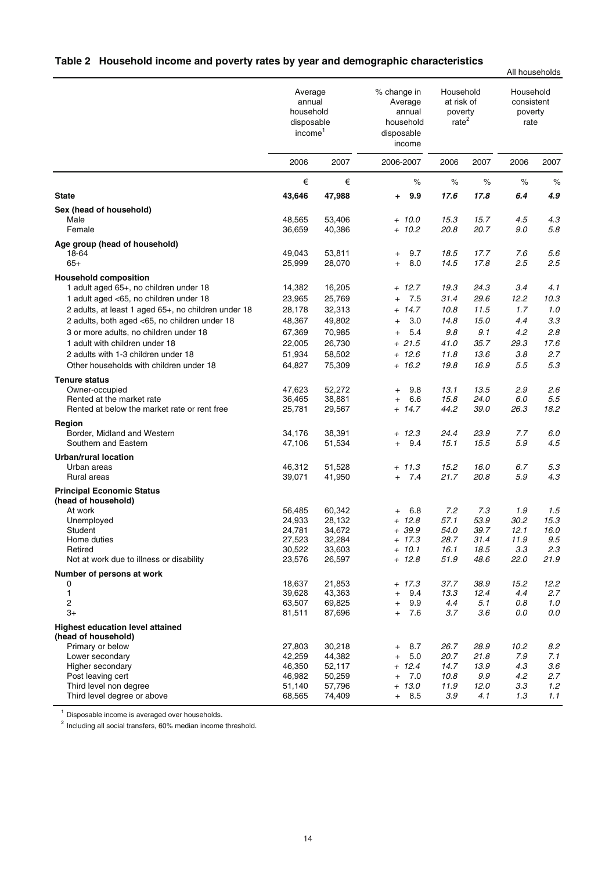| Table 2 Household income and poverty rates by year and demographic characteristics |  |  |  |
|------------------------------------------------------------------------------------|--|--|--|
|                                                                                    |  |  |  |

|                                                     |                                                                     |                  |                                                                       |                                                         |              | All households                             |            |
|-----------------------------------------------------|---------------------------------------------------------------------|------------------|-----------------------------------------------------------------------|---------------------------------------------------------|--------------|--------------------------------------------|------------|
|                                                     | Average<br>annual<br>household<br>disposable<br>income <sup>1</sup> |                  | % change in<br>Average<br>annual<br>household<br>disposable<br>income | Household<br>at risk of<br>poverty<br>rate <sup>2</sup> |              | Household<br>consistent<br>poverty<br>rate |            |
|                                                     | 2006                                                                | 2007             | 2006-2007                                                             | 2006                                                    | 2007         | 2006                                       | 2007       |
|                                                     | €                                                                   | €                | $\%$                                                                  | $\%$                                                    | $\%$         | %                                          | %          |
| <b>State</b>                                        | 43,646                                                              | 47,988           | 9.9<br>٠.                                                             | 17.6                                                    | 17.8         | 6.4                                        | 4.9        |
| Sex (head of household)                             |                                                                     |                  |                                                                       |                                                         |              |                                            |            |
| Male<br>Female                                      | 48,565                                                              | 53,406           | $+ 10.0$                                                              | 15.3                                                    | 15.7         | 4.5                                        | 4.3        |
|                                                     | 36,659                                                              | 40,386           | $+ 10.2$                                                              | 20.8                                                    | 20.7         | 9.0                                        | 5.8        |
| Age group (head of household)                       |                                                                     |                  |                                                                       |                                                         |              |                                            |            |
| 18-64<br>$65+$                                      | 49,043<br>25,999                                                    | 53,811<br>28,070 | 9.7<br>$\ddot{}$<br>8.0<br>$+$                                        | 18.5<br>14.5                                            | 17.7<br>17.8 | 7.6<br>2.5                                 | 5.6<br>2.5 |
| <b>Household composition</b>                        |                                                                     |                  |                                                                       |                                                         |              |                                            |            |
| 1 adult aged 65+, no children under 18              | 14,382                                                              | 16,205           | $+ 12.7$                                                              | 19.3                                                    | 24.3         | 3.4                                        | 4.1        |
| 1 adult aged <65, no children under 18              | 23,965                                                              | 25,769           | 7.5<br>$^{+}$                                                         | 31.4                                                    | 29.6         | 12.2                                       | 10.3       |
| 2 adults, at least 1 aged 65+, no children under 18 | 28,178                                                              | 32,313           | $+ 14.7$                                                              | 10.8                                                    | 11.5         | 1.7                                        | 1.0        |
| 2 adults, both aged <65, no children under 18       | 48,367                                                              | 49,802           | 3.0<br>$+$                                                            | 14.8                                                    | 15.0         | 4.4                                        | 3.3        |
| 3 or more adults, no children under 18              | 67,369                                                              | 70,985           | 5.4<br>$\ddot{}$                                                      | 9.8                                                     | 9.1          | 4.2                                        | 2.8        |
| 1 adult with children under 18                      | 22,005                                                              | 26,730           | $+21.5$                                                               | 41.0                                                    | 35.7         | 29.3                                       | 17.6       |
| 2 adults with 1-3 children under 18                 | 51,934                                                              | 58,502           | $+ 12.6$                                                              | 11.8                                                    | 13.6         | 3.8                                        | 2.7        |
| Other households with children under 18             | 64,827                                                              | 75,309           | $+ 16.2$                                                              | 19.8                                                    | 16.9         | 5.5                                        | 5.3        |
| <b>Tenure status</b>                                |                                                                     |                  |                                                                       |                                                         |              |                                            |            |
| Owner-occupied                                      | 47,623                                                              | 52,272           | 9.8<br>$\ddot{}$                                                      | 13.1                                                    | 13.5         | 2.9                                        | 2.6        |
| Rented at the market rate                           | 36,465                                                              | 38,881           | 6.6<br>$\ddot{}$                                                      | 15.8                                                    | 24.0         | 6.0                                        | 5.5        |
| Rented at below the market rate or rent free        | 25,781                                                              | 29,567           | + 14.7                                                                | 44.2                                                    | 39.0         | 26.3                                       | 18.2       |
| Region                                              |                                                                     |                  |                                                                       |                                                         |              |                                            |            |
| Border, Midland and Western<br>Southern and Eastern | 34,176<br>47,106                                                    | 38,391<br>51,534 | $+ 12.3$<br>9.4<br>$+$                                                | 24.4<br>15.1                                            | 23.9<br>15.5 | 7.7<br>5.9                                 | 6.0<br>4.5 |
|                                                     |                                                                     |                  |                                                                       |                                                         |              |                                            |            |
| <b>Urban/rural location</b><br>Urban areas          | 46,312                                                              | 51,528           | $+ 11.3$                                                              | 15.2                                                    | 16.0         | 6.7                                        | 5.3        |
| Rural areas                                         | 39,071                                                              | 41,950           | 7.4<br>$+$                                                            | 21.7                                                    | 20.8         | 5.9                                        | 4.3        |
| <b>Principal Economic Status</b>                    |                                                                     |                  |                                                                       |                                                         |              |                                            |            |
| (head of household)                                 |                                                                     |                  |                                                                       |                                                         |              |                                            |            |
| At work                                             | 56,485                                                              | 60,342           | 6.8<br>$^{+}$                                                         | 7.2                                                     | 7.3          | 1.9                                        | 1.5        |
| Unemployed                                          | 24,933                                                              | 28,132           | $+ 12.8$                                                              | 57.1                                                    | 53.9         | 30.2                                       | 15.3       |
| Student                                             | 24,781                                                              | 34,672           | + 39.9                                                                | 54.0                                                    | 39.7         | 12.1                                       | 16.0       |
| Home duties<br>Retired                              | 27,523<br>30,522                                                    | 32,284<br>33,603 | $+ 17.3$<br>$+ 10.1$                                                  | 28.7<br>16.1                                            | 31.4<br>18.5 | 11.9<br>3.3                                | 9.5<br>2.3 |
| Not at work due to illness or disability            | 23,576                                                              | 26,597           | $+ 12.8$                                                              | 51.9                                                    | 48.6         | 22.0                                       | 21.9       |
| Number of persons at work                           |                                                                     |                  |                                                                       |                                                         |              |                                            |            |
| 0                                                   | 18,637                                                              | 21,853           | $+ 17.3$                                                              | 37.7                                                    | 38.9         | 15.2                                       | 12.2       |
| $\mathbf{1}$                                        | 39,628                                                              | 43,363           | 9.4<br>$\ddot{}$                                                      | 13.3                                                    | 12.4         | 4.4                                        | 2.7        |
| $\overline{\mathbf{c}}$                             | 63,507                                                              | 69,825           | 9.9<br>$^{+}$                                                         | 4.4                                                     | 5.1          | 0.8                                        | 1.0        |
| $3+$                                                | 81,511                                                              | 87,696           | 7.6<br>$+$                                                            | 3.7                                                     | 3.6          | 0.0                                        | 0.0        |
| <b>Highest education level attained</b>             |                                                                     |                  |                                                                       |                                                         |              |                                            |            |
| (head of household)                                 |                                                                     |                  |                                                                       |                                                         |              |                                            |            |
| Primary or below<br>Lower secondary                 | 27,803<br>42,259                                                    | 30,218<br>44,382 | 8.7<br>$^{+}$<br>5.0<br>$\ddot{}$                                     | 26.7<br>20.7                                            | 28.9<br>21.8 | 10.2<br>7.9                                | 8.2<br>7.1 |
| Higher secondary                                    | 46,350                                                              | 52,117           | $+ 12.4$                                                              | 14.7                                                    | 13.9         | 4.3                                        | 3.6        |
| Post leaving cert                                   | 46,982                                                              | 50,259           | 7.0<br>$\ddot{}$                                                      | 10.8                                                    | 9.9          | 4.2                                        | 2.7        |
| Third level non degree                              | 51,140                                                              | 57,796           | $+ 13.0$                                                              | 11.9                                                    | 12.0         | 3.3                                        | 1.2        |
| Third level degree or above                         | 68,565                                                              | 74,409           | $+ 8.5$                                                               | 3.9                                                     | 4.1          | 1.3                                        | 1.1        |

<sup>1</sup> Disposable income is averaged over households.

 $2$  Including all social transfers, 60% median income threshold.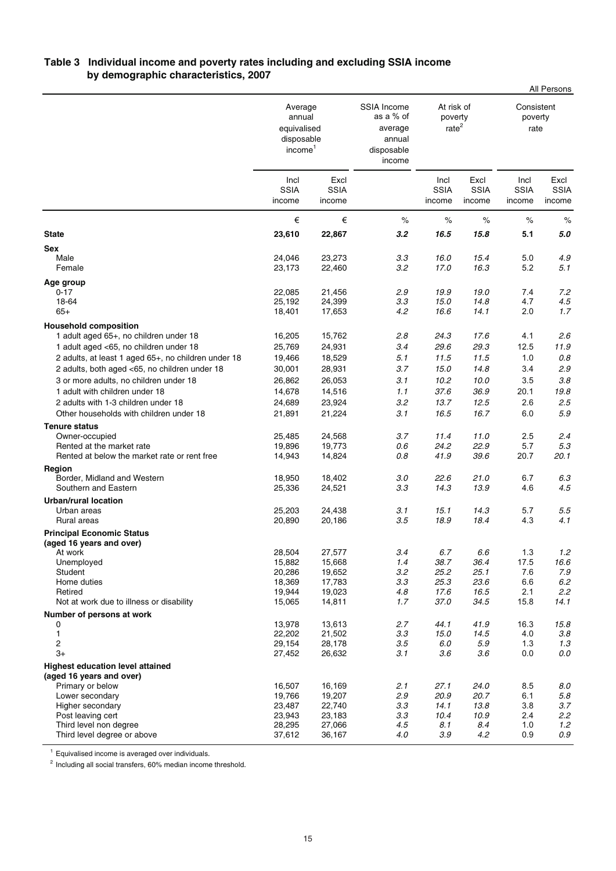# **Table 3 Individual income and poverty rates including and excluding SSIA income by demographic characteristics, 2007**

|                                                                                  |                                                                       |                               |                                                                              |                                            |                               |                               | All Persons                   |
|----------------------------------------------------------------------------------|-----------------------------------------------------------------------|-------------------------------|------------------------------------------------------------------------------|--------------------------------------------|-------------------------------|-------------------------------|-------------------------------|
|                                                                                  | Average<br>annual<br>equivalised<br>disposable<br>income <sup>1</sup> |                               | <b>SSIA Income</b><br>as a % of<br>average<br>annual<br>disposable<br>income | At risk of<br>poverty<br>rate <sup>2</sup> |                               | Consistent<br>poverty<br>rate |                               |
|                                                                                  | Incl<br><b>SSIA</b><br>income                                         | Excl<br><b>SSIA</b><br>income |                                                                              | Incl<br><b>SSIA</b><br>income              | Excl<br><b>SSIA</b><br>income | Incl<br><b>SSIA</b><br>income | Excl<br><b>SSIA</b><br>income |
|                                                                                  | €                                                                     | €                             | $\%$                                                                         | $\%$                                       | $\%$                          | $\%$                          | $\%$                          |
| <b>State</b>                                                                     | 23,610                                                                | 22,867                        | 3.2                                                                          | 16.5                                       | 15.8                          | 5.1                           | 5.0                           |
| <b>Sex</b><br>Male<br>Female                                                     | 24,046<br>23,173                                                      | 23,273<br>22,460              | 3.3<br>3.2                                                                   | 16.0<br>17.0                               | 15.4<br>16.3                  | 5.0<br>5.2                    | 4.9<br>5.1                    |
| Age group<br>$0 - 17$<br>18-64<br>$65+$                                          | 22,085<br>25,192<br>18,401                                            | 21,456<br>24,399<br>17,653    | 2.9<br>3.3<br>4.2                                                            | 19.9<br>15.0<br>16.6                       | 19.0<br>14.8<br>14.1          | 7.4<br>4.7<br>2.0             | 7.2<br>4.5<br>1.7             |
| <b>Household composition</b>                                                     |                                                                       |                               |                                                                              |                                            |                               |                               |                               |
| 1 adult aged 65+, no children under 18<br>1 adult aged <65, no children under 18 | 16,205<br>25,769                                                      | 15,762<br>24,931              | 2.8<br>3.4                                                                   | 24.3<br>29.6                               | 17.6<br>29.3                  | 4.1<br>12.5                   | 2.6<br>11.9                   |
| 2 adults, at least 1 aged 65+, no children under 18                              | 19,466                                                                | 18,529                        | 5.1                                                                          | 11.5                                       | 11.5                          | 1.0                           | $0.8\,$                       |
| 2 adults, both aged <65, no children under 18                                    | 30,001                                                                | 28,931                        | 3.7                                                                          | 15.0                                       | 14.8                          | 3.4                           | 2.9                           |
| 3 or more adults, no children under 18                                           | 26,862                                                                | 26,053                        | 3.1                                                                          | 10.2                                       | 10.0                          | 3.5                           | 3.8                           |
| 1 adult with children under 18<br>2 adults with 1-3 children under 18            | 14,678<br>24,689                                                      | 14,516<br>23,924              | 1.1<br>3.2                                                                   | 37.6<br>13.7                               | 36.9<br>12.5                  | 20.1<br>2.6                   | 19.8<br>2.5                   |
| Other households with children under 18                                          | 21,891                                                                | 21,224                        | 3.1                                                                          | 16.5                                       | 16.7                          | 6.0                           | 5.9                           |
| <b>Tenure status</b>                                                             |                                                                       |                               |                                                                              |                                            |                               |                               |                               |
| Owner-occupied                                                                   | 25,485                                                                | 24,568                        | 3.7                                                                          | 11.4                                       | 11.0                          | 2.5                           | 2.4                           |
| Rented at the market rate<br>Rented at below the market rate or rent free        | 19,896<br>14,943                                                      | 19,773<br>14,824              | 0.6<br>0.8                                                                   | 24.2<br>41.9                               | 22.9<br>39.6                  | 5.7<br>20.7                   | 5.3<br>20.1                   |
| Region<br>Border, Midland and Western<br>Southern and Eastern                    | 18,950<br>25,336                                                      | 18,402<br>24,521              | 3.0<br>3.3                                                                   | 22.6<br>14.3                               | 21.0<br>13.9                  | 6.7<br>4.6                    | 6.3<br>4.5                    |
| <b>Urban/rural location</b>                                                      |                                                                       |                               |                                                                              |                                            |                               |                               |                               |
| Urban areas                                                                      | 25,203                                                                | 24,438                        | 3.1                                                                          | 15.1                                       | 14.3                          | 5.7                           | 5.5                           |
| Rural areas                                                                      | 20,890                                                                | 20,186                        | 3.5                                                                          | 18.9                                       | 18.4                          | 4.3                           | 4.1                           |
| <b>Principal Economic Status</b><br>(aged 16 years and over)                     |                                                                       |                               |                                                                              |                                            |                               |                               |                               |
| At work                                                                          | 28,504                                                                | 27,577                        | 3.4                                                                          | 6.7                                        | 6.6                           | 1.3                           | 1.2                           |
| Unemployed                                                                       | 15,882                                                                | 15,668                        | 1.4                                                                          | 38.7                                       | 36.4                          | 17.5                          | 16.6                          |
| Student<br>Home duties                                                           | 20,286<br>18,369                                                      | 19,652<br>17,783              | 3.2<br>3.3                                                                   | 25.2<br>25.3                               | 25.1<br>23.6                  | 7.6<br>6.6                    | 7.9<br>6.2                    |
| Retired                                                                          | 19,944                                                                | 19,023                        | 4.8                                                                          | 17.6                                       | 16.5                          | 2.1                           | 2.2                           |
| Not at work due to illness or disability                                         | 15,065                                                                | 14,811                        | 1.7                                                                          | 37.0                                       | 34.5                          | 15.8                          | 14.1                          |
| Number of persons at work                                                        |                                                                       |                               |                                                                              |                                            |                               |                               |                               |
| 0<br>1                                                                           | 13,978<br>22,202                                                      | 13,613<br>21,502              | 2.7<br>3.3                                                                   | 44.1<br>15.0                               | 41.9<br>14.5                  | 16.3<br>4.0                   | 15.8<br>3.8                   |
| 2                                                                                | 29,154                                                                | 28,178                        | 3.5                                                                          | 6.0                                        | 5.9                           | 1.3                           | 1.3                           |
| $3+$                                                                             | 27,452                                                                | 26,632                        | 3.1                                                                          | 3.6                                        | 3.6                           | 0.0                           | 0.0                           |
| <b>Highest education level attained</b>                                          |                                                                       |                               |                                                                              |                                            |                               |                               |                               |
| (aged 16 years and over)<br>Primary or below                                     | 16,507                                                                | 16,169                        | 2.1                                                                          | 27.1                                       | 24.0                          | 8.5                           | 8.0                           |
| Lower secondary                                                                  | 19,766                                                                | 19,207                        | 2.9                                                                          | 20.9                                       | 20.7                          | 6.1                           | 5.8                           |
| Higher secondary                                                                 | 23,487                                                                | 22,740                        | 3.3                                                                          | 14.1                                       | 13.8                          | 3.8                           | 3.7                           |
| Post leaving cert                                                                | 23,943                                                                | 23,183                        | 3.3                                                                          | 10.4                                       | 10.9                          | 2.4                           | 2.2                           |
| Third level non degree<br>Third level degree or above                            | 28,295<br>37,612                                                      | 27,066<br>36,167              | 4.5<br>4.0                                                                   | 8.1<br>3.9                                 | 8.4<br>4.2                    | 1.0<br>0.9                    | 1.2<br>$0.9\,$                |
|                                                                                  |                                                                       |                               |                                                                              |                                            |                               |                               |                               |

<sup>1</sup> Equivalised income is averaged over individuals.

<sup>2</sup> Including all social transfers, 60% median income threshold.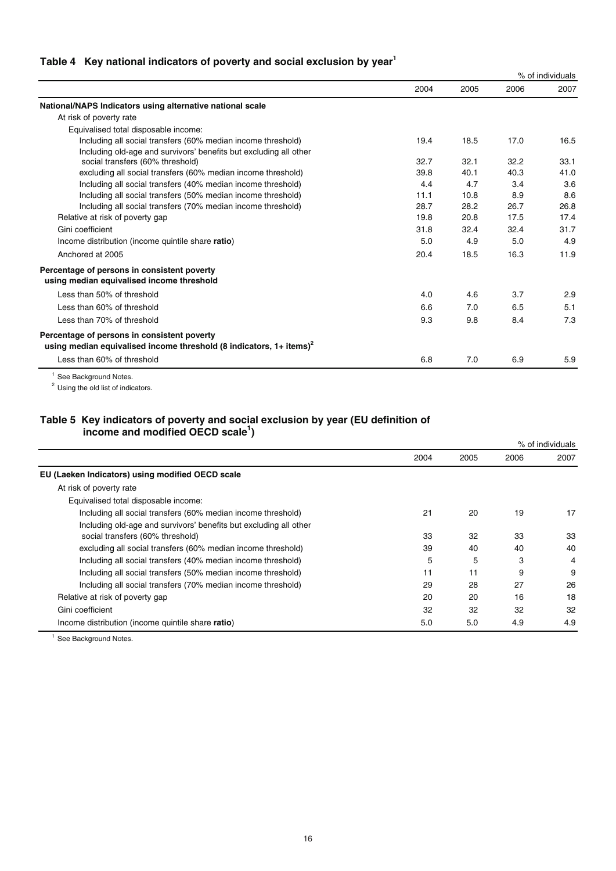# Table 4 Key national indicators of poverty and social exclusion by year<sup>1</sup>

|                                                                                                                                  |      |      |      | % of individuals |  |
|----------------------------------------------------------------------------------------------------------------------------------|------|------|------|------------------|--|
|                                                                                                                                  | 2004 | 2005 | 2006 | 2007             |  |
| National/NAPS Indicators using alternative national scale                                                                        |      |      |      |                  |  |
| At risk of poverty rate                                                                                                          |      |      |      |                  |  |
| Equivalised total disposable income:                                                                                             |      |      |      |                  |  |
| Including all social transfers (60% median income threshold)                                                                     | 19.4 | 18.5 | 17.0 | 16.5             |  |
| Including old-age and survivors' benefits but excluding all other                                                                |      |      |      |                  |  |
| social transfers (60% threshold)                                                                                                 | 32.7 | 32.1 | 32.2 | 33.1             |  |
| excluding all social transfers (60% median income threshold)                                                                     | 39.8 | 40.1 | 40.3 | 41.0             |  |
| Including all social transfers (40% median income threshold)                                                                     | 4.4  | 4.7  | 3.4  | 3.6              |  |
| Including all social transfers (50% median income threshold)                                                                     | 11.1 | 10.8 | 8.9  | 8.6              |  |
| Including all social transfers (70% median income threshold)                                                                     | 28.7 | 28.2 | 26.7 | 26.8             |  |
| Relative at risk of poverty gap                                                                                                  | 19.8 | 20.8 | 17.5 | 17.4             |  |
| Gini coefficient                                                                                                                 | 31.8 | 32.4 | 32.4 | 31.7             |  |
| Income distribution (income quintile share ratio)                                                                                | 5.0  | 4.9  | 5.0  | 4.9              |  |
| Anchored at 2005                                                                                                                 | 20.4 | 18.5 | 16.3 | 11.9             |  |
| Percentage of persons in consistent poverty<br>using median equivalised income threshold                                         |      |      |      |                  |  |
| Less than 50% of threshold                                                                                                       | 4.0  | 4.6  | 3.7  | 2.9              |  |
| Less than 60% of threshold                                                                                                       | 6.6  | 7.0  | 6.5  | 5.1              |  |
| Less than 70% of threshold                                                                                                       | 9.3  | 9.8  | 8.4  | 7.3              |  |
| Percentage of persons in consistent poverty<br>using median equivalised income threshold (8 indicators, $1+$ items) <sup>2</sup> |      |      |      |                  |  |
| Less than 60% of threshold                                                                                                       | 6.8  | 7.0  | 6.9  | 5.9              |  |
|                                                                                                                                  |      |      |      |                  |  |

 $1$  See Background Notes.

<sup>2</sup> Using the old list of indicators.

### **Table 5 Key indicators of poverty and social exclusion by year (EU definition of** income and modified OECD scale<sup>1</sup>)

|                                                                   |      |      |      | % of individuals |
|-------------------------------------------------------------------|------|------|------|------------------|
|                                                                   | 2004 | 2005 | 2006 | 2007             |
| EU (Laeken Indicators) using modified OECD scale                  |      |      |      |                  |
| At risk of poverty rate                                           |      |      |      |                  |
| Equivalised total disposable income:                              |      |      |      |                  |
| Including all social transfers (60% median income threshold)      | 21   | 20   | 19   | 17               |
| Including old-age and survivors' benefits but excluding all other |      |      |      |                  |
| social transfers (60% threshold)                                  | 33   | 32   | 33   | 33               |
| excluding all social transfers (60% median income threshold)      | 39   | 40   | 40   | 40               |
| Including all social transfers (40% median income threshold)      | 5    | 5    | 3    | 4                |
| Including all social transfers (50% median income threshold)      | 11   | 11   | 9    | 9                |
| Including all social transfers (70% median income threshold)      | 29   | 28   | 27   | 26               |
| Relative at risk of poverty gap                                   | 20   | 20   | 16   | 18               |
| Gini coefficient                                                  | 32   | 32   | 32   | 32               |
| Income distribution (income quintile share ratio)                 | 5.0  | 5.0  | 4.9  | 4.9              |

<sup>1</sup> See Background Notes.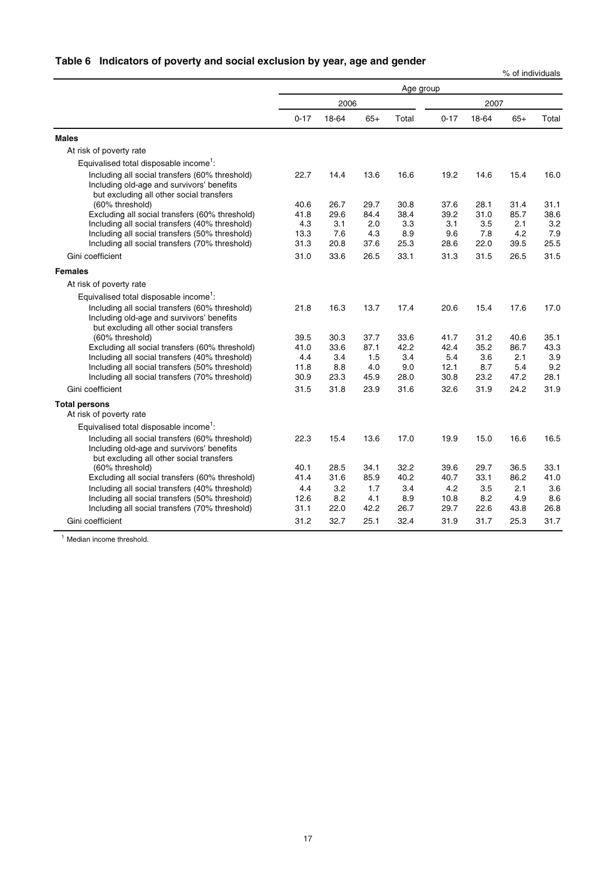# **Table 6 Indicators of poverty and social exclusion by year, age and gender**

% of individuals

|                                                                                                                                         | Age group |       |       |       |          |       |       |       |
|-----------------------------------------------------------------------------------------------------------------------------------------|-----------|-------|-------|-------|----------|-------|-------|-------|
|                                                                                                                                         |           | 2006  |       |       |          | 2007  |       |       |
|                                                                                                                                         | $0 - 17$  | 18-64 | $65+$ | Total | $0 - 17$ | 18-64 | $65+$ | Total |
| <b>Males</b>                                                                                                                            |           |       |       |       |          |       |       |       |
| At risk of poverty rate                                                                                                                 |           |       |       |       |          |       |       |       |
| Equivalised total disposable income <sup>1</sup> :                                                                                      |           |       |       |       |          |       |       |       |
| Including all social transfers (60% threshold)<br>Including old-age and survivors' benefits<br>but excluding all other social transfers | 22.7      | 14.4  | 13.6  | 16.6  | 19.2     | 14.6  | 15.4  | 16.0  |
| (60% threshold)                                                                                                                         | 40.6      | 26.7  | 29.7  | 30.8  | 37.6     | 28.1  | 31.4  | 31.1  |
| Excluding all social transfers (60% threshold)                                                                                          | 41.8      | 29.6  | 84.4  | 38.4  | 39.2     | 31.0  | 85.7  | 38.6  |
| Including all social transfers (40% threshold)                                                                                          | 4.3       | 3.1   | 2.0   | 3.3   | 3.1      | 3.5   | 2.1   | 3.2   |
| Including all social transfers (50% threshold)                                                                                          | 13.3      | 7.6   | 4.3   | 8.9   | 9.6      | 7.8   | 4.2   | 7.9   |
| Including all social transfers (70% threshold)                                                                                          | 31.3      | 20.8  | 37.6  | 25.3  | 28.6     | 22.0  | 39.5  | 25.5  |
| Gini coefficient                                                                                                                        | 31.0      | 33.6  | 26.5  | 33.1  | 31.3     | 31.5  | 26.5  | 31.5  |
| <b>Females</b>                                                                                                                          |           |       |       |       |          |       |       |       |
| At risk of poverty rate                                                                                                                 |           |       |       |       |          |       |       |       |
| Equivalised total disposable income <sup>1</sup> :                                                                                      |           |       |       |       |          |       |       |       |
| Including all social transfers (60% threshold)<br>Including old-age and survivors' benefits<br>but excluding all other social transfers | 21.8      | 16.3  | 13.7  | 17.4  | 20.6     | 15.4  | 17.6  | 17.0  |
| (60% threshold)                                                                                                                         | 39.5      | 30.3  | 37.7  | 33.6  | 41.7     | 31.2  | 40.6  | 35.1  |
| Excluding all social transfers (60% threshold)                                                                                          | 41.0      | 33.6  | 87.1  | 42.2  | 42.4     | 35.2  | 86.7  | 43.3  |
| Including all social transfers (40% threshold)                                                                                          | 4.4       | 3.4   | 1.5   | 3.4   | 5.4      | 3.6   | 2.1   | 3.9   |
| Including all social transfers (50% threshold)                                                                                          | 11.8      | 8.8   | 4.0   | 9.0   | 12.1     | 8.7   | 5.4   | 9.2   |
| Including all social transfers (70% threshold)                                                                                          | 30.9      | 23.3  | 45.9  | 28.0  | 30.8     | 23.2  | 47.2  | 28.1  |
| Gini coefficient                                                                                                                        | 31.5      | 31.8  | 23.9  | 31.6  | 32.6     | 31.9  | 24.2  | 31.9  |
| <b>Total persons</b><br>At risk of poverty rate                                                                                         |           |       |       |       |          |       |       |       |
| Equivalised total disposable income <sup>1</sup> :                                                                                      |           |       |       |       |          |       |       |       |
| Including all social transfers (60% threshold)<br>Including old-age and survivors' benefits<br>but excluding all other social transfers | 22.3      | 15.4  | 13.6  | 17.0  | 19.9     | 15.0  | 16.6  | 16.5  |
| (60% threshold)                                                                                                                         | 40.1      | 28.5  | 34.1  | 32.2  | 39.6     | 29.7  | 36.5  | 33.1  |
| Excluding all social transfers (60% threshold)                                                                                          | 41.4      | 31.6  | 85.9  | 40.2  | 40.7     | 33.1  | 86.2  | 41.0  |
| Including all social transfers (40% threshold)                                                                                          | 4.4       | 3.2   | 1.7   | 3.4   | 4.2      | 3.5   | 2.1   | 3.6   |
| Including all social transfers (50% threshold)                                                                                          | 12.6      | 8.2   | 4.1   | 8.9   | 10.8     | 8.2   | 4.9   | 8.6   |
| Including all social transfers (70% threshold)                                                                                          | 31.1      | 22.0  | 42.2  | 26.7  | 29.7     | 22.6  | 43.8  | 26.8  |
| Gini coefficient                                                                                                                        | 31.2      | 32.7  | 25.1  | 32.4  | 31.9     | 31.7  | 25.3  | 31.7  |

<sup>1</sup> Median income threshold.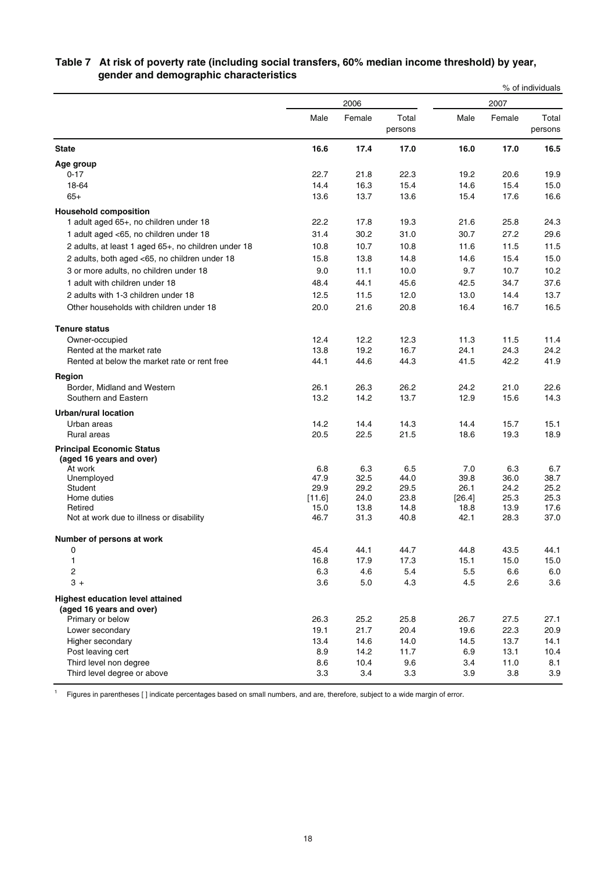|                                                                     |             |             |                  |             |             | % of individuals |
|---------------------------------------------------------------------|-------------|-------------|------------------|-------------|-------------|------------------|
|                                                                     |             | 2006        |                  |             | 2007        |                  |
|                                                                     | Male        | Female      | Total<br>persons | Male        | Female      | Total<br>persons |
| <b>State</b>                                                        | 16.6        | 17.4        | 17.0             | 16.0        | 17.0        | 16.5             |
| Age group                                                           |             |             |                  |             |             |                  |
| $0 - 17$                                                            | 22.7        | 21.8        | 22.3             | 19.2        | 20.6        | 19.9             |
| 18-64                                                               | 14.4        | 16.3        | 15.4             | 14.6        | 15.4        | 15.0             |
| $65+$                                                               | 13.6        | 13.7        | 13.6             | 15.4        | 17.6        | 16.6             |
| <b>Household composition</b>                                        |             |             |                  |             |             |                  |
| 1 adult aged 65+, no children under 18                              | 22.2        | 17.8        | 19.3             | 21.6        | 25.8        | 24.3             |
| 1 adult aged <65, no children under 18                              | 31.4        | 30.2        | 31.0             | 30.7        | 27.2        | 29.6             |
| 2 adults, at least 1 aged 65+, no children under 18                 | 10.8        | 10.7        | 10.8             | 11.6        | 11.5        | 11.5             |
| 2 adults, both aged <65, no children under 18                       | 15.8        | 13.8        | 14.8             | 14.6        | 15.4        | 15.0             |
| 3 or more adults, no children under 18                              | 9.0         | 11.1        | 10.0             | 9.7         | 10.7        | 10.2             |
| 1 adult with children under 18                                      | 48.4        | 44.1        | 45.6             | 42.5        | 34.7        | 37.6             |
| 2 adults with 1-3 children under 18                                 | 12.5        | 11.5        | 12.0             | 13.0        | 14.4        | 13.7             |
| Other households with children under 18                             | 20.0        | 21.6        | 20.8             | 16.4        | 16.7        | 16.5             |
|                                                                     |             |             |                  |             |             |                  |
| <b>Tenure status</b>                                                |             |             |                  |             |             |                  |
| Owner-occupied                                                      | 12.4        | 12.2        | 12.3             | 11.3        | 11.5        | 11.4             |
| Rented at the market rate                                           | 13.8        | 19.2        | 16.7             | 24.1        | 24.3        | 24.2             |
| Rented at below the market rate or rent free                        | 44.1        | 44.6        | 44.3             | 41.5        | 42.2        | 41.9             |
| Region                                                              |             |             |                  |             |             |                  |
| Border, Midland and Western                                         | 26.1        | 26.3        | 26.2             | 24.2        | 21.0        | 22.6             |
| Southern and Eastern                                                | 13.2        | 14.2        | 13.7             | 12.9        | 15.6        | 14.3             |
| <b>Urban/rural location</b>                                         |             |             |                  |             |             |                  |
| Urban areas                                                         | 14.2        | 14.4        | 14.3             | 14.4        | 15.7        | 15.1             |
| Rural areas                                                         | 20.5        | 22.5        | 21.5             | 18.6        | 19.3        | 18.9             |
| <b>Principal Economic Status</b><br>(aged 16 years and over)        |             |             |                  |             |             |                  |
| At work                                                             | 6.8<br>47.9 | 6.3<br>32.5 | 6.5<br>44.0      | 7.0<br>39.8 | 6.3<br>36.0 | 6.7<br>38.7      |
| Unemployed<br>Student                                               | 29.9        | 29.2        | 29.5             | 26.1        | 24.2        | 25.2             |
| Home duties                                                         | $[11.6]$    | 24.0        | 23.8             | [26.4]      | 25.3        | 25.3             |
| Retired                                                             | 15.0        | 13.8        | 14.8             | 18.8        | 13.9        | 17.6             |
| Not at work due to illness or disability                            | 46.7        | 31.3        | 40.8             | 42.1        | 28.3        | 37.0             |
| Number of persons at work                                           |             |             |                  |             |             |                  |
| 0                                                                   | 45.4        | 44.1        | 44.7             | 44.8        | 43.5        | 44.1             |
| 1                                                                   | 16.8        | 17.9        | 17.3             | 15.1        | 15.0        | 15.0             |
| $\overline{c}$                                                      | 6.3         | 4.6         | 5.4              | 5.5         | 6.6         | 6.0              |
| $3 +$                                                               | 3.6         | 5.0         | 4.3              | 4.5         | 2.6         | 3.6              |
| <b>Highest education level attained</b><br>(aged 16 years and over) |             |             |                  |             |             |                  |
| Primary or below                                                    | 26.3        | 25.2        | 25.8             | 26.7        | 27.5        | 27.1             |
| Lower secondary                                                     | 19.1        | 21.7        | 20.4             | 19.6        | 22.3        | 20.9             |
| Higher secondary                                                    | 13.4        | 14.6        | 14.0             | 14.5        | 13.7        | 14.1             |
| Post leaving cert                                                   | 8.9         | 14.2        | 11.7             | 6.9         | 13.1        | 10.4             |
| Third level non degree<br>Third level degree or above               | 8.6<br>3.3  | 10.4<br>3.4 | 9.6<br>3.3       | 3.4<br>3.9  | 11.0<br>3.8 | 8.1<br>3.9       |
|                                                                     |             |             |                  |             |             |                  |

# **Table 7 At risk of poverty rate (including social transfers, 60% median income threshold) by year, gender and demographic characteristics**

<sup>1</sup> Figures in parentheses [] indicate percentages based on small numbers, and are, therefore, subject to a wide margin of error.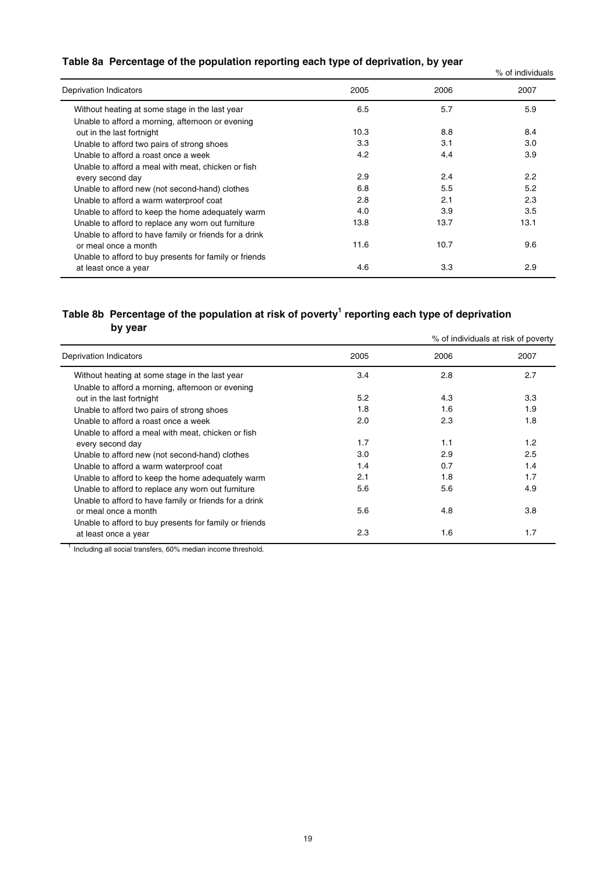# **Table 8a Percentage of the population reporting each type of deprivation, by year**

| Table on Telechings of the population reporting each type of acprivation, by year |      |      | % of individuals |
|-----------------------------------------------------------------------------------|------|------|------------------|
| Deprivation Indicators                                                            | 2005 | 2006 | 2007             |
| Without heating at some stage in the last year                                    | 6.5  | 5.7  | 5.9              |
| Unable to afford a morning, afternoon or evening                                  |      |      |                  |
| out in the last fortnight                                                         | 10.3 | 8.8  | 8.4              |
| Unable to afford two pairs of strong shoes                                        | 3.3  | 3.1  | 3.0              |
| Unable to afford a roast once a week                                              | 4.2  | 4.4  | 3.9              |
| Unable to afford a meal with meat, chicken or fish                                |      |      |                  |
| every second day                                                                  | 2.9  | 2.4  | 2.2              |
| Unable to afford new (not second-hand) clothes                                    | 6.8  | 5.5  | 5.2              |
| Unable to afford a warm waterproof coat                                           | 2.8  | 2.1  | 2.3              |
| Unable to afford to keep the home adequately warm                                 | 4.0  | 3.9  | 3.5              |
| Unable to afford to replace any worn out furniture                                | 13.8 | 13.7 | 13.1             |
| Unable to afford to have family or friends for a drink                            |      |      |                  |
| or meal once a month                                                              | 11.6 | 10.7 | 9.6              |
| Unable to afford to buy presents for family or friends                            |      |      |                  |
| at least once a year                                                              | 4.6  | 3.3  | 2.9              |
|                                                                                   |      |      |                  |

# **Table 8b Percentage of the population at risk of poverty1 reporting each type of deprivation by year**

|                                                        |      |      | % of individuals at risk of poverty |
|--------------------------------------------------------|------|------|-------------------------------------|
| Deprivation Indicators                                 | 2005 | 2006 | 2007                                |
| Without heating at some stage in the last year         | 3.4  | 2.8  | 2.7                                 |
| Unable to afford a morning, afternoon or evening       |      |      |                                     |
| out in the last fortnight                              | 5.2  | 4.3  | 3.3                                 |
| Unable to afford two pairs of strong shoes             | 1.8  | 1.6  | 1.9                                 |
| Unable to afford a roast once a week                   | 2.0  | 2.3  | 1.8                                 |
| Unable to afford a meal with meat, chicken or fish     |      |      |                                     |
| every second day                                       | 1.7  | 1.1  | 1.2                                 |
| Unable to afford new (not second-hand) clothes         | 3.0  | 2.9  | 2.5                                 |
| Unable to afford a warm waterproof coat                | 1.4  | 0.7  | 1.4                                 |
| Unable to afford to keep the home adequately warm      | 2.1  | 1.8  | 1.7                                 |
| Unable to afford to replace any worn out furniture     | 5.6  | 5.6  | 4.9                                 |
| Unable to afford to have family or friends for a drink |      |      |                                     |
| or meal once a month                                   | 5.6  | 4.8  | 3.8                                 |
| Unable to afford to buy presents for family or friends |      |      |                                     |
| at least once a year                                   | 2.3  | 1.6  | 1.7                                 |
|                                                        |      |      |                                     |

 $1$  Including all social transfers, 60% median income threshold.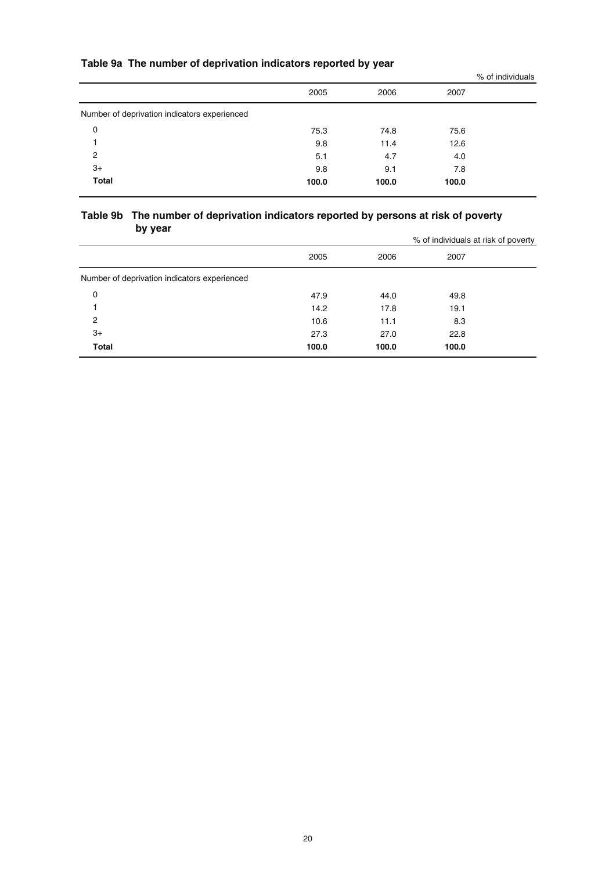# **Table 9a The number of deprivation indicators reported by year**

|                                              |       |       |       | % of individuals |
|----------------------------------------------|-------|-------|-------|------------------|
|                                              | 2005  | 2006  | 2007  |                  |
| Number of deprivation indicators experienced |       |       |       |                  |
| 0                                            | 75.3  | 74.8  | 75.6  |                  |
|                                              | 9.8   | 11.4  | 12.6  |                  |
| 2                                            | 5.1   | 4.7   | 4.0   |                  |
| $3+$                                         | 9.8   | 9.1   | 7.8   |                  |
| Total                                        | 100.0 | 100.0 | 100.0 |                  |
|                                              |       |       |       |                  |

### **Table 9b The number of deprivation indicators reported by persons at risk of poverty by year**

|                                              |       |       | % of individuals at risk of poverty |  |
|----------------------------------------------|-------|-------|-------------------------------------|--|
|                                              | 2005  | 2006  | 2007                                |  |
| Number of deprivation indicators experienced |       |       |                                     |  |
| 0                                            | 47.9  | 44.0  | 49.8                                |  |
|                                              | 14.2  | 17.8  | 19.1                                |  |
| $\overline{2}$                               | 10.6  | 11.1  | 8.3                                 |  |
| $3+$                                         | 27.3  | 27.0  | 22.8                                |  |
| <b>Total</b>                                 | 100.0 | 100.0 | 100.0                               |  |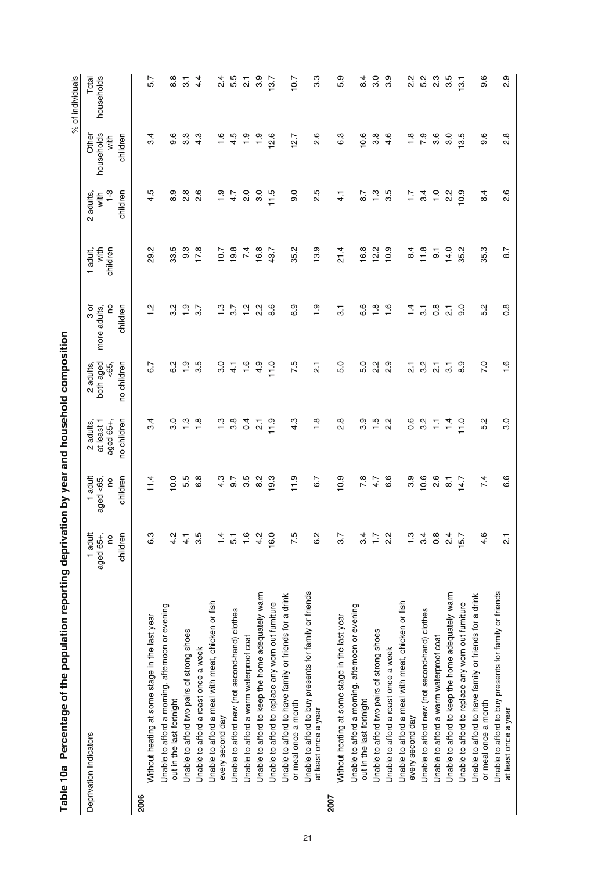|      | Percentage of the population reporting deprivation by year and household composition<br>Table 10a |                                             |                                       |                                                     |                                                         |                                          |                              |                                        |                                         | % of individuals    |
|------|---------------------------------------------------------------------------------------------------|---------------------------------------------|---------------------------------------|-----------------------------------------------------|---------------------------------------------------------|------------------------------------------|------------------------------|----------------------------------------|-----------------------------------------|---------------------|
|      | Deprivation Indicators                                                                            | 1 adult<br>aged 65+<br><u>c</u><br>childrer | 1 adult<br>aged <65,<br>children<br>S | no children<br>aged 65+,<br>2 adults,<br>at least 1 | both aged<br>no children<br>$\overline{65}$<br>2 adults | So<br>children<br>ನ<br>ನಿ<br>more adults | children<br>with<br>1 adult, | $1-3$<br>children<br>2 adults,<br>with | households<br>children<br>Other<br>with | households<br>Total |
| 2006 |                                                                                                   |                                             |                                       |                                                     |                                                         |                                          |                              |                                        |                                         |                     |
|      | Without heating at some stage in the last year                                                    | ္မ                                          | 11.4                                  | 3.4                                                 | 6.7                                                     | Ņ                                        | 29.2                         | 4.5                                    | 3.4                                     | 5.7                 |
|      | Unable to afford a morning, afternoon or evening<br>out in the last fortnight                     | $\frac{a}{4}$                               | 10.0                                  | 3.0                                                 | 62                                                      | Ņ<br>ຕ່                                  | 33.5                         | 8.9                                    | 9.6                                     | 8.8                 |
|      | Unable to afford two pairs of strong shoes                                                        | $\frac{1}{4}$                               | 5.5                                   | $\frac{3}{1}$                                       | $\frac{0}{1}$                                           | $\frac{0}{1}$                            | 9.3                          | $\frac{8}{2}$                          | 3.3                                     | $\overline{3}$      |
|      | Unable to afford a roast once a week                                                              | က္ပ                                         | 6.8                                   | 1.8                                                 | rü.<br>က                                                | 3.7                                      | 17.8                         | 2.6                                    | 4.3                                     | $\frac{4}{4}$       |
|      | Unable to afford a meal with meat, chicken or fish<br>every second day                            | $\frac{1}{4}$                               | 4.3                                   | $\ddot{ }$ .3                                       | $\overline{\mathbf{S}}$                                 | $\frac{3}{1}$                            | 10.7                         | $\ddot{ }$ .                           | 1.6                                     | $\frac{4}{2}$       |
|      | Unable to afford new (not second-hand) clothes                                                    | 5                                           | 9.7                                   | 3.8                                                 | 4.1                                                     | 3.7                                      | 19.8                         | 4.7                                    | 4.5                                     | 5.5                 |
|      | Unable to afford a warm waterproof coat                                                           | $\frac{6}{1}$                               | 3.5                                   | $\overline{0}$                                      | 1.6                                                     | $\frac{2}{1}$                            | 7.4                          | 2.0                                    | $\frac{5}{1}$                           | $\overline{21}$     |
|      | Unable to afford to keep the home adequately warm                                                 | $\frac{a}{4}$                               | 8.2                                   | $\overline{21}$                                     | 4.9                                                     | 2 <sup>2</sup>                           | 16.8                         | 3.0                                    | $\frac{1}{2}$                           | 3.9                 |
|      | Unable to afford to replace any worn out furniture                                                | 16.0                                        | 9.3                                   | 11.9                                                | 11.0                                                    | 8.6                                      | 43.7                         | 11.5                                   | 2.6                                     | 13.7                |
|      | Unable to afford to have family or friends for a drink<br>or meal once a month                    | $\frac{1}{2}$                               | 11.9                                  | 4.3                                                 | 7.5                                                     | တ<br>ဖ                                   | 35.2                         | 0.6                                    | 2.7                                     | 10.7                |
|      | Unable to afford to buy presents for family or friends<br>at least once a year                    | ن<br>ه                                      | 6.7                                   | 1.8                                                 | $\overline{21}$                                         | $\frac{1}{1}$                            | 13.9                         | 2.5                                    | 2.6                                     | 3.3                 |
| 2007 |                                                                                                   |                                             |                                       |                                                     |                                                         |                                          |                              |                                        |                                         |                     |
|      | Without heating at some stage in the last year                                                    | $\frac{5}{2}$                               | 10.9                                  | œ<br>Νi                                             | 5.0                                                     | $\overline{\mathcal{E}}$                 | 21.4                         | $\frac{1}{4}$                          | ო<br>ဖ                                  | 5.9                 |
|      | Unable to afford a morning, afternoon or evening<br>out in the last fortnight                     | રું                                         | 7.8                                   | 3.9                                                 | 5.0                                                     | 6.6                                      | 16.8                         | $\overline{8.7}$                       | 0.6                                     | $\overline{8.4}$    |
|      | Unable to afford two pairs of strong shoes                                                        | ÷,                                          | 4.7                                   | 1.5                                                 | 2.2                                                     | $\frac{8}{1}$                            | 12.2                         | 1.3                                    | 3.8                                     | 3.0                 |
|      | Unable to afford a roast once a week                                                              | $\frac{2}{3}$                               | 6.6                                   | Ņ<br>$\mathbf{\alpha}$                              | တ္<br>$\mathbf{a}$                                      | $\frac{6}{1}$                            | 10.9                         | 3.5                                    | 4.6                                     | 3.9                 |
|      | Unable to afford a meal with meat, chicken or fish<br>every second day                            | $\frac{1}{2}$                               | တ<br>6                                | 0.6                                                 | $\overline{\mathbf{a}}$                                 | $\frac{4}{1}$                            | $\frac{4}{3}$                | $\ddot{ }$ :                           | $\frac{8}{1}$                           | 2.2                 |
|      | Unable to afford new (not second-hand) clothes                                                    | $\frac{a}{2}$                               | 10.6                                  | 3.2                                                 | 3.2                                                     | $\overline{3}$ .                         | 11.8                         | 3.4                                    | 7.9                                     | 5.2                 |
|      | Unable to afford a warm waterproof coat                                                           | °°                                          | 2.6                                   | Ξ                                                   | $\overline{21}$                                         | $\frac{8}{2}$                            | 5                            | $\frac{0}{1}$                          | 3.6                                     | $2.\overline{3}$    |
|      | Unable to afford to keep the home adequately warm                                                 | $\frac{4}{3}$                               | $\overline{8}$ .                      | 14                                                  | $\overline{3}$                                          | $\overline{21}$                          | 14.0                         | 2.2                                    | 3.0                                     | 3.5                 |
|      | Unable to afford to replace any worn out furniture                                                | 15.7                                        | 14.7                                  | 11.0                                                | 8.9                                                     | $\overline{9}$ .                         | 35.2                         | 0.9                                    | 3.5                                     | $\overline{3}$ .    |
|      | Unable to afford to have family or friends for a drink<br>or meal once a month                    | $\frac{6}{4}$                               | 7.4                                   | Ņ<br>πó                                             | 7.0                                                     | $\mathbf{\Omega}$<br>τò                  | 35.3                         | $\overline{84}$                        | ဖ<br>တ                                  | 9.6                 |
|      | Unable to afford to buy presents for family or friends<br>at least once a year                    | $\overline{\Omega}$                         | 6.6                                   | 3.0                                                 | 1.6                                                     | $\frac{8}{2}$                            | 8.7                          | 2.6                                    | $^\infty$<br>Νi                         | တ္<br>۵i            |

| .<br>.<br>.<br>.        |  |
|-------------------------|--|
|                         |  |
|                         |  |
|                         |  |
|                         |  |
|                         |  |
| $\overline{\mathbf{3}}$ |  |
|                         |  |
|                         |  |
| ה<br>;                  |  |
|                         |  |
|                         |  |
|                         |  |
|                         |  |
|                         |  |
|                         |  |
| ì                       |  |
|                         |  |
|                         |  |
|                         |  |
| ה<br>;<br>;             |  |
| n Perc<br>Í             |  |
|                         |  |
| Table 1                 |  |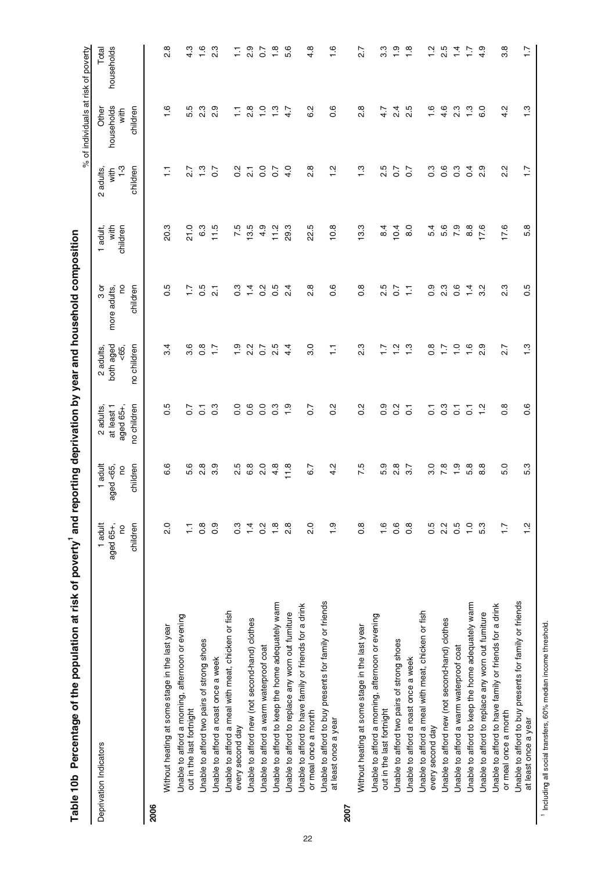|      |                                                                                |                                       |                                            |                                                                        |                                                  |                                              |                                 | $\delta$                                       | of individuals at risk of poverty       |                     |
|------|--------------------------------------------------------------------------------|---------------------------------------|--------------------------------------------|------------------------------------------------------------------------|--------------------------------------------------|----------------------------------------------|---------------------------------|------------------------------------------------|-----------------------------------------|---------------------|
|      | Deprivation Indicators                                                         | children<br>1 adult<br>aged 65+,<br>g | adult<br>children<br>$a$ ged <65<br>S<br>÷ | no children<br>at least 1<br>aged 65+,<br>adults,<br>$\mathbf{\Omega}$ | both aged<br>no children<br>$53 - 7$<br>2 adults | So<br>$3 \sigma$<br>children<br>more adults, | with<br>children<br>adult,<br>÷ | $1-3$<br>children<br>adults,<br>with<br>$\sim$ | households<br>children<br>Other<br>with | households<br>Total |
| 2006 |                                                                                |                                       |                                            |                                                                        |                                                  |                                              |                                 |                                                |                                         |                     |
|      | Without heating at some stage in the last year                                 | $\frac{0}{2}$                         | ဖ<br>ဖ                                     | Ю<br>ö                                                                 | 3.4                                              | πö<br>O                                      | ო<br>ä                          | ⊤.                                             | ِهِ                                     | ∞<br>۵i             |
|      | Unable to afford a morning, afternoon or evening<br>out in the last fortnight  | Ξ                                     | ဖ<br>ιó                                    | $\overline{c}$                                                         | 3.6                                              | $\ddot{ }$ :                                 | 21.0                            | 27                                             | гÚ<br>πò                                | 4.3                 |
|      | Unable to afford two pairs of strong shoes                                     | $\frac{8}{2}$                         | œ<br>$\mathbf{N}$                          | $\overline{c}$                                                         | $0.\overline{8}$                                 | 0.5                                          | 6.3                             | 1.3                                            | 23                                      | $\frac{6}{1}$       |
|      | Unable to afford a roast once a week                                           | 0.9                                   | တ<br>က                                     | ო<br>ö                                                                 | $\ddot{ }$                                       | $\overline{2}$                               | 11.5                            | $\overline{0}$                                 | 2.9                                     | 23                  |
|      | Unable to afford a meal with meat, chicken or fish<br>every second day         | $0.\overline{3}$                      | ю<br>N                                     | $\overline{0}$ .                                                       | $\frac{0}{1}$                                    | $0.\overline{3}$                             | 7.5                             | $\frac{2}{3}$                                  | Ξ                                       |                     |
|      | Unable to afford new (not second-hand) clothes                                 | $\overline{4}$                        | 6.8                                        | 0.6                                                                    | 2.2                                              | $1\frac{4}{1}$                               | 3.5                             | $\overline{\Omega}$                            | $\frac{8}{2}$                           | 2.9                 |
|      | Unable to afford a warm waterproof coat                                        | $0.\overline{2}$                      | $\frac{0}{2}$                              | 0.0                                                                    | $\overline{0.7}$                                 | $\frac{2}{5}$                                | 4.9                             | $\overline{0}$                                 | $\frac{0}{1}$                           | ွဲ                  |
|      | Unable to afford to keep the home adequately warm                              | $\frac{8}{1}$                         | 4.8                                        | $0.\overline{3}$                                                       | 2.5                                              | <b>S.O</b>                                   | 11.2                            | $\sim$                                         | 1.3                                     | 1.8                 |
|      | Unable to afford to replace any worn out furniture                             | $\frac{8}{2}$                         | 11.8                                       | $\frac{0}{1}$                                                          | 4.4                                              | 4<br>$\mathbf{\dot{a}}$                      | 29.3                            | 4.0                                            | 4.7                                     | 5.6                 |
|      | Unable to afford to have family or friends for a drink<br>or meal once a month | 2.0                                   | 6.7                                        | $\overline{0}$ .                                                       | 3.0                                              | $\infty$<br>۵i                               | ယ္<br>୍ଷ                        | $\frac{8}{2}$                                  | 6.2                                     | 4.8                 |
|      | Unable to afford to buy presents for family or friends<br>at least once a year | $\frac{0}{1}$                         | Ņ<br>4                                     | N<br>ö                                                                 | Ę                                                | ဖ<br>ö                                       | $\frac{8}{2}$                   | Ņ<br>÷                                         | $\frac{6}{1}$                           | $\frac{6}{1}$       |
| 2007 |                                                                                |                                       |                                            |                                                                        |                                                  |                                              |                                 |                                                |                                         |                     |
|      | Without heating at some stage in the last year                                 | $\frac{8}{2}$                         | 7.5                                        | $\frac{2}{3}$                                                          | 23                                               | $\frac{8}{2}$                                | 13.3                            | 1.3                                            | $\frac{8}{2}$                           | 27                  |
|      | Unable to afford a morning, afternoon or evening<br>out in the last fortnight  | $\frac{6}{1}$                         | თ<br>ယ                                     | 0.0                                                                    | 1.                                               | 2.5                                          | $\frac{4}{8}$                   | 2.5                                            | 4.7                                     | ო<br>က              |
|      | Unable to afford two pairs of strong shoes                                     | 0.6                                   | $\frac{8}{2}$                              | $\frac{2}{3}$                                                          | $\frac{1}{2}$                                    | $\overline{0}$                               | 10.4                            | 5                                              | $\frac{4}{2}$                           | $\frac{0}{1}$       |
|      | Unable to afford a roast once a week                                           | $0.\overline{8}$                      | 3.7                                        | $\overline{c}$                                                         | $\frac{3}{1}$                                    | Ξ                                            | 8.0                             | $\overline{0}$                                 | rö.<br>Νi                               | $\frac{8}{1}$       |
|      | Unable to afford a meal with meat, chicken or fish<br>every second day         | 0.5                                   | 3.0                                        | ွ                                                                      | $0.\overline{8}$                                 | တ<br>ö                                       | 5.4                             | $\frac{3}{2}$                                  | $\overline{6}$                          | $\frac{2}{1}$       |
|      | Unable to afford new (not second-hand) clothes                                 | 2.2                                   | $\overline{7}$ .8                          | $0.\overline{3}$                                                       | $\ddot{1}$                                       | $2.\overline{3}$                             | 5.6                             | 0.6                                            | 4.6                                     | 2.5                 |
|      | Unable to afford a warm waterproof coat                                        | 0.5                                   | $\frac{1}{1}$                              | $\overline{c}$                                                         | $\frac{1}{2}$                                    | $\frac{6}{2}$                                | $\overline{7}$ 0                | $\frac{3}{2}$                                  | 2.3                                     | $\dot{a}$           |
|      | Unable to afford to keep the home adequately warm                              | $\overline{1}$ .0                     | 5.8                                        | $\overline{O}$                                                         | $\frac{6}{1}$                                    | $\frac{1}{4}$                                | $\frac{8}{3}$                   | $\overline{0}$ .                               | 1.3                                     |                     |
|      | Unable to afford to replace any worn out furniture                             | 5.3                                   | œ<br>∞                                     | $\frac{2}{1}$                                                          | $\frac{8}{2}$                                    | N<br>ო                                       | 17.6                            | 2.9                                            | 6.0                                     | 4.9                 |
|      | Unable to afford to have family or friends for a drink<br>or meal once a month | $\ddot{ }$ :                          | 0<br>ιó                                    | $\infty$<br>ö                                                          | 2.7                                              | ო<br>Νi                                      | 17.6                            | N<br>Νi                                        | Ņ<br>4                                  | 3.8                 |
|      | Unable to afford to buy presents for family or friends<br>at least once a year | $\frac{2}{1}$                         | 5.3                                        | 0.6                                                                    | $\frac{3}{1}$                                    | 0.5                                          | 5.8                             | $\ddot{ }$ :                                   | $\frac{3}{1}$                           | $\ddot{ }$ :        |

Table 10b Percentage of the population at risk of poverty<sup>1</sup> and reporting deprivation by year and household composition Table 10b Percentage of the population at risk of poverty<sup>1</sup> and reporting deprivation by year and household composition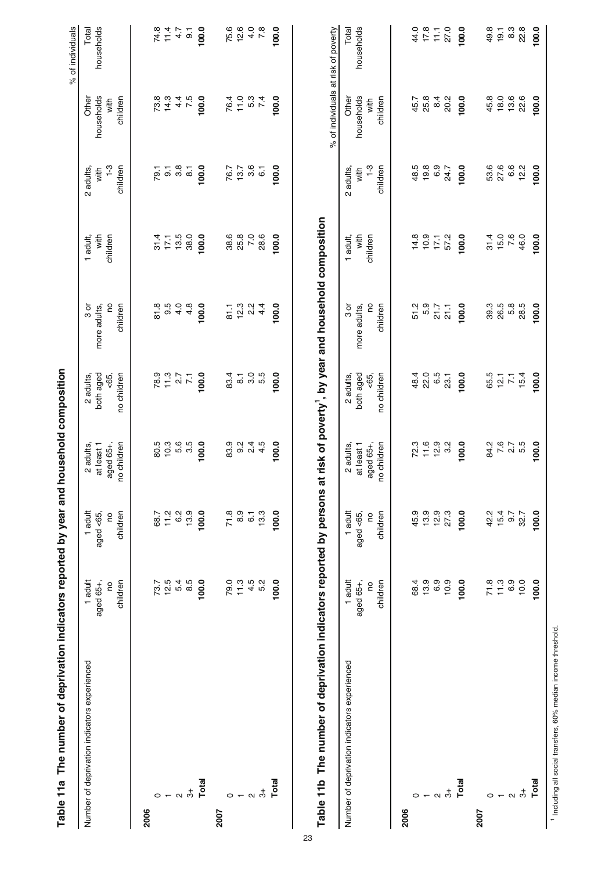|                   | Table 11a The number of deprivation indicators reported by year and |              |                  |                  | household composition |                                                                     |                            |                |                                     | % of individuals        |
|-------------------|---------------------------------------------------------------------|--------------|------------------|------------------|-----------------------|---------------------------------------------------------------------|----------------------------|----------------|-------------------------------------|-------------------------|
|                   | Number of deprivation indicators experienced                        | 1 adult      | 1 adult          | 2 adults,        | 2 adults,             | $3 \sigma$                                                          | 1 adult,                   | 2 adults,      | Other                               | Total                   |
|                   |                                                                     | aged 65+,    | aged <65,        | at least 1       | both aged             | more adults,                                                        | with                       | with           | households                          | households              |
|                   |                                                                     | <b>Sol</b>   | S                | aged 65+,        | <65,                  | S                                                                   | children                   | $7-3$          | with                                |                         |
|                   |                                                                     | children     | children         | no children      | no children           | children                                                            |                            | children       | children                            |                         |
| 2006              |                                                                     |              |                  |                  |                       |                                                                     |                            |                |                                     |                         |
| 0                 |                                                                     | 73.7         | 68.7             | 80.5             |                       | 81.8                                                                |                            |                |                                     |                         |
|                   |                                                                     | 12.5         | 11.2             | 10.3             |                       | 9.5                                                                 | $31.4$<br>$17.1$<br>$13.5$ |                | 73.8<br>14.3                        | $74.8$<br>11.4          |
| $\mathbf{\Omega}$ |                                                                     | 5.4          | 6.2              | 5.6              |                       | 4.0                                                                 |                            |                |                                     |                         |
|                   | $\vec{5}$                                                           | 8.5          | 13.9             | 3.5              | $78.77$<br>$75.77$    | 4.8                                                                 | 38.0                       |                | $4.\overline{5}$                    | $\frac{7}{1.5}$         |
|                   | Total                                                               | 100.0        | 100.0            | 100.0            | 100.0                 | 100.0                                                               | 100.0                      | 100.0          | 100.0                               | 100.0                   |
| 2007              |                                                                     |              |                  |                  |                       |                                                                     |                            |                |                                     |                         |
| 0                 |                                                                     | 79.0         |                  |                  | 83.4                  | $\overline{6}$                                                      |                            |                |                                     |                         |
| $\overline{ }$    |                                                                     | 11.3         | $71.8$<br>8.9    |                  | $\overline{\circ}$    | 12.3                                                                | 38.6<br>25.8               | 76.7<br>13.7   | 76.4<br>11.0                        | 75.6<br>12.6            |
|                   |                                                                     | $4.5$<br>5.2 | $\overline{6}$ . |                  | 3.5<br>5.5            | 22                                                                  | 7.0                        | 3.6            |                                     | $4.\overline{0}$<br>7.8 |
|                   | $\alpha$ $\stackrel{+}{\circ}$                                      |              | 13.3             |                  |                       | 4.4                                                                 | 28.6                       | $\overline{6}$ | 5.3<br>7.4                          |                         |
|                   | Total                                                               | 100.0        | 100.0            | 100.0            | 100.0                 | 100.0                                                               | 100.0                      | 100.0          | 100.0                               | 100.0                   |
|                   |                                                                     |              |                  |                  |                       | at risk of poverty <sup>1</sup> , by year and household composition |                            |                | % of individuals at risk of poverty |                         |
|                   | Number of deprivation indicators experienced                        | 1 adult      | 1 adult          | 2 adults,        | 2 adults,             | შ<br>მ                                                              | 1 adult,                   | 2 adults       | Other                               | Total                   |
|                   |                                                                     | aged 65+,    | aged <65,        | at least 1       | both aged             | more adults,                                                        | with                       | with           | households                          | households              |
|                   |                                                                     | 0q           | <b>DO</b>        | aged 65+,        | <65,                  |                                                                     | children                   | $1 - 3$        | with                                |                         |
|                   |                                                                     | children     | children         | no children      | no children           | children                                                            |                            | children       | children                            |                         |
| 2006              |                                                                     |              |                  |                  |                       |                                                                     |                            |                |                                     |                         |
| 0                 |                                                                     | 68.4         | 45.9             | 72.3             | 48.4                  | 51.2                                                                | 14.8                       | 48.5           | 45.7                                | 44.0                    |
|                   |                                                                     | 13.9         | 13.9             | $11.6$<br>$12.9$ | 22.0                  | 5.9                                                                 | 17.1                       | 19.8           | 25.8                                | 17.8                    |
| $\sim$            |                                                                     | 6.9          | 12.9             |                  | 6.5                   | 21.7                                                                |                            | 6.9            | 8.4                                 | $\overline{11}$         |
|                   | $\dot{5}$                                                           | 10.9         | 27.3             | 3.2              | 23.1                  | 21.1                                                                | 57.2                       | 24.7           | 20.2                                | 27.0                    |
|                   | Total                                                               | 100.0        | 100.0            | 100.0            | 100.0                 | 100.0                                                               | 100.0                      | 100.0          | 100.0                               | 100.0                   |
| 2007              |                                                                     |              |                  |                  |                       |                                                                     |                            |                |                                     |                         |
| 0                 |                                                                     | 71.8         | 42.2             | 84.2             | 65.5<br>12.1<br>7.1   | 39.3                                                                | $31.4$<br>15.0             | 53.6           | 45.8                                | 49.8                    |
| $\overline{ }$    |                                                                     | 11.3<br>6.9  | 15.4<br>9.7      | $7.6$<br>2.7     |                       | 26.5<br>5.8                                                         | 7.6                        | 27.6<br>6.6    | 18.0<br>13.6                        | 8.3<br>19.1             |
|                   | $\alpha$ $\stackrel{+}{\circ}$                                      | 10.0         | 32.7             | 5.5              | 15.4                  | 28.5                                                                | 46.0                       | 12.2           | 22.6                                | 22.8                    |
|                   | Total                                                               | 100.0        | 100.0            | 100.0            | 100.0                 | 100.0                                                               | 100.0                      | 100.0          | 100.0                               | 100.0                   |
|                   |                                                                     |              |                  |                  |                       |                                                                     |                            |                |                                     |                         |

23

<sup>1</sup> Including all social transfers, 60% median income threshold. Including all social transfers, 60% median income threshold.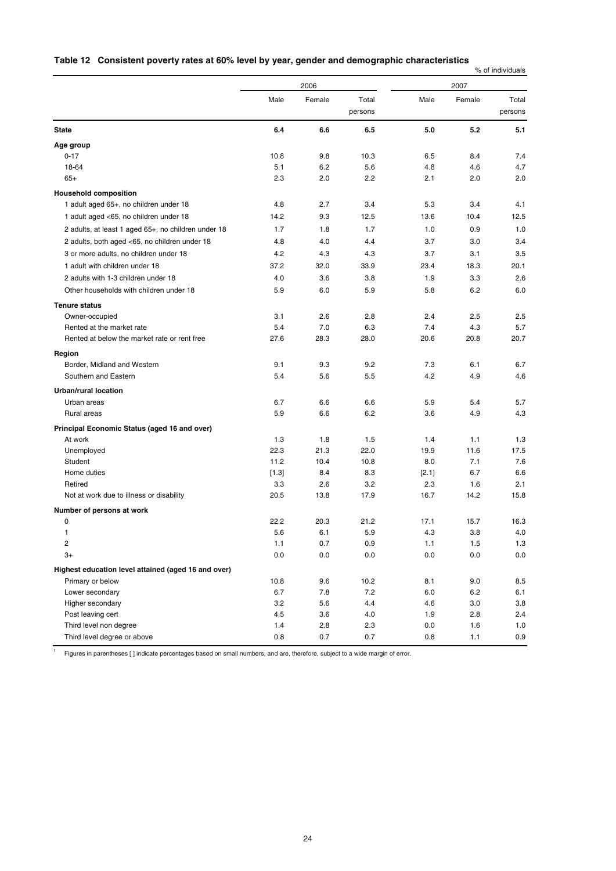### **Table 12 Consistent poverty rates at 60% level by year, gender and demographic characteristics**

% of individuals

|                                                     |            | 2006       |                  |            | 2007       |                  |
|-----------------------------------------------------|------------|------------|------------------|------------|------------|------------------|
|                                                     | Male       | Female     | Total<br>persons | Male       | Female     | Total<br>persons |
| <b>State</b>                                        | 6.4        | 6.6        | 6.5              | 5.0        | 5.2        | 5.1              |
| Age group                                           |            |            |                  |            |            |                  |
| $0 - 17$                                            | 10.8       | 9.8        | 10.3             | 6.5        | 8.4        | 7.4              |
| 18-64                                               | 5.1        | 6.2        | 5.6              | 4.8        | 4.6        | 4.7              |
| $65+$                                               | 2.3        | 2.0        | 2.2              | 2.1        | 2.0        | 2.0              |
| <b>Household composition</b>                        |            |            |                  |            |            |                  |
| 1 adult aged 65+, no children under 18              | 4.8        | 2.7        | 3.4              | 5.3        | 3.4        | 4.1              |
| 1 adult aged <65, no children under 18              | 14.2       | 9.3        | 12.5             | 13.6       | 10.4       | 12.5             |
| 2 adults, at least 1 aged 65+, no children under 18 | 1.7        | 1.8        | 1.7              | 1.0        | 0.9        | 1.0              |
| 2 adults, both aged <65, no children under 18       | 4.8        | 4.0        | 4.4              | 3.7        | 3.0        | 3.4              |
| 3 or more adults, no children under 18              | 4.2        | 4.3        | 4.3              | 3.7        | 3.1        | 3.5              |
| 1 adult with children under 18                      | 37.2       | 32.0       | 33.9             | 23.4       | 18.3       | 20.1             |
| 2 adults with 1-3 children under 18                 | 4.0        | 3.6        | 3.8              | 1.9        | 3.3        | 2.6              |
| Other households with children under 18             | 5.9        | 6.0        | 5.9              | 5.8        | 6.2        | 6.0              |
|                                                     |            |            |                  |            |            |                  |
| <b>Tenure status</b>                                | 3.1        | 2.6        | 2.8              | 2.4        | 2.5        | 2.5              |
| Owner-occupied<br>Rented at the market rate         | 5.4        | 7.0        | 6.3              | 7.4        | 4.3        | 5.7              |
| Rented at below the market rate or rent free        | 27.6       | 28.3       | 28.0             | 20.6       | 20.8       | 20.7             |
|                                                     |            |            |                  |            |            |                  |
| Region                                              |            |            |                  |            |            |                  |
| Border, Midland and Western<br>Southern and Eastern | 9.1<br>5.4 | 9.3<br>5.6 | 9.2<br>5.5       | 7.3<br>4.2 | 6.1<br>4.9 | 6.7<br>4.6       |
|                                                     |            |            |                  |            |            |                  |
| <b>Urban/rural location</b>                         |            |            |                  |            |            |                  |
| Urban areas                                         | 6.7        | 6.6        | 6.6              | 5.9        | 5.4        | 5.7              |
| Rural areas                                         | 5.9        | 6.6        | 6.2              | 3.6        | 4.9        | 4.3              |
| Principal Economic Status (aged 16 and over)        |            |            |                  |            |            |                  |
| At work                                             | 1.3        | 1.8        | 1.5              | 1.4        | 1.1        | 1.3              |
| Unemployed                                          | 22.3       | 21.3       | 22.0             | 19.9       | 11.6       | 17.5             |
| Student                                             | 11.2       | 10.4       | 10.8             | 8.0        | 7.1        | 7.6              |
| Home duties                                         | $[1.3]$    | 8.4        | 8.3              | $[2.1]$    | 6.7        | 6.6              |
| Retired                                             | 3.3        | 2.6        | 3.2              | 2.3        | 1.6        | 2.1              |
| Not at work due to illness or disability            | 20.5       | 13.8       | 17.9             | 16.7       | 14.2       | 15.8             |
| Number of persons at work                           |            |            |                  |            |            |                  |
| 0                                                   | 22.2       | 20.3       | 21.2             | 17.1       | 15.7       | 16.3             |
| 1                                                   | 5.6        | 6.1        | 5.9              | 4.3        | 3.8        | 4.0              |
| 2                                                   | 1.1        | 0.7        | $0.9\,$          | 1.1        | 1.5        | $1.3$            |
| $3+$                                                | 0.0        | 0.0        | 0.0              | 0.0        | 0.0        | 0.0              |
| Highest education level attained (aged 16 and over) |            |            |                  |            |            |                  |
| Primary or below                                    | 10.8       | 9.6        | 10.2             | 8.1        | 9.0        | 8.5              |
| Lower secondary                                     | 6.7        | 7.8        | 7.2              | 6.0        | 6.2        | 6.1              |
| Higher secondary                                    | 3.2        | 5.6        | 4.4              | 4.6        | 3.0        | 3.8              |
| Post leaving cert                                   | 4.5        | 3.6        | 4.0              | 1.9        | 2.8        | 2.4              |
| Third level non degree                              | 1.4        | 2.8        | 2.3              | 0.0        | 1.6        | 1.0              |
| Third level degree or above                         | 0.8        | 0.7        | 0.7              | 0.8        | 1.1        | 0.9              |

<sup>1</sup> Figures in parentheses [ ] indicate percentages based on small numbers, and are, therefore, subject to a wide margin of error.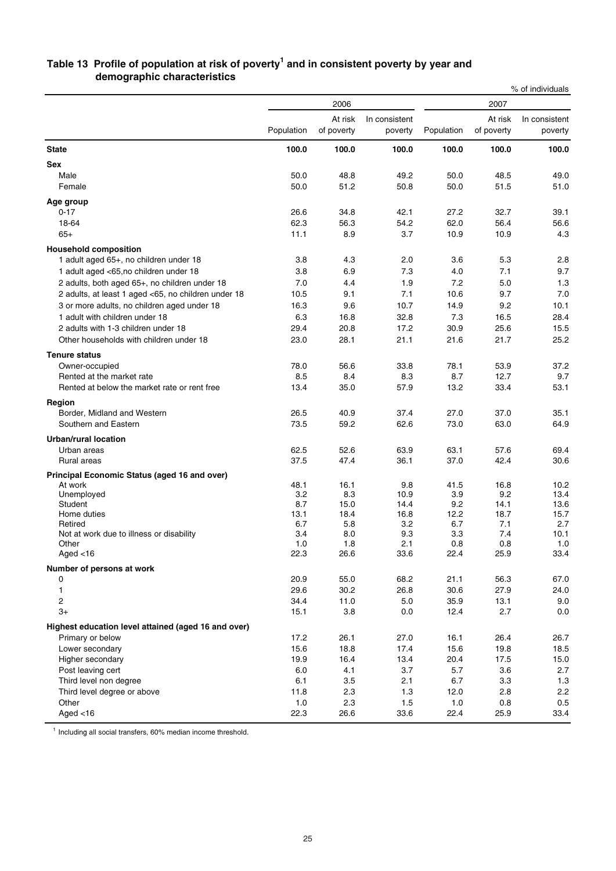### **Table 13 Profile of population at risk of poverty1 and in consistent poverty by year and demographic characteristics**

|                                                       |             |                       |                          |             |                       | % of individuals         |
|-------------------------------------------------------|-------------|-----------------------|--------------------------|-------------|-----------------------|--------------------------|
|                                                       |             | 2006                  |                          |             | 2007                  |                          |
|                                                       | Population  | At risk<br>of poverty | In consistent<br>poverty | Population  | At risk<br>of poverty | In consistent<br>poverty |
| <b>State</b>                                          | 100.0       | 100.0                 | 100.0                    | 100.0       | 100.0                 | 100.0                    |
| <b>Sex</b>                                            |             |                       |                          |             |                       |                          |
| Male                                                  | 50.0        | 48.8                  | 49.2                     | 50.0        | 48.5                  | 49.0                     |
| Female                                                | 50.0        | 51.2                  | 50.8                     | 50.0        | 51.5                  | 51.0                     |
| Age group                                             |             |                       |                          |             |                       |                          |
| $0 - 17$                                              | 26.6        | 34.8                  | 42.1                     | 27.2        | 32.7                  | 39.1                     |
| 18-64                                                 | 62.3        | 56.3                  | 54.2                     | 62.0        | 56.4                  | 56.6                     |
| $65+$                                                 | 11.1        | 8.9                   | 3.7                      | 10.9        | 10.9                  | 4.3                      |
| <b>Household composition</b>                          |             |                       |                          |             |                       |                          |
| 1 adult aged 65+, no children under 18                | 3.8         | 4.3                   | 2.0                      | 3.6         | 5.3                   | 2.8                      |
| 1 adult aged <65,no children under 18                 | 3.8         | 6.9                   | 7.3                      | 4.0         | 7.1                   | 9.7                      |
| 2 adults, both aged 65+, no children under 18         | 7.0         | 4.4                   | 1.9                      | 7.2         | 5.0                   | 1.3                      |
| 2 adults, at least 1 aged <65, no children under 18   | 10.5        | 9.1                   | 7.1                      | 10.6        | 9.7                   | 7.0                      |
| 3 or more adults, no children aged under 18           | 16.3        | 9.6                   | 10.7                     | 14.9        | 9.2                   | 10.1                     |
| 1 adult with children under 18                        | 6.3         | 16.8                  | 32.8                     | 7.3         | 16.5                  | 28.4                     |
| 2 adults with 1-3 children under 18                   | 29.4        | 20.8                  | 17.2                     | 30.9        | 25.6                  | 15.5                     |
| Other households with children under 18               | 23.0        | 28.1                  | 21.1                     | 21.6        | 21.7                  | 25.2                     |
| <b>Tenure status</b>                                  |             |                       |                          |             |                       |                          |
| Owner-occupied                                        | 78.0        | 56.6                  | 33.8                     | 78.1        | 53.9                  | 37.2                     |
| Rented at the market rate                             | 8.5         | 8.4                   | 8.3                      | 8.7         | 12.7                  | 9.7                      |
| Rented at below the market rate or rent free          | 13.4        | 35.0                  | 57.9                     | 13.2        | 33.4                  | 53.1                     |
| Region                                                |             |                       |                          |             |                       |                          |
| Border, Midland and Western                           | 26.5        | 40.9                  | 37.4                     | 27.0        | 37.0                  | 35.1                     |
| Southern and Eastern                                  | 73.5        | 59.2                  | 62.6                     | 73.0        | 63.0                  | 64.9                     |
| <b>Urban/rural location</b>                           |             |                       |                          |             |                       |                          |
| Urban areas                                           | 62.5        | 52.6                  | 63.9                     | 63.1        | 57.6                  | 69.4                     |
| Rural areas                                           | 37.5        | 47.4                  | 36.1                     | 37.0        | 42.4                  | 30.6                     |
| Principal Economic Status (aged 16 and over)          |             |                       |                          |             |                       |                          |
| At work                                               | 48.1        | 16.1                  | 9.8                      | 41.5        | 16.8                  | 10.2                     |
| Unemployed                                            | 3.2         | 8.3                   | 10.9                     | 3.9         | 9.2                   | 13.4                     |
| Student<br>Home duties                                | 8.7         | 15.0                  | 14.4                     | 9.2         | 14.1                  | 13.6                     |
| Retired                                               | 13.1<br>6.7 | 18.4<br>5.8           | 16.8<br>3.2              | 12.2<br>6.7 | 18.7<br>7.1           | 15.7<br>2.7              |
| Not at work due to illness or disability              | 3.4         | 8.0                   | 9.3                      | 3.3         | 7.4                   | 10.1                     |
| Other                                                 | 1.0         | 1.8                   | 2.1                      | 0.8         | 0.8                   | 1.0                      |
| Aged $<$ 16                                           | 22.3        | 26.6                  | 33.6                     | 22.4        | 25.9                  | 33.4                     |
| Number of persons at work                             |             |                       |                          |             |                       |                          |
| 0                                                     | 20.9        | 55.0                  | 68.2                     | 21.1        | 56.3                  | 67.0                     |
| 1                                                     | 29.6        | 30.2                  | 26.8                     | 30.6        | 27.9                  | 24.0                     |
| 2                                                     | 34.4        | 11.0                  | 5.0                      | 35.9        | 13.1                  | 9.0                      |
| $3+$                                                  | 15.1        | 3.8                   | 0.0                      | 12.4        | 2.7                   | 0.0                      |
| Highest education level attained (aged 16 and over)   |             |                       |                          |             |                       |                          |
| Primary or below                                      | 17.2        | 26.1                  | 27.0                     | 16.1        | 26.4                  | 26.7                     |
| Lower secondary                                       | 15.6        | 18.8                  | 17.4                     | 15.6        | 19.8                  | 18.5                     |
| Higher secondary                                      | 19.9        | 16.4                  | 13.4                     | 20.4        | 17.5                  | 15.0                     |
| Post leaving cert                                     | 6.0         | 4.1                   | 3.7                      | 5.7         | 3.6                   | 2.7                      |
| Third level non degree<br>Third level degree or above | 6.1<br>11.8 | 3.5<br>2.3            | 2.1<br>1.3               | 6.7<br>12.0 | 3.3<br>2.8            | 1.3<br>2.2               |
| Other                                                 | 1.0         | 2.3                   | 1.5                      | 1.0         | 0.8                   | 0.5                      |
| Aged $<$ 16                                           | 22.3        | 26.6                  | 33.6                     | 22.4        | 25.9                  | 33.4                     |

<sup>1</sup> Including all social transfers, 60% median income threshold.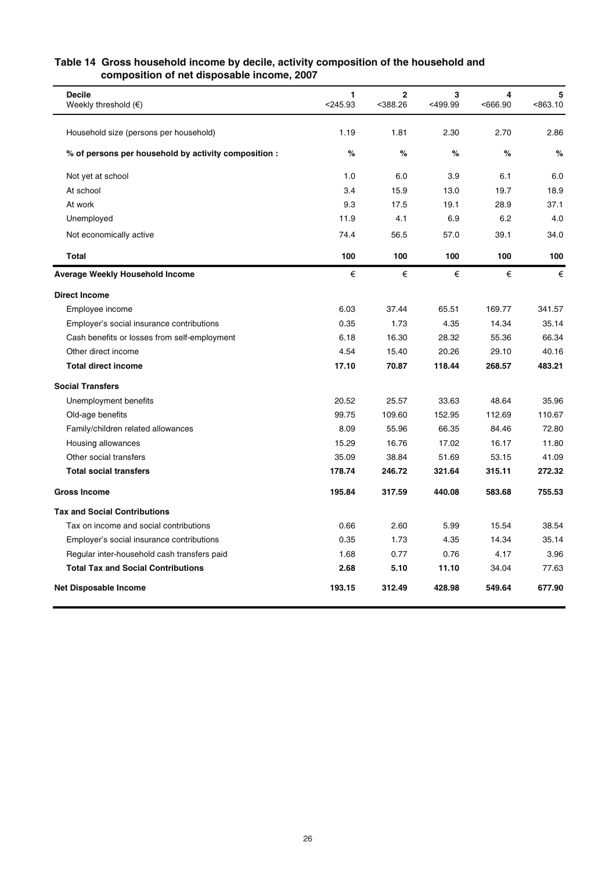| composition of net disposable income, 2007           |                 |                              |              |              |               |
|------------------------------------------------------|-----------------|------------------------------|--------------|--------------|---------------|
| <b>Decile</b><br>Weekly threshold $(\epsilon)$       | 1<br>$<$ 245.93 | $\overline{2}$<br>$<$ 388.26 | 3<br><499.99 | 4<br><666.90 | 5<br>< 863.10 |
| Household size (persons per household)               | 1.19            | 1.81                         | 2.30         | 2.70         | 2.86          |
| % of persons per household by activity composition : | %               | %                            | %            | %            | $\%$          |
| Not yet at school                                    | 1.0             | 6.0                          | 3.9          | 6.1          | 6.0           |
| At school                                            | 3.4             | 15.9                         | 13.0         | 19.7         | 18.9          |
| At work                                              | 9.3             | 17.5                         | 19.1         | 28.9         | 37.1          |
| Unemployed                                           | 11.9            | 4.1                          | 6.9          | 6.2          | 4.0           |
| Not economically active                              | 74.4            | 56.5                         | 57.0         | 39.1         | 34.0          |
| <b>Total</b>                                         | 100             | 100                          | 100          | 100          | 100           |
| <b>Average Weekly Household Income</b>               | €               | €                            | €            | €            | €             |
| <b>Direct Income</b>                                 |                 |                              |              |              |               |
| Employee income                                      | 6.03            | 37.44                        | 65.51        | 169.77       | 341.57        |
| Employer's social insurance contributions            | 0.35            | 1.73                         | 4.35         | 14.34        | 35.14         |
| Cash benefits or losses from self-employment         | 6.18            | 16.30                        | 28.32        | 55.36        | 66.34         |
| Other direct income                                  | 4.54            | 15.40                        | 20.26        | 29.10        | 40.16         |
| <b>Total direct income</b>                           | 17.10           | 70.87                        | 118.44       | 268.57       | 483.21        |
| <b>Social Transfers</b>                              |                 |                              |              |              |               |
| Unemployment benefits                                | 20.52           | 25.57                        | 33.63        | 48.64        | 35.96         |
| Old-age benefits                                     | 99.75           | 109.60                       | 152.95       | 112.69       | 110.67        |
| Family/children related allowances                   | 8.09            | 55.96                        | 66.35        | 84.46        | 72.80         |
| Housing allowances                                   | 15.29           | 16.76                        | 17.02        | 16.17        | 11.80         |
| Other social transfers                               | 35.09           | 38.84                        | 51.69        | 53.15        | 41.09         |
| <b>Total social transfers</b>                        | 178.74          | 246.72                       | 321.64       | 315.11       | 272.32        |
| <b>Gross Income</b>                                  | 195.84          | 317.59                       | 440.08       | 583.68       | 755.53        |
| <b>Tax and Social Contributions</b>                  |                 |                              |              |              |               |
| Tax on income and social contributions               | 0.66            | 2.60                         | 5.99         | 15.54        | 38.54         |
| Employer's social insurance contributions            | 0.35            | 1.73                         | 4.35         | 14.34        | 35.14         |
| Regular inter-household cash transfers paid          | 1.68            | 0.77                         | 0.76         | 4.17         | 3.96          |
| <b>Total Tax and Social Contributions</b>            | 2.68            | 5.10                         | 11.10        | 34.04        | 77.63         |
| <b>Net Disposable Income</b>                         | 193.15          | 312.49                       | 428.98       | 549.64       | 677.90        |

### **Table 14 Gross household income by decile, activity composition of the household and composition of net disposable income, 2007**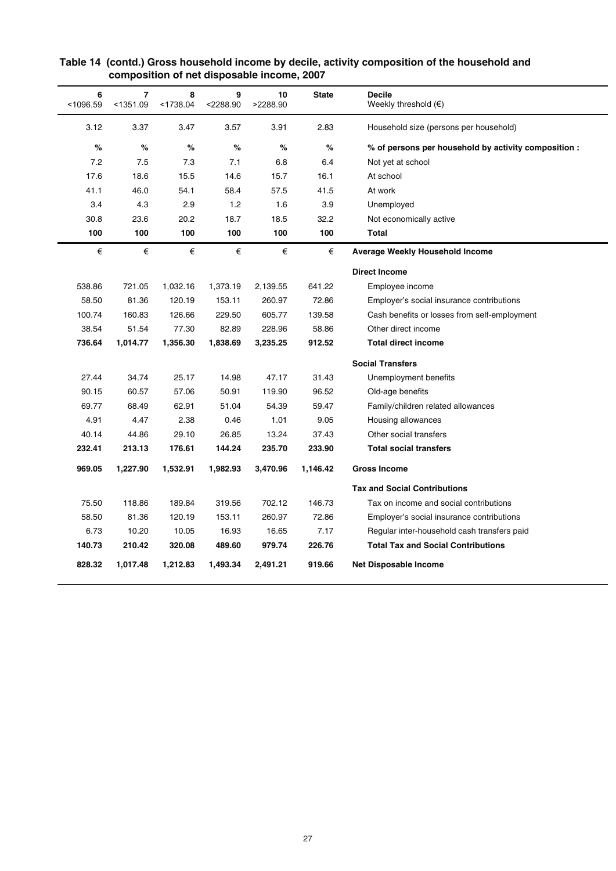| 6<br>< 1096.59 | 7<br>< 1351.09 | 8<br>< 1738.04 | 9<br>$<$ 2288.90 | 10<br>>2288.90 | <b>State</b> | <b>Decile</b><br>Weekly threshold $(\epsilon)$       |
|----------------|----------------|----------------|------------------|----------------|--------------|------------------------------------------------------|
| 3.12           | 3.37           | 3.47           | 3.57             | 3.91           | 2.83         | Household size (persons per household)               |
| %              | %              | %              | %                | %              | $\%$         | % of persons per household by activity composition : |
| 7.2            | 7.5            | 7.3            | 7.1              | 6.8            | 6.4          | Not yet at school                                    |
| 17.6           | 18.6           | 15.5           | 14.6             | 15.7           | 16.1         | At school                                            |
| 41.1           | 46.0           | 54.1           | 58.4             | 57.5           | 41.5         | At work                                              |
| 3.4            | 4.3            | 2.9            | 1.2              | 1.6            | 3.9          | Unemployed                                           |
| 30.8           | 23.6           | 20.2           | 18.7             | 18.5           | 32.2         | Not economically active                              |
| 100            | 100            | 100            | 100              | 100            | 100          | <b>Total</b>                                         |
| €              | €              | €              | €                | €              | €            | <b>Average Weekly Household Income</b>               |
|                |                |                |                  |                |              | <b>Direct Income</b>                                 |
| 538.86         | 721.05         | 1,032.16       | 1,373.19         | 2,139.55       | 641.22       | Employee income                                      |
| 58.50          | 81.36          | 120.19         | 153.11           | 260.97         | 72.86        | Employer's social insurance contributions            |
| 100.74         | 160.83         | 126.66         | 229.50           | 605.77         | 139.58       | Cash benefits or losses from self-employment         |
| 38.54          | 51.54          | 77.30          | 82.89            | 228.96         | 58.86        | Other direct income                                  |
| 736.64         | 1,014.77       | 1,356.30       | 1,838.69         | 3,235.25       | 912.52       | <b>Total direct income</b>                           |
|                |                |                |                  |                |              | <b>Social Transfers</b>                              |
| 27.44          | 34.74          | 25.17          | 14.98            | 47.17          | 31.43        | Unemployment benefits                                |
| 90.15          | 60.57          | 57.06          | 50.91            | 119.90         | 96.52        | Old-age benefits                                     |
| 69.77          | 68.49          | 62.91          | 51.04            | 54.39          | 59.47        | Family/children related allowances                   |
| 4.91           | 4.47           | 2.38           | 0.46             | 1.01           | 9.05         | Housing allowances                                   |
| 40.14          | 44.86          | 29.10          | 26.85            | 13.24          | 37.43        | Other social transfers                               |
| 232.41         | 213.13         | 176.61         | 144.24           | 235.70         | 233.90       | <b>Total social transfers</b>                        |
| 969.05         | 1,227.90       | 1,532.91       | 1,982.93         | 3,470.96       | 1,146.42     | <b>Gross Income</b>                                  |
|                |                |                |                  |                |              | <b>Tax and Social Contributions</b>                  |
| 75.50          | 118.86         | 189.84         | 319.56           | 702.12         | 146.73       | Tax on income and social contributions               |
| 58.50          | 81.36          | 120.19         | 153.11           | 260.97         | 72.86        | Employer's social insurance contributions            |
| 6.73           | 10.20          | 10.05          | 16.93            | 16.65          | 7.17         | Regular inter-household cash transfers paid          |
| 140.73         | 210.42         | 320.08         | 489.60           | 979.74         | 226.76       | <b>Total Tax and Social Contributions</b>            |
| 828.32         | 1,017.48       | 1,212.83       | 1,493.34         | 2,491.21       | 919.66       | <b>Net Disposable Income</b>                         |

### **Table 14 (contd.) Gross household income by decile, activity composition of the household and composition of net disposable income, 2007**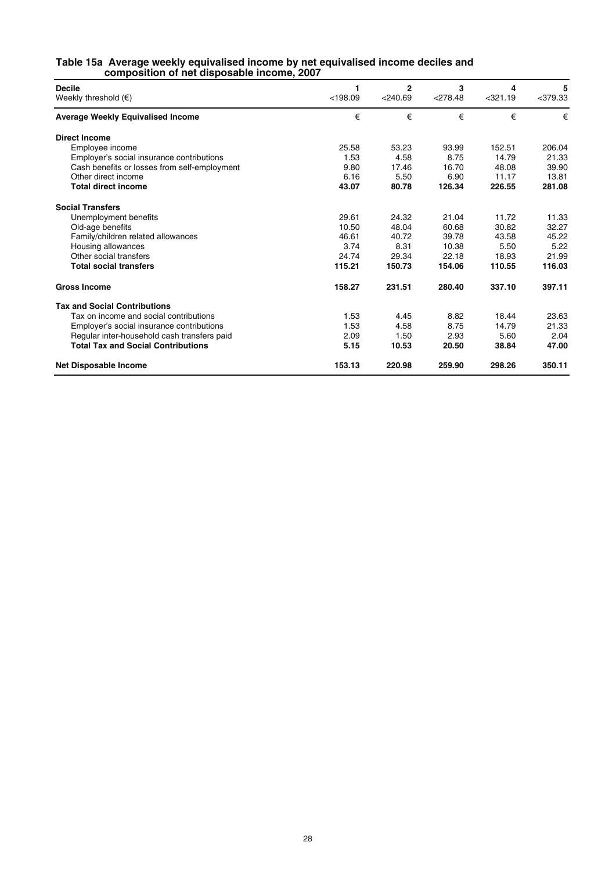#### **Table 15a Average weekly equivalised income by net equivalised income deciles and composition of net disposable income, 2007**

| <b>Decile</b><br>Weekly threshold $(\epsilon)$ | 1<br>< 198.09 | 2<br>$<$ 240.69 | 3<br>$<$ 278.48 | 4<br>$<$ 321.19 | 5<br>$<$ 379.33 |
|------------------------------------------------|---------------|-----------------|-----------------|-----------------|-----------------|
| <b>Average Weekly Equivalised Income</b>       | €             | €               | €               | €               | €               |
| <b>Direct Income</b>                           |               |                 |                 |                 |                 |
| Employee income                                | 25.58         | 53.23           | 93.99           | 152.51          | 206.04          |
| Employer's social insurance contributions      | 1.53          | 4.58            | 8.75            | 14.79           | 21.33           |
| Cash benefits or losses from self-employment   | 9.80          | 17.46           | 16.70           | 48.08           | 39.90           |
| Other direct income                            | 6.16          | 5.50            | 6.90            | 11.17           | 13.81           |
| <b>Total direct income</b>                     | 43.07         | 80.78           | 126.34          | 226.55          | 281.08          |
| <b>Social Transfers</b>                        |               |                 |                 |                 |                 |
| Unemployment benefits                          | 29.61         | 24.32           | 21.04           | 11.72           | 11.33           |
| Old-age benefits                               | 10.50         | 48.04           | 60.68           | 30.82           | 32.27           |
| Family/children related allowances             | 46.61         | 40.72           | 39.78           | 43.58           | 45.22           |
| Housing allowances                             | 3.74          | 8.31            | 10.38           | 5.50            | 5.22            |
| Other social transfers                         | 24.74         | 29.34           | 22.18           | 18.93           | 21.99           |
| <b>Total social transfers</b>                  | 115.21        | 150.73          | 154.06          | 110.55          | 116.03          |
| <b>Gross Income</b>                            | 158.27        | 231.51          | 280.40          | 337.10          | 397.11          |
| <b>Tax and Social Contributions</b>            |               |                 |                 |                 |                 |
| Tax on income and social contributions         | 1.53          | 4.45            | 8.82            | 18.44           | 23.63           |
| Employer's social insurance contributions      | 1.53          | 4.58            | 8.75            | 14.79           | 21.33           |
| Regular inter-household cash transfers paid    | 2.09          | 1.50            | 2.93            | 5.60            | 2.04            |
| <b>Total Tax and Social Contributions</b>      | 5.15          | 10.53           | 20.50           | 38.84           | 47.00           |
| <b>Net Disposable Income</b>                   | 153.13        | 220.98          | 259.90          | 298.26          | 350.11          |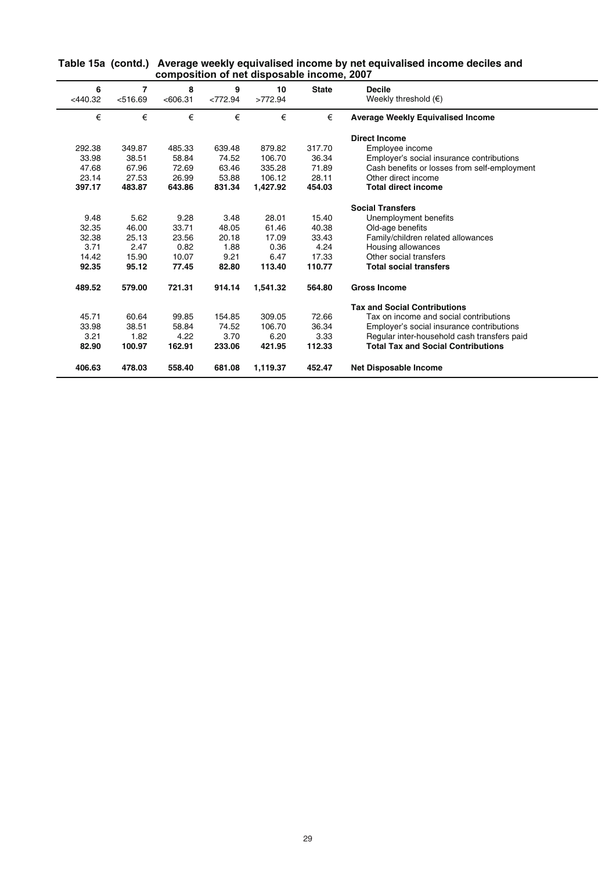| Table 15a (contd.) Average weekly equivalised income by net equivalised income deciles and |
|--------------------------------------------------------------------------------------------|
| composition of net disposable income, 2007                                                 |

| 6<br>$<$ 440.32 | 7<br>< 516.69 | 8<br>< 606.31 | 9<br><772.94 | 10<br>>772.94 | <b>State</b> | <b>Decile</b><br>Weekly threshold $(\epsilon)$ |
|-----------------|---------------|---------------|--------------|---------------|--------------|------------------------------------------------|
| €               | €             | €             | €            | €             | €            | <b>Average Weekly Equivalised Income</b>       |
|                 |               |               |              |               |              | <b>Direct Income</b>                           |
| 292.38          | 349.87        | 485.33        | 639.48       | 879.82        | 317.70       | Employee income                                |
| 33.98           | 38.51         | 58.84         | 74.52        | 106.70        | 36.34        | Employer's social insurance contributions      |
| 47.68           | 67.96         | 72.69         | 63.46        | 335.28        | 71.89        | Cash benefits or losses from self-employment   |
| 23.14           | 27.53         | 26.99         | 53.88        | 106.12        | 28.11        | Other direct income                            |
| 397.17          | 483.87        | 643.86        | 831.34       | 1,427.92      | 454.03       | <b>Total direct income</b>                     |
|                 |               |               |              |               |              | <b>Social Transfers</b>                        |
| 9.48            | 5.62          | 9.28          | 3.48         | 28.01         | 15.40        | Unemployment benefits                          |
| 32.35           | 46.00         | 33.71         | 48.05        | 61.46         | 40.38        | Old-age benefits                               |
| 32.38           | 25.13         | 23.56         | 20.18        | 17.09         | 33.43        | Family/children related allowances             |
| 3.71            | 2.47          | 0.82          | 1.88         | 0.36          | 4.24         | Housing allowances                             |
| 14.42           | 15.90         | 10.07         | 9.21         | 6.47          | 17.33        | Other social transfers                         |
| 92.35           | 95.12         | 77.45         | 82.80        | 113.40        | 110.77       | <b>Total social transfers</b>                  |
| 489.52          | 579.00        | 721.31        | 914.14       | 1,541.32      | 564.80       | <b>Gross Income</b>                            |
|                 |               |               |              |               |              | <b>Tax and Social Contributions</b>            |
| 45.71           | 60.64         | 99.85         | 154.85       | 309.05        | 72.66        | Tax on income and social contributions         |
| 33.98           | 38.51         | 58.84         | 74.52        | 106.70        | 36.34        | Employer's social insurance contributions      |
| 3.21            | 1.82          | 4.22          | 3.70         | 6.20          | 3.33         | Regular inter-household cash transfers paid    |
| 82.90           | 100.97        | 162.91        | 233.06       | 421.95        | 112.33       | <b>Total Tax and Social Contributions</b>      |
| 406.63          | 478.03        | 558.40        | 681.08       | 1,119.37      | 452.47       | <b>Net Disposable Income</b>                   |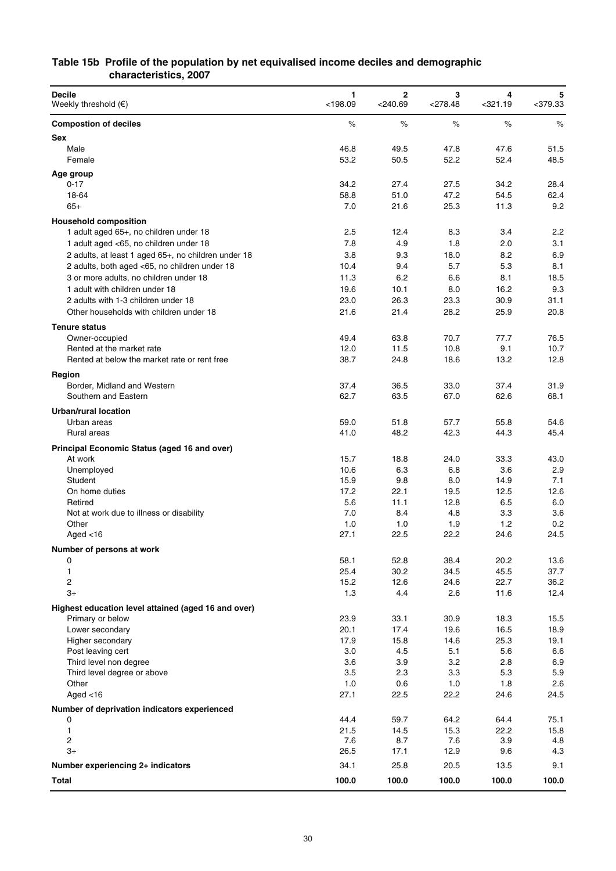### **Table 15b Profile of the population by net equivalised income deciles and demographic characteristics, 2007**

| <b>Decile</b><br>Weekly threshold $(\epsilon)$      | 1<br>$<$ 198.09 | $\mathbf 2$<br>$<$ 240.69 | 3<br>$<$ 278.48 | 4<br>$<$ 321.19 | 5<br>$<$ 379.33 |
|-----------------------------------------------------|-----------------|---------------------------|-----------------|-----------------|-----------------|
| <b>Compostion of deciles</b>                        | $\%$            | $\%$                      | $\%$            | $\%$            | $\%$            |
| Sex                                                 |                 |                           |                 |                 |                 |
| Male                                                | 46.8            | 49.5                      | 47.8            | 47.6            | 51.5            |
| Female                                              | 53.2            | 50.5                      | 52.2            | 52.4            | 48.5            |
| Age group                                           |                 |                           |                 |                 |                 |
| $0 - 17$<br>18-64                                   | 34.2<br>58.8    | 27.4<br>51.0              | 27.5<br>47.2    | 34.2<br>54.5    | 28.4<br>62.4    |
| $65+$                                               | 7.0             | 21.6                      | 25.3            | 11.3            | 9.2             |
| <b>Household composition</b>                        |                 |                           |                 |                 |                 |
| 1 adult aged 65+, no children under 18              | 2.5             | 12.4                      | 8.3             | 3.4             | 2.2             |
| 1 adult aged <65, no children under 18              | 7.8             | 4.9                       | 1.8             | 2.0             | 3.1             |
| 2 adults, at least 1 aged 65+, no children under 18 | 3.8             | 9.3                       | 18.0            | 8.2             | 6.9             |
| 2 adults, both aged <65, no children under 18       | 10.4            | 9.4                       | 5.7             | 5.3             | 8.1             |
| 3 or more adults, no children under 18              | 11.3            | 6.2                       | 6.6             | 8.1             | 18.5            |
| 1 adult with children under 18                      | 19.6            | 10.1                      | 8.0             | 16.2            | 9.3             |
| 2 adults with 1-3 children under 18                 | 23.0            | 26.3                      | 23.3            | 30.9            | 31.1            |
| Other households with children under 18             | 21.6            | 21.4                      | 28.2            | 25.9            | 20.8            |
| <b>Tenure status</b>                                |                 |                           |                 |                 |                 |
| Owner-occupied<br>Rented at the market rate         | 49.4<br>12.0    | 63.8<br>11.5              | 70.7<br>10.8    | 77.7<br>9.1     | 76.5<br>10.7    |
| Rented at below the market rate or rent free        | 38.7            | 24.8                      | 18.6            | 13.2            | 12.8            |
|                                                     |                 |                           |                 |                 |                 |
| Region<br>Border, Midland and Western               | 37.4            | 36.5                      | 33.0            | 37.4            | 31.9            |
| Southern and Eastern                                | 62.7            | 63.5                      | 67.0            | 62.6            | 68.1            |
| Urban/rural location                                |                 |                           |                 |                 |                 |
| Urban areas                                         | 59.0            | 51.8                      | 57.7            | 55.8            | 54.6            |
| Rural areas                                         | 41.0            | 48.2                      | 42.3            | 44.3            | 45.4            |
| Principal Economic Status (aged 16 and over)        |                 |                           |                 |                 |                 |
| At work                                             | 15.7            | 18.8                      | 24.0            | 33.3            | 43.0            |
| Unemployed                                          | 10.6            | 6.3                       | 6.8             | 3.6             | 2.9             |
| Student                                             | 15.9            | 9.8                       | 8.0             | 14.9            | 7.1             |
| On home duties                                      | 17.2            | 22.1                      | 19.5            | 12.5            | 12.6            |
| Retired<br>Not at work due to illness or disability | 5.6<br>7.0      | 11.1<br>8.4               | 12.8<br>4.8     | 6.5<br>3.3      | 6.0<br>3.6      |
| Other                                               | 1.0             | 1.0                       | 1.9             | 1.2             | 0.2             |
| Aged $<$ 16                                         | 27.1            | 22.5                      | 22.2            | 24.6            | 24.5            |
| Number of persons at work                           |                 |                           |                 |                 |                 |
| 0                                                   | 58.1            | 52.8                      | 38.4            | 20.2            | 13.6            |
| 1                                                   | 25.4            | 30.2                      | 34.5            | 45.5            | 37.7            |
| 2                                                   | 15.2            | 12.6                      | 24.6            | 22.7            | 36.2            |
| $3+$                                                | 1.3             | 4.4                       | 2.6             | 11.6            | 12.4            |
| Highest education level attained (aged 16 and over) |                 |                           |                 |                 |                 |
| Primary or below                                    | 23.9            | 33.1                      | 30.9            | 18.3            | 15.5            |
| Lower secondary                                     | 20.1            | 17.4                      | 19.6            | 16.5            | 18.9            |
| Higher secondary<br>Post leaving cert               | 17.9<br>3.0     | 15.8<br>4.5               | 14.6<br>5.1     | 25.3<br>5.6     | 19.1<br>6.6     |
| Third level non degree                              | 3.6             | 3.9                       | 3.2             | 2.8             | 6.9             |
| Third level degree or above                         | 3.5             | 2.3                       | 3.3             | 5.3             | 5.9             |
| Other                                               | 1.0             | 0.6                       | 1.0             | 1.8             | 2.6             |
| Aged $<$ 16                                         | 27.1            | 22.5                      | 22.2            | 24.6            | 24.5            |
| Number of deprivation indicators experienced        |                 |                           |                 |                 |                 |
| 0                                                   | 44.4            | 59.7                      | 64.2            | 64.4            | 75.1            |
| 1<br>2                                              | 21.5<br>7.6     | 14.5<br>8.7               | 15.3<br>7.6     | 22.2<br>3.9     | 15.8<br>4.8     |
| 3+                                                  | 26.5            | 17.1                      | 12.9            | 9.6             | 4.3             |
| Number experiencing 2+ indicators                   | 34.1            | 25.8                      | 20.5            | 13.5            | 9.1             |
| Total                                               | 100.0           | 100.0                     | 100.0           | 100.0           | 100.0           |
|                                                     |                 |                           |                 |                 |                 |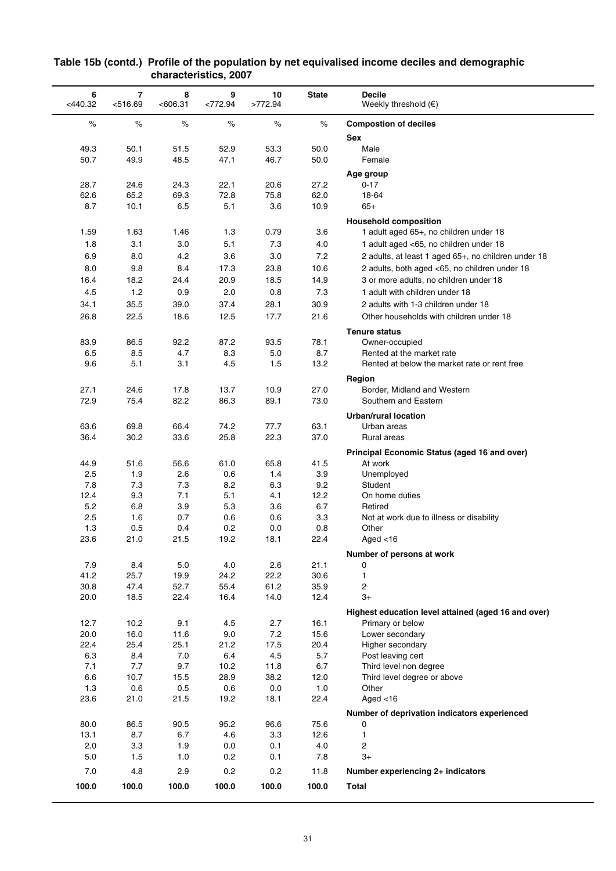| 6<br>$<$ 440.32 | 7<br>< 516.69 | 8<br><606.31 | 9<br><772.94 | 10<br>>772.94 | <b>State</b> | <b>Decile</b><br>Weekly threshold $(\epsilon)$        |
|-----------------|---------------|--------------|--------------|---------------|--------------|-------------------------------------------------------|
| $\%$            | $\%$          | $\%$         | $\%$         | $\%$          | $\%$         | <b>Compostion of deciles</b>                          |
|                 |               |              |              |               |              | Sex                                                   |
| 49.3            | 50.1          | 51.5         | 52.9         | 53.3          | 50.0         | Male                                                  |
| 50.7            | 49.9          | 48.5         | 47.1         | 46.7          | 50.0         | Female                                                |
|                 |               |              |              |               |              | Age group                                             |
| 28.7            | 24.6          | 24.3         | 22.1         | 20.6          | 27.2         | $0 - 17$                                              |
| 62.6            | 65.2          | 69.3         | 72.8         | 75.8          | 62.0         | 18-64                                                 |
| 8.7             | 10.1          | 6.5          | 5.1          | 3.6           | 10.9         | $65+$                                                 |
|                 |               |              |              |               |              | <b>Household composition</b>                          |
| 1.59            | 1.63          | 1.46         | 1.3          | 0.79          | 3.6          | 1 adult aged 65+, no children under 18                |
| 1.8             | 3.1           | 3.0          | 5.1          | 7.3           | 4.0          | 1 adult aged <65, no children under 18                |
| 6.9             | 8.0           | 4.2          | 3.6          | 3.0           | 7.2          | 2 adults, at least 1 aged 65+, no children under 18   |
| 8.0             | 9.8           | 8.4          | 17.3         | 23.8          | 10.6         | 2 adults, both aged <65, no children under 18         |
| 16.4            | 18.2          | 24.4         | 20.9         | 18.5          | 14.9         | 3 or more adults, no children under 18                |
| 4.5             | 1.2           | 0.9          | 2.0          | 0.8           | 7.3          | 1 adult with children under 18                        |
| 34.1            | 35.5          | 39.0         | 37.4         | 28.1          | 30.9         | 2 adults with 1-3 children under 18                   |
| 26.8            | 22.5          | 18.6         | 12.5         | 17.7          | 21.6         | Other households with children under 18               |
|                 |               |              |              |               |              | <b>Tenure status</b>                                  |
| 83.9            | 86.5          | 92.2         | 87.2         | 93.5          | 78.1         | Owner-occupied                                        |
| 6.5             | 8.5           | 4.7          | 8.3          | 5.0           | 8.7          | Rented at the market rate                             |
| 9.6             | 5.1           | 3.1          | 4.5          | 1.5           | 13.2         | Rented at below the market rate or rent free          |
|                 |               |              |              |               |              |                                                       |
| 27.1            | 24.6          | 17.8         | 13.7         | 10.9          | 27.0         | Region<br>Border, Midland and Western                 |
| 72.9            | 75.4          | 82.2         | 86.3         | 89.1          | 73.0         | Southern and Eastern                                  |
|                 |               |              |              |               |              |                                                       |
| 63.6            | 69.8          | 66.4         | 74.2         | 77.7          | 63.1         | <b>Urban/rural location</b><br>Urban areas            |
| 36.4            | 30.2          | 33.6         | 25.8         | 22.3          | 37.0         | Rural areas                                           |
|                 |               |              |              |               |              |                                                       |
|                 |               |              |              |               |              | Principal Economic Status (aged 16 and over)          |
| 44.9<br>2.5     | 51.6<br>1.9   | 56.6<br>2.6  | 61.0<br>0.6  | 65.8<br>1.4   | 41.5<br>3.9  | At work<br>Unemployed                                 |
| 7.8             | 7.3           | 7.3          | 8.2          | 6.3           | 9.2          | Student                                               |
| 12.4            | 9.3           | 7.1          | 5.1          | 4.1           | 12.2         | On home duties                                        |
| 5.2             | 6.8           | 3.9          | 5.3          | 3.6           | 6.7          | Retired                                               |
| 2.5             | 1.6           | 0.7          | 0.6          | 0.6           | 3.3          | Not at work due to illness or disability              |
| 1.3             | 0.5           | 0.4          | 0.2          | 0.0           | 0.8          | Other                                                 |
| 23.6            | 21.0          | 21.5         | 19.2         | 18.1          | 22.4         | Aged $<$ 16                                           |
|                 |               |              |              |               |              | Number of persons at work                             |
| 7.9             | 8.4           | 5.0          | 4.0          | 2.6           | 21.1         | 0                                                     |
| 41.2            | 25.7          | 19.9         | 24.2         | 22.2          | 30.6         | 1                                                     |
| 30.8            | 47.4          | 52.7         | 55.4         | 61.2          | 35.9         | $\overline{c}$                                        |
| 20.0            | 18.5          | 22.4         | 16.4         | 14.0          | 12.4         | $3+$                                                  |
|                 |               |              |              |               |              | Highest education level attained (aged 16 and over)   |
| 12.7            | 10.2          | 9.1          | 4.5          | 2.7           | 16.1         | Primary or below                                      |
| 20.0            | 16.0          | 11.6         | 9.0          | 7.2           | 15.6         | Lower secondary                                       |
| 22.4            | 25.4          | 25.1         | 21.2         | 17.5          | 20.4         | Higher secondary                                      |
| 6.3<br>7.1      | 8.4<br>7.7    | 7.0<br>9.7   | 6.4          | 4.5           | 5.7          | Post leaving cert                                     |
| 6.6             | 10.7          | 15.5         | 10.2<br>28.9 | 11.8<br>38.2  | 6.7<br>12.0  | Third level non degree<br>Third level degree or above |
| 1.3             | 0.6           | 0.5          | 0.6          | 0.0           | 1.0          | Other                                                 |
| 23.6            | 21.0          | 21.5         | 19.2         | 18.1          | 22.4         | Aged $<$ 16                                           |
|                 |               |              |              |               |              | Number of deprivation indicators experienced          |
| 80.0            | 86.5          | 90.5         | 95.2         | 96.6          | 75.6         | 0                                                     |
| 13.1            | 8.7           | 6.7          | 4.6          | 3.3           | 12.6         | $\mathbf{1}$                                          |
| 2.0             | 3.3           | 1.9          | 0.0          | 0.1           | 4.0          | 2                                                     |
| 5.0             | 1.5           | 1.0          | 0.2          | 0.1           | 7.8          | $3+$                                                  |
| 7.0             | 4.8           | 2.9          | 0.2          | 0.2           | 11.8         | Number experiencing 2+ indicators                     |
| 100.0           | 100.0         | 100.0        | 100.0        | 100.0         | 100.0        | <b>Total</b>                                          |
|                 |               |              |              |               |              |                                                       |

#### **Table 15b (contd.) Profile of the population by net equivalised income deciles and demographic characteristics, 2007**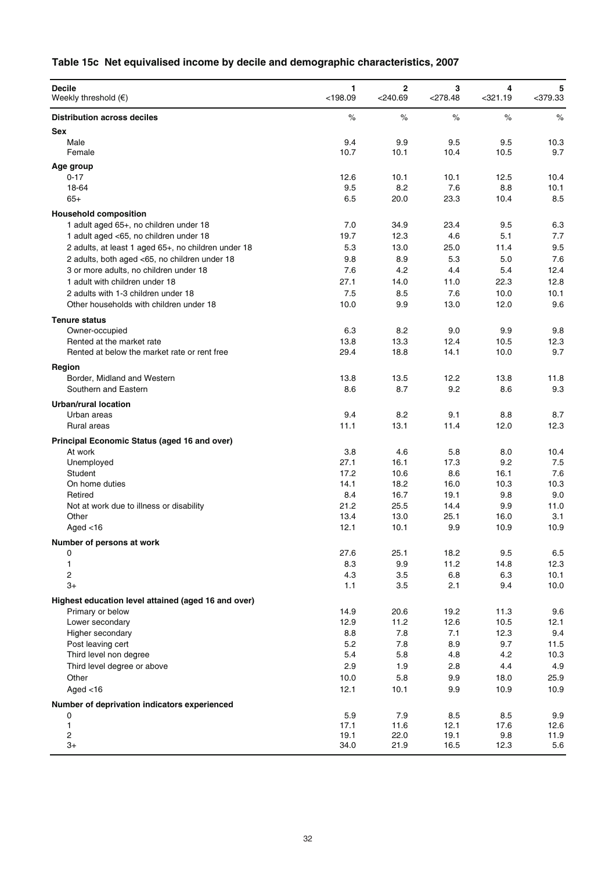# **Table 15c Net equivalised income by decile and demographic characteristics, 2007**

| <b>Decile</b><br>Weekly threshold $(\epsilon)$                            | 1<br>< 198.09 | $\overline{2}$<br>$<$ 240.69 | 3<br>$<$ 278.48 | 4<br>$321.19$ | 5<br>$<$ 379.33 |
|---------------------------------------------------------------------------|---------------|------------------------------|-----------------|---------------|-----------------|
| <b>Distribution across deciles</b>                                        | $\%$          | $\%$                         | $\%$            | $\%$          | $\%$            |
| <b>Sex</b>                                                                |               |                              |                 |               |                 |
| Male                                                                      | 9.4           | 9.9                          | 9.5             | 9.5           | 10.3            |
| Female                                                                    | 10.7          | 10.1                         | 10.4            | 10.5          | 9.7             |
| Age group                                                                 |               |                              |                 |               |                 |
| $0 - 17$                                                                  | 12.6          | 10.1                         | 10.1            | 12.5          | 10.4            |
| 18-64                                                                     | 9.5           | 8.2                          | 7.6             | 8.8           | 10.1            |
| $65+$                                                                     | 6.5           | 20.0                         | 23.3            | 10.4          | 8.5             |
| <b>Household composition</b>                                              |               |                              |                 |               |                 |
| 1 adult aged 65+, no children under 18                                    | 7.0           | 34.9                         | 23.4            | 9.5           | 6.3             |
| 1 adult aged <65, no children under 18                                    | 19.7          | 12.3                         | 4.6             | 5.1           | 7.7             |
| 2 adults, at least 1 aged 65+, no children under 18                       | 5.3           | 13.0                         | 25.0            | 11.4          | 9.5             |
| 2 adults, both aged <65, no children under 18                             | 9.8           | 8.9                          | 5.3             | 5.0           | 7.6             |
| 3 or more adults, no children under 18                                    | 7.6           | 4.2                          | 4.4             | 5.4           | 12.4            |
| 1 adult with children under 18<br>2 adults with 1-3 children under 18     | 27.1<br>7.5   | 14.0                         | 11.0<br>7.6     | 22.3          | 12.8            |
| Other households with children under 18                                   | 10.0          | 8.5<br>9.9                   | 13.0            | 10.0<br>12.0  | 10.1<br>9.6     |
|                                                                           |               |                              |                 |               |                 |
| <b>Tenure status</b>                                                      |               |                              |                 |               |                 |
| Owner-occupied                                                            | 6.3           | 8.2                          | 9.0             | 9.9           | 9.8             |
| Rented at the market rate<br>Rented at below the market rate or rent free | 13.8<br>29.4  | 13.3<br>18.8                 | 12.4<br>14.1    | 10.5<br>10.0  | 12.3<br>9.7     |
|                                                                           |               |                              |                 |               |                 |
| Region                                                                    |               |                              |                 |               |                 |
| Border, Midland and Western                                               | 13.8          | 13.5                         | 12.2            | 13.8          | 11.8            |
| Southern and Eastern                                                      | 8.6           | 8.7                          | 9.2             | 8.6           | 9.3             |
| Urban/rural location                                                      |               |                              |                 |               |                 |
| Urban areas                                                               | 9.4           | 8.2                          | 9.1             | 8.8           | 8.7             |
| Rural areas                                                               | 11.1          | 13.1                         | 11.4            | 12.0          | 12.3            |
| Principal Economic Status (aged 16 and over)                              |               |                              |                 |               |                 |
| At work                                                                   | 3.8           | 4.6                          | 5.8             | 8.0           | 10.4            |
| Unemployed                                                                | 27.1          | 16.1                         | 17.3            | 9.2           | 7.5             |
| Student                                                                   | 17.2          | 10.6                         | 8.6             | 16.1          | 7.6             |
| On home duties<br>Retired                                                 | 14.1<br>8.4   | 18.2<br>16.7                 | 16.0<br>19.1    | 10.3<br>9.8   | 10.3<br>9.0     |
| Not at work due to illness or disability                                  | 21.2          | 25.5                         | 14.4            | 9.9           | 11.0            |
| Other                                                                     | 13.4          | 13.0                         | 25.1            | 16.0          | 3.1             |
| Aged $<$ 16                                                               | 12.1          | 10.1                         | 9.9             | 10.9          | 10.9            |
| Number of persons at work                                                 |               |                              |                 |               |                 |
| 0                                                                         | 27.6          | 25.1                         | 18.2            | 9.5           | 6.5             |
| 1                                                                         | 8.3           | 9.9                          | 11.2            | 14.8          | 12.3            |
| $\overline{\mathbf{c}}$                                                   | 4.3           | 3.5                          | 6.8             | 6.3           | 10.1            |
| $3+$                                                                      | 1.1           | 3.5                          | 2.1             | 9.4           | 10.0            |
| Highest education level attained (aged 16 and over)                       |               |                              |                 |               |                 |
| Primary or below                                                          | 14.9          | 20.6                         | 19.2            | 11.3          | 9.6             |
| Lower secondary                                                           | 12.9          | 11.2                         | 12.6            | 10.5          | 12.1            |
| Higher secondary                                                          | 8.8           | 7.8                          | 7.1             | 12.3          | 9.4             |
| Post leaving cert                                                         | 5.2           | $7.8\,$                      | 8.9             | 9.7           | 11.5            |
| Third level non degree                                                    | 5.4           | 5.8                          | 4.8             | 4.2           | 10.3            |
| Third level degree or above                                               | 2.9           | 1.9                          | 2.8             | 4.4           | 4.9             |
| Other                                                                     | 10.0          | 5.8                          | 9.9             | 18.0          | 25.9            |
| Aged $<$ 16                                                               | 12.1          | 10.1                         | 9.9             | 10.9          | 10.9            |
| Number of deprivation indicators experienced                              |               |                              |                 |               |                 |
| 0                                                                         | 5.9           | 7.9                          | 8.5             | 8.5           | 9.9             |
| 1                                                                         | 17.1          | 11.6                         | 12.1            | 17.6          | 12.6            |
| 2                                                                         | 19.1          | 22.0                         | 19.1            | 9.8           | 11.9            |
| $3+$                                                                      | 34.0          | 21.9                         | 16.5            | 12.3          | 5.6             |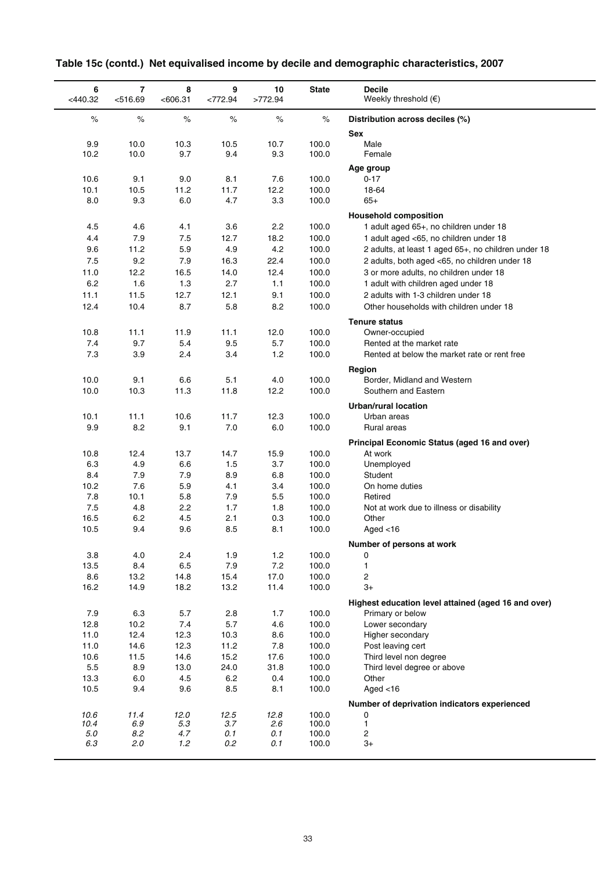| 6<br>$<$ 440.32 | 7<br>< 516.69 | 8<br>< 606.31 | 9<br><772.94 | 10<br>>772.94 | <b>State</b>   | <b>Decile</b><br>Weekly threshold $(\epsilon)$        |
|-----------------|---------------|---------------|--------------|---------------|----------------|-------------------------------------------------------|
| $\%$            | $\%$          | $\%$          | $\%$         | $\%$          | $\%$           | Distribution across deciles (%)<br><b>Sex</b>         |
| 9.9             | 10.0          | 10.3          | 10.5         | 10.7          | 100.0          | Male                                                  |
| 10.2            | 10.0          | 9.7           | 9.4          | 9.3           | 100.0          | Female                                                |
|                 |               |               |              |               |                | Age group                                             |
| 10.6            | 9.1           | 9.0           | 8.1          | 7.6           | 100.0          | $0 - 17$                                              |
| 10.1            | 10.5          | 11.2          | 11.7         | 12.2          | 100.0          | 18-64                                                 |
| 8.0             | 9.3           | 6.0           | 4.7          | 3.3           | 100.0          | $65+$                                                 |
|                 |               |               |              |               |                | <b>Household composition</b>                          |
| 4.5             | 4.6           | 4.1           | 3.6          | 2.2           | 100.0          | 1 adult aged 65+, no children under 18                |
| 4.4             | 7.9           | 7.5           | 12.7         | 18.2          | 100.0          | 1 adult aged <65, no children under 18                |
| 9.6             | 11.2          | 5.9           | 4.9          | 4.2           | 100.0          | 2 adults, at least 1 aged 65+, no children under 18   |
| 7.5             | 9.2           | 7.9           | 16.3         | 22.4          | 100.0          | 2 adults, both aged <65, no children under 18         |
| 11.0            | 12.2          | 16.5          | 14.0         | 12.4          | 100.0          | 3 or more adults, no children under 18                |
| 6.2             | 1.6           | 1.3           | 2.7          | 1.1           | 100.0          | 1 adult with children aged under 18                   |
| 11.1            | 11.5          | 12.7          | 12.1         | 9.1           | 100.0          | 2 adults with 1-3 children under 18                   |
| 12.4            | 10.4          | 8.7           | 5.8          | 8.2           | 100.0          | Other households with children under 18               |
|                 |               |               |              |               |                | <b>Tenure status</b>                                  |
| 10.8            | 11.1          | 11.9          | 11.1         | 12.0          | 100.0          | Owner-occupied                                        |
| 7.4             | 9.7           | 5.4           | 9.5          | 5.7           | 100.0          | Rented at the market rate                             |
| 7.3             | 3.9           | 2.4           | 3.4          | 1.2           | 100.0          | Rented at below the market rate or rent free          |
|                 |               |               |              |               |                | Region                                                |
| 10.0            | 9.1           | 6.6           | 5.1          | 4.0           | 100.0          | Border, Midland and Western                           |
| 10.0            | 10.3          | 11.3          | 11.8         | 12.2          | 100.0          | Southern and Eastern                                  |
|                 |               |               |              |               |                | <b>Urban/rural location</b>                           |
| 10.1            | 11.1          | 10.6          | 11.7         | 12.3          | 100.0          | Urban areas                                           |
| 9.9             | 8.2           | 9.1           | 7.0          | 6.0           | 100.0          | Rural areas                                           |
|                 |               |               |              |               |                | Principal Economic Status (aged 16 and over)          |
| 10.8            | 12.4          | 13.7          | 14.7         | 15.9          | 100.0          | At work                                               |
| 6.3             | 4.9           | 6.6           | 1.5          | 3.7           | 100.0          | Unemployed                                            |
| 8.4<br>10.2     | 7.9<br>7.6    | 7.9<br>5.9    | 8.9<br>4.1   | 6.8<br>3.4    | 100.0<br>100.0 | Student<br>On home duties                             |
| 7.8             | 10.1          | 5.8           | 7.9          | 5.5           | 100.0          | Retired                                               |
| 7.5             | 4.8           | 2.2           | 1.7          | 1.8           | 100.0          | Not at work due to illness or disability              |
| 16.5            | 6.2           | 4.5           | 2.1          | 0.3           | 100.0          | Other                                                 |
| 10.5            | 9.4           | 9.6           | 8.5          | 8.1           | 100.0          | Aged $<$ 16                                           |
|                 |               |               |              |               |                | Number of persons at work                             |
| 3.8             | 4.0           | 2.4           | 1.9          | 1.2           | 100.0          | 0                                                     |
| 13.5            | 8.4           | 6.5           | 7.9          | 7.2           | 100.0          | 1                                                     |
| 8.6             | 13.2          | 14.8          | 15.4         | 17.0          | 100.0          | 2                                                     |
| 16.2            | 14.9          | 18.2          | 13.2         | 11.4          | 100.0          | 3+                                                    |
|                 |               |               |              |               |                | Highest education level attained (aged 16 and over)   |
| 7.9             | 6.3           | 5.7           | 2.8          | 1.7           | 100.0          | Primary or below                                      |
| 12.8            | 10.2          | 7.4           | 5.7          | 4.6           | 100.0          | Lower secondary                                       |
| 11.0            | 12.4          | 12.3          | 10.3         | 8.6           | 100.0          | Higher secondary                                      |
| 11.0            | 14.6          | 12.3          | 11.2         | 7.8           | 100.0          | Post leaving cert                                     |
| 10.6<br>$5.5\,$ | 11.5<br>8.9   | 14.6<br>13.0  | 15.2<br>24.0 | 17.6<br>31.8  | 100.0<br>100.0 | Third level non degree<br>Third level degree or above |
| 13.3            | 6.0           | 4.5           | 6.2          | 0.4           | 100.0          | Other                                                 |
| 10.5            | 9.4           | 9.6           | 8.5          | 8.1           | 100.0          | Aged $<$ 16                                           |
|                 |               |               |              |               |                | Number of deprivation indicators experienced          |
| 10.6            | 11.4          | 12.0          | 12.5         | 12.8          | 100.0          | 0                                                     |
| 10.4            | 6.9           | 5.3           | 3.7          | 2.6           | 100.0          | $\mathbf{1}$                                          |
| 5.0             | 8.2           | 4.7           | 0.1          | 0.1           | 100.0          | 2                                                     |
| 6.3             | 2.0           | 1.2           | 0.2          | 0.1           | 100.0          | $3+$                                                  |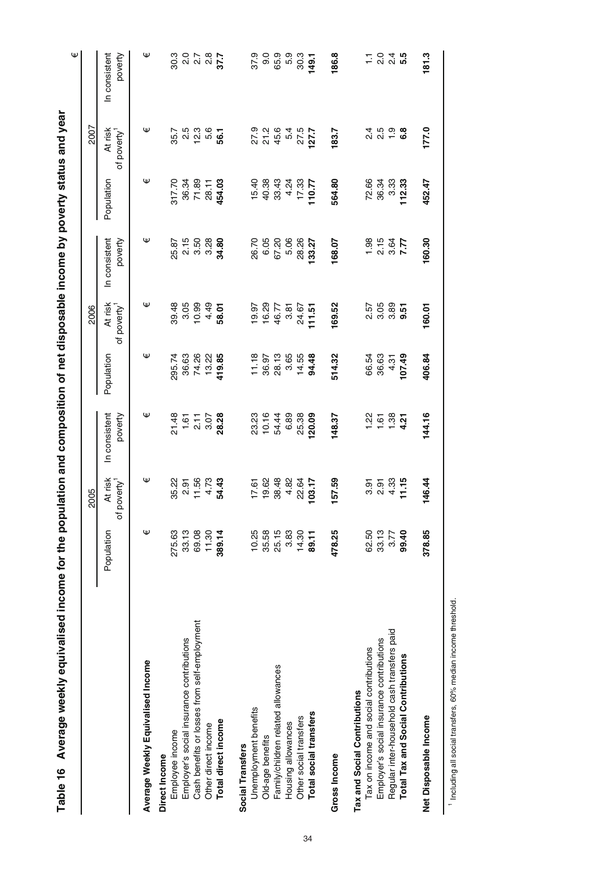| population and composition of net disposable income by poverty status and year | <br> <br>            |
|--------------------------------------------------------------------------------|----------------------|
|                                                                                |                      |
|                                                                                | $\ddot{\phantom{a}}$ |
|                                                                                |                      |
|                                                                                | י<br>י               |
|                                                                                |                      |
|                                                                                |                      |
|                                                                                |                      |
|                                                                                |                      |
|                                                                                |                      |

|                                              |            |                                      |                                      |                                 |                                    |                          |                |                                    | Ψ                                    |
|----------------------------------------------|------------|--------------------------------------|--------------------------------------|---------------------------------|------------------------------------|--------------------------|----------------|------------------------------------|--------------------------------------|
|                                              |            | 2005                                 |                                      |                                 | 2006                               |                          |                | 2007                               |                                      |
|                                              | Population | At risk<br>poverty <sup>1</sup><br>đ | In consistent<br>poverty             | Population                      | At risk<br>of poverty <sup>1</sup> | In consistent<br>poverty | Population     | At risk<br>of poverty <sup>1</sup> | In consistent<br>poverty             |
| Average Weekly Equivalised Income            | Ψ          | Ψ                                    | Ψ                                    | Ψ                               | Ψ                                  | Ψ                        | Ψ              | Ψ                                  | Ψ                                    |
| Direct Income                                |            |                                      |                                      |                                 |                                    |                          |                |                                    |                                      |
| Employee income                              | 275.63     | 35.22                                |                                      | 295.74                          | 39.48                              |                          | 317.70         | 35.7                               | 30.3                                 |
| Employer's social insurance contributions    | 33.13      | 2.91                                 |                                      | 36.63                           | 3.05                               |                          | 36.34          |                                    |                                      |
| Cash benefits or losses from self-employment | 69.08      | 11.56                                | $21.57$<br>$7.57$<br>$2.50$<br>$3.5$ | 74.26                           | 10.99                              | 25.87<br>2.15<br>3.50    | 71.89          | 2.5<br>12.3                        | 2<br>2 2 3 2 3<br>2 3 3 4 3          |
| Other direct income                          | 11.30      | 4.73                                 |                                      | 13.22                           | 4.49                               | 3.28                     | 28.11          | 5.6                                |                                      |
| Total direct income                          | 389.14     | 54.43                                | 28.28                                | 419.85                          | 58.01                              | 34.80                    | 454.03         | 56.1                               |                                      |
| Social Transfers                             |            |                                      |                                      |                                 |                                    |                          |                |                                    |                                      |
| Unemployment benefits                        | 10.25      | 17.61                                | 23.23                                |                                 |                                    | 26.70                    | 15.40          |                                    | 37.9                                 |
| Old-age benefits                             | 35.58      | 19.62                                | 10.16                                |                                 |                                    | 6.05                     | 40.38          | 0. 0. 0.<br>27 15.6<br>45.4        | 0.6                                  |
| Family/children related allowances           | 25.15      | 38.48                                | 54.44                                |                                 | $19.97$<br>$16.29$<br>$46.77$      | 67.20                    | 33.43          |                                    | 65.9                                 |
| Housing allowances                           | 3.83       | 4.82                                 | 6.89                                 | $1.9698$<br>$1.9698$<br>$2.969$ | 3.81                               | 5.06                     | 4.24           | 5.4                                | 5.9                                  |
| Other social transfers                       | 14.30      | 22.64                                | 25.38                                | 14.55                           | 24.67                              | 28.26                    | 17.33          | 27.5                               | 30.3                                 |
| Total social transfers                       | 89.11      | 103.17                               | 120.09                               | 94.48                           | 111.51                             | 133.27                   | 110.77         | 127.7                              | 149.1                                |
| <b>Gross Income</b>                          | 478.25     | 157.59                               | 148.37                               | 514.32                          | 169.52                             | 168.07                   | 564.80         | 183.7                              | 186.8                                |
| Tax and Social Contributions                 |            |                                      |                                      |                                 |                                    |                          |                |                                    |                                      |
| Tax on income and social contributions       | 62.50      | 3.91                                 | 1.22                                 | 66.54                           |                                    |                          |                |                                    |                                      |
| Employer's social insurance contributions    | 33.13      | 2.91                                 | 1.61                                 | 36.63                           | 55<br>258<br>25                    | $7.15$<br>2.15           | 72.66<br>36.34 |                                    | 1 0 4 <b>10</b><br>1 0 1 1 <b>10</b> |
| Regular inter-household cash transfers paid  | 3.77       | 4.33                                 | 1.38                                 | 4.31                            |                                    | 3.64<br>7.77             | 3.33           |                                    |                                      |
| Total Tax and Social Contributions           | 99.40      | 11.15                                | 4.21                                 | 107.49                          | 9.51                               |                          | 112.33         |                                    |                                      |
| Net Disposable Income                        | 378.85     | 146.44                               | 144.16                               | 406.84                          | 160.01                             | 160.30                   | 452.47         | 177.0                              | 181.3                                |
|                                              |            |                                      |                                      |                                 |                                    |                          |                |                                    |                                      |

<sup>1</sup> Including all social transfers, 60% median income threshold. Including all social transfers, 60% median income threshold.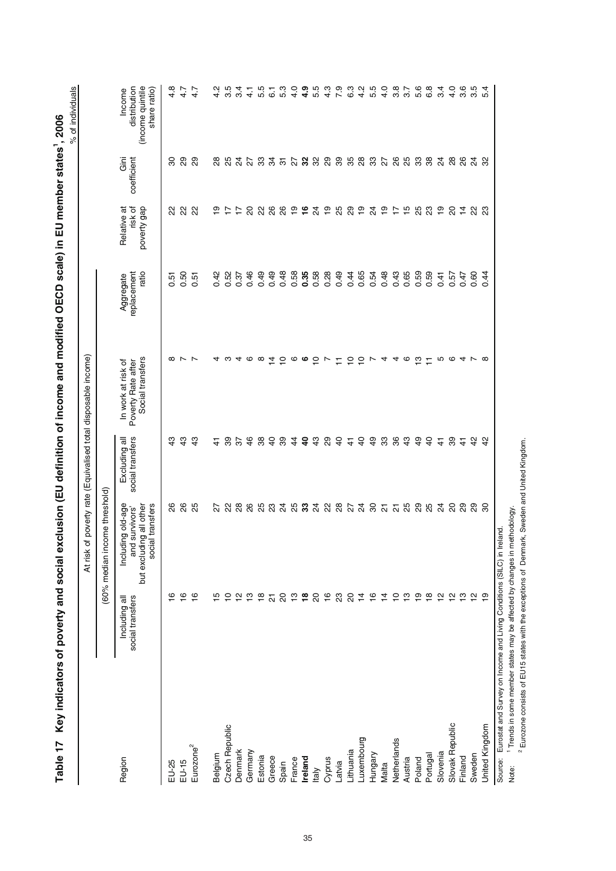| Š<br>S                                           |
|--------------------------------------------------|
| $\sim$ ctchs                                     |
| nambay CD enabolis Elli mambay                   |
|                                                  |
| <b>ディスクロー コーランド コーランド</b>                        |
|                                                  |
| こうきょう ちょう りょうりょう                                 |
|                                                  |
|                                                  |
| <b>TELL AGENCY</b>                               |
|                                                  |
| <b>Display in Marson</b><br>$\ddot{\phantom{a}}$ |
| כאפ   פוטס                                       |
|                                                  |
|                                                  |
|                                                  |
|                                                  |
|                                                  |

At risk of poverty rate (Equivalised total disposable income)

At risk of poverty rate (Equivalised total disposable income)

| c |
|---|
|   |
|   |
|   |
|   |
|   |
|   |
|   |
| ĭ |
|   |
|   |

|                                                                                |                                   | (60% median income threshold)                                                      |                                   |                                                              |                                   |                                       |                     |                                                            |
|--------------------------------------------------------------------------------|-----------------------------------|------------------------------------------------------------------------------------|-----------------------------------|--------------------------------------------------------------|-----------------------------------|---------------------------------------|---------------------|------------------------------------------------------------|
| Region                                                                         | social transfers<br>Including all | but excluding all other<br>Including old-age<br>social transfers<br>and survivors' | social transfers<br>Excluding all | Social transfers<br>Poverty Rate after<br>In work at risk of | ratio<br>replacement<br>Aggregate | risk of<br>poverty gap<br>Relative at | Gini<br>coefficient | (income quintile<br>distribution<br>share ratio)<br>Income |
| EU-25                                                                          | ဖ                                 | 88                                                                                 | $\frac{3}{2}$                     | $\infty$                                                     | $\overline{5}$                    | ଧ୍ୟ                                   | 8                   | 4.8                                                        |
| EU-15                                                                          | $\frac{6}{5}$                     | $\frac{8}{2}$                                                                      | $\frac{3}{4}$                     | $\overline{ }$                                               | 0.50                              | $\mathcal{S}$                         | 29                  | 4.7                                                        |
| Eurozone <sup>2</sup>                                                          | $\frac{6}{5}$                     | 25                                                                                 | 43                                | $\overline{ }$                                               | $\overline{5}$<br>ö               | ଧ୍ୟ                                   | 29                  | 4.7                                                        |
| Belgium                                                                        | Ю                                 | 22                                                                                 | $\frac{4}{3}$                     | ⅎ                                                            | 0.42                              | င္                                    | $\frac{8}{2}$       | N<br>4                                                     |
| Czech Republic                                                                 | ₽                                 |                                                                                    | 89                                | ო                                                            | 0.52                              | $\ddot{ }$                            | 25                  | rö<br>ო                                                    |
| Denmark                                                                        | 으                                 | 28                                                                                 | 57                                | ↴                                                            | 0.37                              | $\ddot{ }$                            | $\overline{2}$      | ч<br>က                                                     |
| Germany                                                                        | <u>ო</u>                          | 26                                                                                 | $\frac{6}{5}$                     | ဖ                                                            | 0.46                              | 20                                    | 27                  | 4                                                          |
| Estonia                                                                        | $\frac{8}{1}$                     | 88 24                                                                              | 38                                | ∞                                                            | 0.49                              | 22                                    | 33                  | rO                                                         |
| Greece                                                                         | $\overline{\mathcal{S}}$          |                                                                                    | $\overline{a}$                    | $\vec{a}$                                                    | 0.49                              | 26                                    | 34                  | ဖ                                                          |
| Spain                                                                          | 20                                |                                                                                    | 89                                | $\frac{1}{2}$                                                | 0.48                              | 88                                    | $\overline{5}$      | ო<br>5                                                     |
| France                                                                         | $\frac{1}{2}$                     |                                                                                    | $\ddot{4}$                        | ဖ                                                            | 0.58                              | $\frac{6}{1}$                         | 27                  | o<br>4                                                     |
| Ireland                                                                        | $\frac{8}{16}$                    |                                                                                    | $\overline{a}$                    | ဖ                                                            | 0.35                              | $\frac{6}{1}$                         | 32                  | စာ<br>4                                                    |
| taly                                                                           | 20                                |                                                                                    | $\frac{3}{4}$                     | ∘                                                            | 0.58                              | $\overline{5}$                        | 32                  | ю<br>5                                                     |
| Cyprus                                                                         | $\frac{6}{1}$                     | <b>នួន</b> ដូន និង                                                                 | 29                                | $\overline{ }$                                               | 0.28                              | $\frac{6}{1}$                         | 29                  | ო<br>4                                                     |
| Latvia                                                                         | 23                                |                                                                                    | $\overline{a}$                    | Ξ                                                            | 0.49                              | 25                                    | 39                  | 7.9                                                        |
| <b>ithuania</b>                                                                | 20                                |                                                                                    | $\frac{4}{3}$                     | $\frac{1}{2}$                                                | 0.44                              | 29                                    | 35                  | 6.3                                                        |
| uxembourg                                                                      | $\frac{4}{4}$                     |                                                                                    | $\frac{1}{4}$                     | $\overline{C}$                                               | 0.65                              | $\frac{6}{1}$                         | 28                  | 4.2                                                        |
| Hungary                                                                        | 16                                |                                                                                    | $\overline{6}$                    | $\overline{ }$                                               | 0.54                              | $\overline{4}$                        | 33                  | 5.5                                                        |
| Malta                                                                          | $\frac{4}{7}$                     | ន ដ ដ ង                                                                            | 33                                | 4                                                            | 0.48                              | ٥Ţ                                    | 27                  | 4.0                                                        |
| Netherlands                                                                    | $\frac{1}{2}$                     |                                                                                    | 36                                | 4                                                            | 0.43                              | $\overline{1}$                        | 88                  | 3.8                                                        |
| Austria                                                                        | ှာ                                |                                                                                    | $\frac{3}{4}$                     | ဖ                                                            | 0.65                              | $\frac{15}{1}$                        | 25                  | $\overline{3.7}$                                           |
| Poland                                                                         | $\overline{9}$                    |                                                                                    | \$                                | ო                                                            | 0.59                              | 25                                    | 33                  | 5.6                                                        |
| Portugal                                                                       | $\frac{\infty}{2}$                | <b>89</b><br>89                                                                    | $\frac{1}{2}$                     | Ξ                                                            | 0.59                              | $\mathbb{S}^2$                        | 38                  | 6.8                                                        |
| Slovenia                                                                       | $\frac{1}{2}$                     | $\overline{6}$                                                                     | $\frac{4}{3}$                     | Ю                                                            | 0.41                              | $\frac{6}{1}$                         | $\overline{24}$     | 3.4                                                        |
| Slovak Republic                                                                | $\frac{1}{2}$                     | 20                                                                                 | 8                                 | ဖ                                                            | 0.57                              | 20                                    | 28                  | 4.0                                                        |
| Finland                                                                        | $\frac{3}{2}$                     | 29                                                                                 | $\frac{4}{3}$                     | 4                                                            | 0.47                              | $\frac{1}{4}$                         | 26                  | 3.6                                                        |
| Sweden                                                                         |                                   | 29                                                                                 | 42                                | ∼                                                            | 0.60                              | ଧ୍ୟ                                   | র                   | 3.5                                                        |
| United Kingdom                                                                 | $\frac{6}{5}$                     | 8                                                                                  | $\frac{2}{3}$                     | $\infty$                                                     | 0.44                              | ಔ                                     | 3                   | 4<br>LO                                                    |
| Source: Eurostat and Survey on Income and Living Conditions (SILC) in Ireland. |                                   |                                                                                    |                                   |                                                              |                                   |                                       |                     |                                                            |

Note: 1 Trends in some member states may be affected by changes in methodology. Note: <sup>1</sup> Trends in some member states may be affected by changes in methodology.<br><sup>2</sup> Eurozone consists of EU15 states with the exceptions of Denmark, Sweden and United Kingdom. Eurozone consists of EU15 states with the exceptions of Denmark, Sweden and United Kingdom.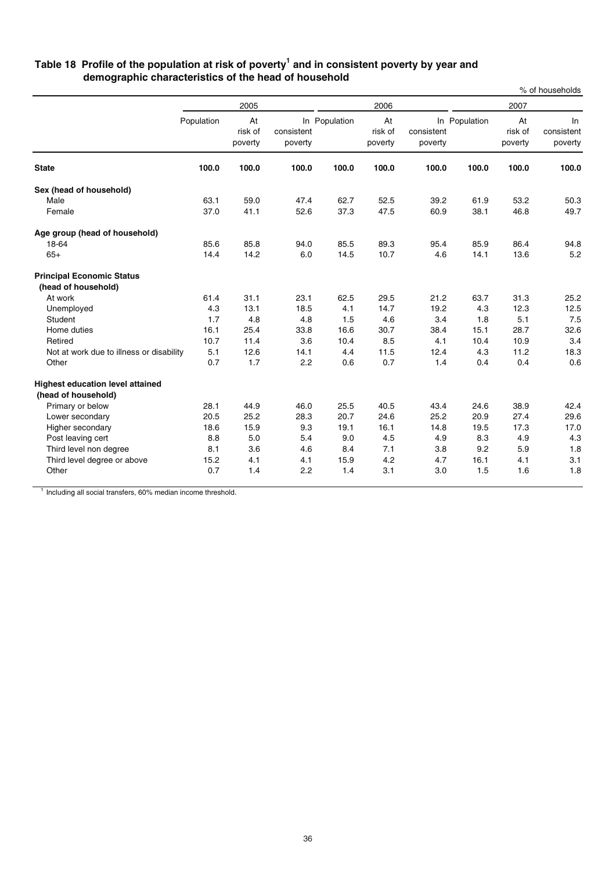### **Table 18 Profile of the population at risk of poverty1 and in consistent poverty by year and demographic characteristics of the head of household**

|                                                                |            |                          |                       |               |                          |                       |               |                          | % of households             |
|----------------------------------------------------------------|------------|--------------------------|-----------------------|---------------|--------------------------|-----------------------|---------------|--------------------------|-----------------------------|
|                                                                |            | 2005                     |                       |               | 2006                     |                       |               | 2007                     |                             |
|                                                                | Population | At<br>risk of<br>poverty | consistent<br>poverty | In Population | At<br>risk of<br>poverty | consistent<br>poverty | In Population | At<br>risk of<br>poverty | In<br>consistent<br>poverty |
| <b>State</b>                                                   | 100.0      | 100.0                    | 100.0                 | 100.0         | 100.0                    | 100.0                 | 100.0         | 100.0                    | 100.0                       |
| Sex (head of household)                                        |            |                          |                       |               |                          |                       |               |                          |                             |
| Male                                                           | 63.1       | 59.0                     | 47.4                  | 62.7          | 52.5                     | 39.2                  | 61.9          | 53.2                     | 50.3                        |
| Female                                                         | 37.0       | 41.1                     | 52.6                  | 37.3          | 47.5                     | 60.9                  | 38.1          | 46.8                     | 49.7                        |
| Age group (head of household)                                  |            |                          |                       |               |                          |                       |               |                          |                             |
| 18-64                                                          | 85.6       | 85.8                     | 94.0                  | 85.5          | 89.3                     | 95.4                  | 85.9          | 86.4                     | 94.8                        |
| $65+$                                                          | 14.4       | 14.2                     | 6.0                   | 14.5          | 10.7                     | 4.6                   | 14.1          | 13.6                     | 5.2                         |
| <b>Principal Economic Status</b>                               |            |                          |                       |               |                          |                       |               |                          |                             |
| (head of household)                                            |            |                          |                       |               |                          |                       |               |                          |                             |
| At work                                                        | 61.4       | 31.1                     | 23.1                  | 62.5          | 29.5                     | 21.2                  | 63.7          | 31.3                     | 25.2                        |
| Unemployed                                                     | 4.3        | 13.1                     | 18.5                  | 4.1           | 14.7                     | 19.2                  | 4.3           | 12.3                     | 12.5                        |
| Student                                                        | 1.7        | 4.8                      | 4.8                   | 1.5           | 4.6                      | 3.4                   | 1.8           | 5.1                      | 7.5                         |
| Home duties                                                    | 16.1       | 25.4                     | 33.8                  | 16.6          | 30.7                     | 38.4                  | 15.1          | 28.7                     | 32.6                        |
| Retired                                                        | 10.7       | 11.4                     | 3.6                   | 10.4          | 8.5                      | 4.1                   | 10.4          | 10.9                     | 3.4                         |
| Not at work due to illness or disability                       | 5.1        | 12.6                     | 14.1                  | 4.4           | 11.5                     | 12.4                  | 4.3           | 11.2                     | 18.3                        |
| Other                                                          | 0.7        | 1.7                      | 2.2                   | 0.6           | 0.7                      | 1.4                   | 0.4           | 0.4                      | 0.6                         |
| <b>Highest education level attained</b><br>(head of household) |            |                          |                       |               |                          |                       |               |                          |                             |
| Primary or below                                               | 28.1       | 44.9                     | 46.0                  | 25.5          | 40.5                     | 43.4                  | 24.6          | 38.9                     | 42.4                        |
| Lower secondary                                                | 20.5       | 25.2                     | 28.3                  | 20.7          | 24.6                     | 25.2                  | 20.9          | 27.4                     | 29.6                        |
| Higher secondary                                               | 18.6       | 15.9                     | 9.3                   | 19.1          | 16.1                     | 14.8                  | 19.5          | 17.3                     | 17.0                        |
| Post leaving cert                                              | 8.8        | 5.0                      | 5.4                   | 9.0           | 4.5                      | 4.9                   | 8.3           | 4.9                      | 4.3                         |
| Third level non degree                                         | 8.1        | 3.6                      | 4.6                   | 8.4           | 7.1                      | 3.8                   | 9.2           | 5.9                      | 1.8                         |
| Third level degree or above                                    | 15.2       | 4.1                      | 4.1                   | 15.9          | 4.2                      | 4.7                   | 16.1          | 4.1                      | 3.1                         |
| Other                                                          | 0.7        | 1.4                      | 2.2                   | 1.4           | 3.1                      | 3.0                   | 1.5           | 1.6                      | 1.8                         |

<sup>1</sup> Including all social transfers, 60% median income threshold.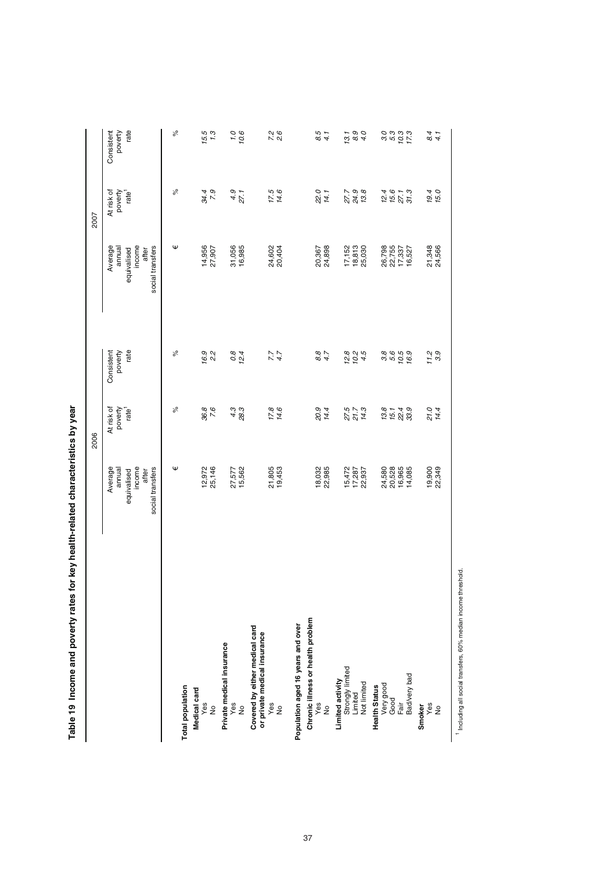| J                                                                        |
|--------------------------------------------------------------------------|
|                                                                          |
| ;<br>;                                                                   |
| i<br>i<br>Seise<br> <br> <br> <br> <br>                                  |
|                                                                          |
|                                                                          |
| )<br>)<br>)<br>)                                                         |
| <b>A SEARCH ARTICLES START TO CONTRACT</b><br>)<br>)<br>)<br>)<br>)<br>) |
|                                                                          |
|                                                                          |
| $\mathbf{r}$                                                             |

|                                                                                         |                                                                         | 2006                                       |                               |                                                                         | 2007                                       |                               |
|-----------------------------------------------------------------------------------------|-------------------------------------------------------------------------|--------------------------------------------|-------------------------------|-------------------------------------------------------------------------|--------------------------------------------|-------------------------------|
|                                                                                         | income<br>social transfers<br>Average<br>annual<br>after<br>equivalised | At risk of<br>poverty<br>rate <sup>1</sup> | rate<br>Consistent<br>poverty | income<br>Average<br>social transfers<br>annual<br>after<br>equivalised | poverty<br>At risk of<br>rate <sup>1</sup> | rate<br>Consistent<br>poverty |
| Total population                                                                        | Ψ                                                                       | ್ನೆ                                        | ৯ৎ                            | Ψ                                                                       | ್ನೆ                                        | $\delta$                      |
| Medical card<br>$\frac{68}{10}$                                                         | 12,972<br>25,146                                                        | 36.8<br>7.6                                | 16.9<br>2.2                   | 14,956<br>27,907                                                        | 34.4<br>7.9                                | 15.5<br>1.3                   |
| Private medical insurance<br>yes<br>No                                                  | 27,577<br>15,562                                                        | 4.3<br>28.3                                | $0.8$<br>12.4                 | 31,056<br>16,985                                                        | $4.9$<br>27.1                              | 0.1<br>10.6                   |
| Covered by either medical card<br>or private medical insurance<br>yes<br>No             | 21,805<br>19,453                                                        | 17.8<br>14.6                               | $7.7$<br>4.7                  | 24,602<br>20,404                                                        | 17.5<br>14.6                               | 7.2<br>2.6                    |
| Chronic illness or health problem<br>Population aged 16 years and over<br>$\frac{8}{5}$ | 18,032<br>22,985                                                        | 20.9<br>14.4                               | 8.7<br>4.7                    | 20,367<br>24,898                                                        | 22.0<br>14.1                               | 8.5<br>4.1                    |
| Limited activity<br>Strongly limited<br>Limited<br>Not limited                          | 15,472<br>17,287<br>22,937                                              | 27.5<br>21.7<br>14.3                       | 12.8<br>$10.2$<br>4.5         | $\frac{17,152}{18,813}$<br>25,030                                       | 27.9<br>24.9<br>13.8                       | 8.9<br>4.0<br>13.1            |
| Bad/very bad<br><b>Health Status<br/>Very good<br/>Good<br/>Fair</b>                    | 20,528<br>16,965<br>24,580<br>14,085                                    | 13.8<br>$15.1$<br>22.4<br>33.9             | 16.9                          | 26,798<br>22,755<br>17,337<br>16,527                                    | 1567.3<br>557.3                            | sid<br>Sidisi<br>Sidisi       |
| $\frac{8}{29}$<br>Smoker                                                                | 19,900<br>22,349                                                        | 21.0<br>14.4                               | $7.2$<br>3.9                  | 21,348<br>24,566                                                        | 19.4<br>15.0                               | 84<br>4.1                     |

 $^1$  Including all social transfers, 60% median income threshold. Including all social transfers, 60% median income threshold.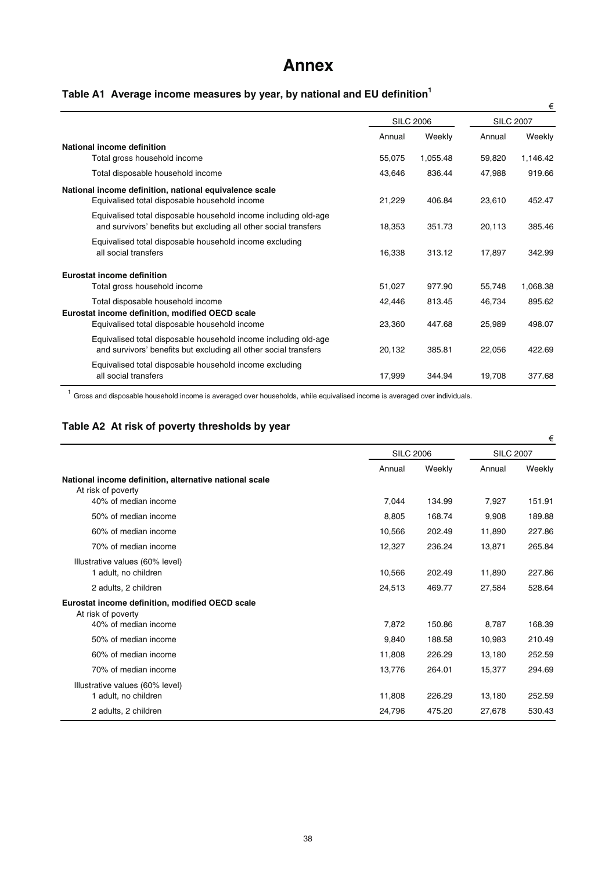# **Annex**

# **Table A1 Average income measures by year, by national and EU definition<sup>1</sup>**

|                                                                                                                                     |        |                  |        | €                |
|-------------------------------------------------------------------------------------------------------------------------------------|--------|------------------|--------|------------------|
|                                                                                                                                     |        | <b>SILC 2006</b> |        | <b>SILC 2007</b> |
|                                                                                                                                     | Annual | Weekly           | Annual | Weekly           |
| National income definition                                                                                                          |        |                  |        |                  |
| Total gross household income                                                                                                        | 55,075 | 1,055.48         | 59,820 | 1,146.42         |
| Total disposable household income                                                                                                   | 43,646 | 836.44           | 47,988 | 919.66           |
| National income definition, national equivalence scale                                                                              |        |                  |        |                  |
| Equivalised total disposable household income                                                                                       | 21,229 | 406.84           | 23,610 | 452.47           |
| Equivalised total disposable household income including old-age<br>and survivors' benefits but excluding all other social transfers | 18,353 | 351.73           | 20,113 | 385.46           |
| Equivalised total disposable household income excluding<br>all social transfers                                                     | 16,338 | 313.12           | 17,897 | 342.99           |
| Eurostat income definition                                                                                                          |        |                  |        |                  |
| Total gross household income                                                                                                        | 51,027 | 977.90           | 55,748 | 1,068.38         |
| Total disposable household income<br>Eurostat income definition, modified OECD scale                                                | 42,446 | 813.45           | 46,734 | 895.62           |
| Equivalised total disposable household income                                                                                       | 23,360 | 447.68           | 25,989 | 498.07           |
| Equivalised total disposable household income including old-age<br>and survivors' benefits but excluding all other social transfers | 20,132 | 385.81           | 22,056 | 422.69           |
| Equivalised total disposable household income excluding<br>all social transfers                                                     | 17,999 | 344.94           | 19,708 | 377.68           |

 $1$  Gross and disposable household income is averaged over households, while equivalised income is averaged over individuals.

# **Table A2 At risk of poverty thresholds by year**

|                                                                              |                  |        |                  | €      |
|------------------------------------------------------------------------------|------------------|--------|------------------|--------|
|                                                                              | <b>SILC 2006</b> |        | <b>SILC 2007</b> |        |
|                                                                              | Annual           | Weekly | Annual           | Weekly |
| National income definition, alternative national scale<br>At risk of poverty |                  |        |                  |        |
| 40% of median income                                                         | 7.044            | 134.99 | 7.927            | 151.91 |
| 50% of median income                                                         | 8,805            | 168.74 | 9,908            | 189.88 |
| 60% of median income                                                         | 10,566           | 202.49 | 11,890           | 227.86 |
| 70% of median income                                                         | 12,327           | 236.24 | 13,871           | 265.84 |
| Illustrative values (60% level)<br>1 adult, no children                      | 10,566           | 202.49 | 11,890           | 227.86 |
| 2 adults, 2 children                                                         | 24,513           | 469.77 | 27.584           | 528.64 |
| Eurostat income definition, modified OECD scale<br>At risk of poverty        |                  |        |                  |        |
| 40% of median income                                                         | 7,872            | 150.86 | 8.787            | 168.39 |
| 50% of median income                                                         | 9,840            | 188.58 | 10,983           | 210.49 |
| 60% of median income                                                         | 11,808           | 226.29 | 13,180           | 252.59 |
| 70% of median income                                                         | 13,776           | 264.01 | 15,377           | 294.69 |
| Illustrative values (60% level)<br>1 adult, no children                      | 11,808           | 226.29 | 13,180           | 252.59 |
| 2 adults, 2 children                                                         | 24,796           | 475.20 | 27,678           | 530.43 |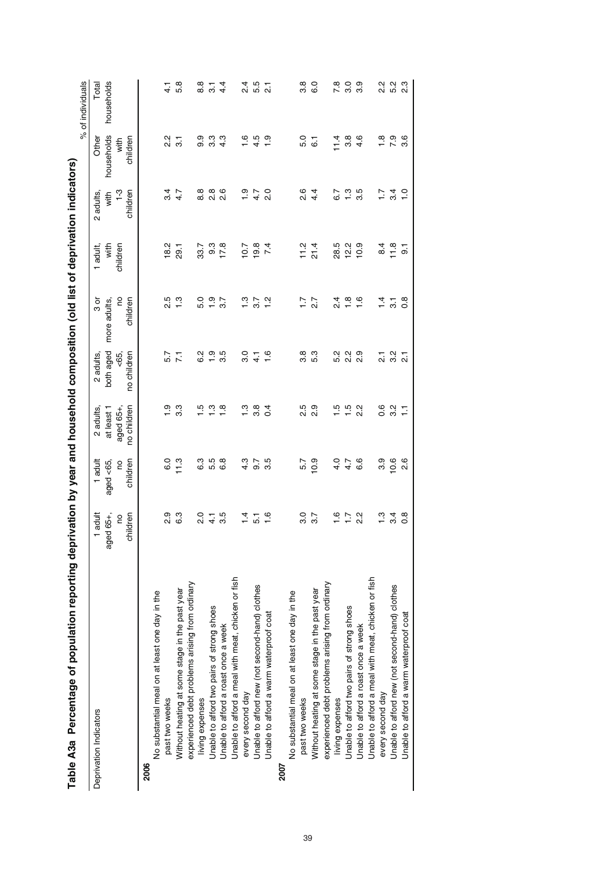|                                                    |                      |                       |                          |                     |                |                |                           |                  | % of individuals |
|----------------------------------------------------|----------------------|-----------------------|--------------------------|---------------------|----------------|----------------|---------------------------|------------------|------------------|
| Deprivation Indicators                             | 1 adult              | 1 adult               | 2 adults,                | 2 adults            | ರ<br>೧         | adult,         | 2 adults                  | Other            | Total            |
|                                                    | ed 65+,<br>ලූ        | aged <65,             | at least 1               | both aged           | more adults,   | with           | with                      | households       | households       |
|                                                    | children<br><u>c</u> | children<br><b>PO</b> | no children<br>aged 65+, | no children<br>-65, | S<br>children  | children       | $\frac{3}{2}$<br>children | children<br>with |                  |
| <b>2006</b>                                        |                      |                       |                          |                     |                |                |                           |                  |                  |
| No substantial meal on at least one day in the     |                      |                       |                          |                     |                |                |                           |                  |                  |
| past two weeks                                     | o.<br>2              | $\overline{6}$ .0     | $\frac{1}{2}$            | 5.7                 | 2.5            | 18.2           | $\frac{34}{3}$            | 2.2              | $\frac{1}{4}$    |
| Without heating at some stage in the past year     | С.З                  | 11.3                  | 33                       | $\overline{2}$      | $\frac{3}{1}$  | <b>29.1</b>    | 4.7                       | $\overline{3}$ . | 5.8              |
| experienced debt problems arising from ordinary    |                      |                       |                          |                     |                |                |                           |                  |                  |
| living expenses                                    | $\frac{0}{2}$        | СЗ                    | ယ္                       | <u>ی</u><br>6       | 5.0            | 33.7           | $\frac{8}{8}$             | 9.9              | 8.8              |
| Unable to afford two pairs of strong shoes         |                      | 5.5                   | ن<br>و                   | $\frac{1}{1}$       | $\frac{0}{1}$  | 9.3            | 8<br>2<br>2<br>2          | $3.\overline{3}$ | $\overline{3}$ . |
| Unable to afford a roast once a week               | 3.5                  | 6.8                   | $\frac{\infty}{\infty}$  | 3.5                 | 3.7            | 17.8           |                           | 4.3              | 4.4              |
| Unable to afford a meal with meat, chicken or fish |                      |                       |                          |                     |                |                |                           |                  |                  |
| every second day                                   | $\frac{1}{4}$        | 4.3                   | $\frac{3}{1}$            | 3.0                 | $\ddot{ }$ .3  | 10.7           | ი<br>1                    | 1.6              | $\frac{4}{2}$    |
| Unable to afford new (not second-hand) clothes     | 51                   | 0.7                   | 3.8                      | $\frac{1}{4}$       | 3.7            | 19.8           | 4.7                       | 4.5              | 5.5              |
| Unable to afford a warm waterproof coat            | 16                   | 3.5                   | $\overline{0}$           | $\frac{6}{1}$       | 1.2            | 7.4            | 2.0                       | $\frac{0}{1}$    | $\overline{2}$   |
| 2007                                               |                      |                       |                          |                     |                |                |                           |                  |                  |
| No substantial meal on at least one day in the     |                      |                       |                          |                     |                |                |                           |                  |                  |
| past two weeks                                     | ვ<br>ვ               | 5.7                   | 2.5                      | 3.8                 | $\ddot{ }$ :   | 11.2           | 2.6                       | 5.0              | 38               |
| Without heating at some stage in the past year     | 3.7                  | 10.9                  | 2.9                      | 5.3                 | 2.7            | 21.4           | 4.4                       | $\overline{6}$   | СÖ               |
| experienced debt problems arising from ordinary    |                      |                       |                          |                     |                |                |                           |                  |                  |
| living expenses                                    | $\frac{6}{1}$        | 4.0                   | r.                       | 5.2                 | $\frac{4}{2}$  | 28.5           | 6.7                       | $\frac{4}{11}$   | 7.8              |
| Unable to afford two pairs of strong shoes         | $\overline{11}$      | 4.7                   | $\frac{15}{1}$           | 2.2                 | $\frac{8}{1}$  | 12.2           | $\frac{3}{1}$             | 3.8              | 3.0              |
| Unable to afford a roast once a week               | $\frac{2}{3}$        | 6.6                   | 2.2                      | တ္<br>Νi            | $\frac{6}{1}$  | 0.9            | 3.5                       | 4.6              | 3.9              |
| Unable to afford a meal with meat, chicken or fish |                      |                       |                          |                     |                |                |                           |                  |                  |
| every second day                                   | $\frac{3}{1}$        | 3.9                   | 0.6                      | $\frac{1}{2}$       | $\frac{4}{1}$  | 8.4            | $\ddot{ }$ :              | $\frac{8}{1}$    | 2.2              |
| Unable to afford new (not second-hand) clothes     | 3.4                  | 10.6                  | 3.2                      | 3.2                 | $\overline{3}$ | 11.8           | 34                        | 7.9              | 5.2              |
| Unable to afford a warm waterproof coat            | $\frac{8}{2}$        | $\frac{6}{2}$         | 들                        | $\overline{\Omega}$ | $\frac{8}{2}$  | $\overline{5}$ | ں<br>-                    | 3.6              | 2.3              |
|                                                    |                      |                       |                          |                     |                |                |                           |                  |                  |

Table A3a Percentage of population reporting deprivation by year and household composition (old list of deprivation indicators) Table A3a Percentage of population reporting deprivation by year and household composition (old list of deprivation indicators)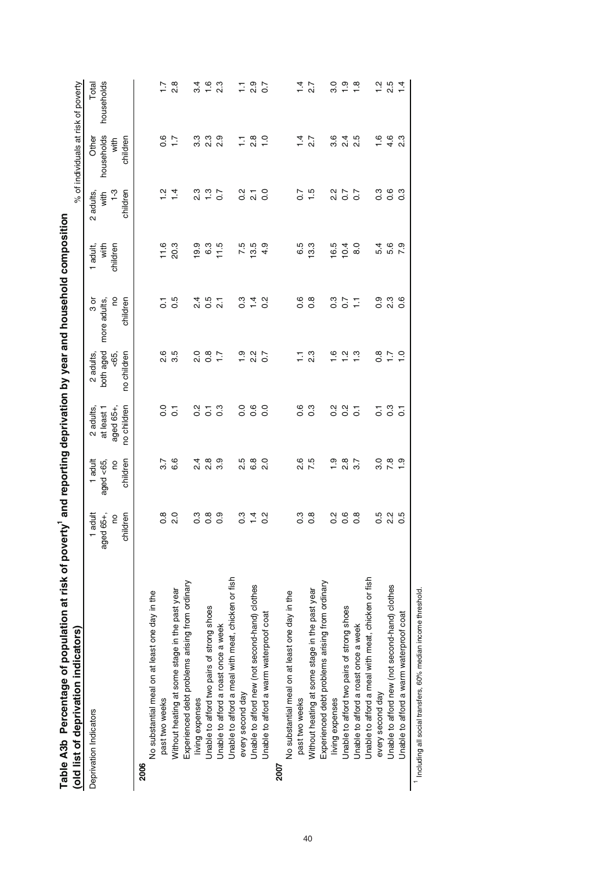| Table A3b Percentage of population at risk of poverty' and reporting deprivation by year and household composition<br>(old list of deprivation indicators) |                                                               |                                             |                                                    |                                              |                                                        |                              |                                               | % of individuals at risk of poverty     |                     |
|------------------------------------------------------------------------------------------------------------------------------------------------------------|---------------------------------------------------------------|---------------------------------------------|----------------------------------------------------|----------------------------------------------|--------------------------------------------------------|------------------------------|-----------------------------------------------|-----------------------------------------|---------------------|
| Deprivation Indicators                                                                                                                                     | adult<br>aged 65+,<br>children<br><b>PO</b><br>$\overline{ }$ | adult<br>aged <65,<br>children<br><b>PO</b> | no children<br>aged 65+,<br>at least 1<br>2 adults | both aged<br>no children<br><65,<br>2 adults | <b>DO</b><br>$\frac{3}{9}$<br>more adults,<br>children | with<br>children<br>1 adult, | $\frac{3}{1}$<br>children<br>2 adults<br>with | households<br>Other<br>childrer<br>with | households<br>Total |
| No substantial meal on at least one day in the<br>2006                                                                                                     |                                                               |                                             |                                                    |                                              |                                                        |                              |                                               |                                         |                     |
| past two weeks                                                                                                                                             | ∞<br>O                                                        | 3.7                                         | o.o                                                | 2.6                                          | 5                                                      | 11.6                         | ب<br>1                                        | 0.6                                     |                     |
| Without heating at some stage in the past year                                                                                                             | 2.0                                                           | 6.6                                         | $\overline{c}$                                     | 3.5                                          | 0.5                                                    | 20.3                         | $1\frac{4}{1}$                                | $\ddot{ }$ :                            | $\frac{8}{2}$       |
| Experienced debt problems arising from ordinary                                                                                                            |                                                               |                                             |                                                    |                                              |                                                        |                              |                                               |                                         |                     |
| living expenses                                                                                                                                            | c.o                                                           | 2.4                                         | $\frac{2}{3}$                                      | $\frac{0}{2}$                                | $\frac{4}{3}$                                          | 19.9                         | 2.3                                           | 3.3                                     | $3\overline{4}$     |
| Unable to afford two pairs of strong shoes                                                                                                                 | $\frac{8}{2}$                                                 | $\frac{8}{2}$                               | $\overline{c}$                                     | $\frac{8}{2}$                                | 0.5                                                    | 6.3                          | $\frac{3}{1}$                                 | $2.\overline{3}$                        | $\frac{6}{1}$       |
| Unable to afford a roast once a week                                                                                                                       | 0.9                                                           | တ<br>က                                      | $0.\overline{3}$                                   | $\ddot{ }$ :                                 | $\overline{2.1}$                                       | 11.5                         | $\overline{0}$ .                              | 2.9                                     | 23                  |
| Unable to afford a meal with meat, chicken or fish                                                                                                         |                                                               |                                             |                                                    |                                              |                                                        |                              |                                               |                                         |                     |
| every second day                                                                                                                                           | c3                                                            | 2.5                                         | $\overline{0}$                                     | $\frac{0}{1}$                                | $\overline{0}$ .3                                      | 7.5                          | $\frac{2}{5}$                                 | Ξ                                       | Ξ                   |
| Unable to afford new (not second-hand) clothes                                                                                                             | $\frac{4}{1}$                                                 | 6.8                                         | $0.\overline{6}$                                   | $\frac{2}{3}$                                | $\frac{1}{4}$                                          | 13.5                         | $\overline{21}$                               | $\frac{8}{2}$                           | 0.9                 |
| Unable to afford a warm waterproof coat                                                                                                                    | $\frac{2}{5}$                                                 | 2.0                                         | $\overline{0}$                                     | $\overline{0}$                               | $\frac{2}{5}$                                          | တ<br>4.                      | o.o                                           | $\frac{0}{1}$                           | $\overline{0}$      |
| 2007                                                                                                                                                       |                                                               |                                             |                                                    |                                              |                                                        |                              |                                               |                                         |                     |
| No substantial meal on at least one day in the                                                                                                             |                                                               |                                             |                                                    |                                              |                                                        |                              |                                               |                                         |                     |
| past two weeks                                                                                                                                             | c.o                                                           | 2.6                                         | 0.6                                                | Ξ                                            | 0.6                                                    | 6.5                          | $\overline{0}$                                | $\overline{1}$                          | $\dot{z}$           |
| Without heating at some stage in the past year                                                                                                             | $\frac{8}{2}$                                                 | 7.5                                         | 0.3                                                | $2.\overline{3}$                             | $0.\overline{8}$                                       | 13.3                         | 1.5                                           | 27                                      | $\overline{2.7}$    |
| Experienced debt problems arising from ordinary                                                                                                            |                                                               |                                             |                                                    |                                              |                                                        |                              |                                               |                                         |                     |
| living expenses                                                                                                                                            | $\frac{2}{3}$                                                 | <u>ာ</u>                                    | $\frac{2}{3}$                                      | ဖ                                            | $0.\overline{3}$                                       | 16.5                         | $\frac{2}{3}$                                 | 3.6                                     | ာ<br>၁              |
| Unable to afford two pairs of strong shoes                                                                                                                 | 0.6                                                           | $\frac{8}{2}$                               | $0.\overline{2}$                                   | Ņ                                            | $\overline{0.7}$                                       | 10.4                         | $\overline{0}$ .7                             | $^{2.4}$                                | $\frac{0}{1}$       |
| Unable to afford a roast once a week                                                                                                                       | $0.\overline{8}$                                              | 3.7                                         | $\overline{c}$                                     | က္                                           | 들                                                      | 8.0                          | $\overline{0}$                                | 2.5                                     | 1.8                 |
| Unable to afford a meal with meat, chicken or fish                                                                                                         |                                                               |                                             |                                                    |                                              |                                                        |                              |                                               |                                         |                     |
| every second day                                                                                                                                           | 0.5                                                           | 3.0                                         | 5                                                  | $\frac{8}{2}$                                | 0.9                                                    | 5.4                          | C.S                                           | $\frac{6}{1}$                           | $\frac{2}{1}$       |
| Unable to afford new (not second-hand) clothes                                                                                                             | 2 <sup>2</sup>                                                | 7.8                                         | $\frac{3}{2}$                                      | $\overline{1}$                               | 2.3                                                    | 5.6                          | $0.\overline{6}$                              | 4.6                                     | 2.5                 |
| Unable to afford a warm waterproof coat                                                                                                                    | 3.0                                                           | တ္                                          | $\overline{c}$                                     | $\circ$                                      | $0.\overline{6}$                                       | 7.9                          | 0.3                                           | 2.3                                     | 1.4                 |
| 1 Including all social transfers, 60% median income threshold                                                                                              |                                                               |                                             |                                                    |                                              |                                                        |                              |                                               |                                         |                     |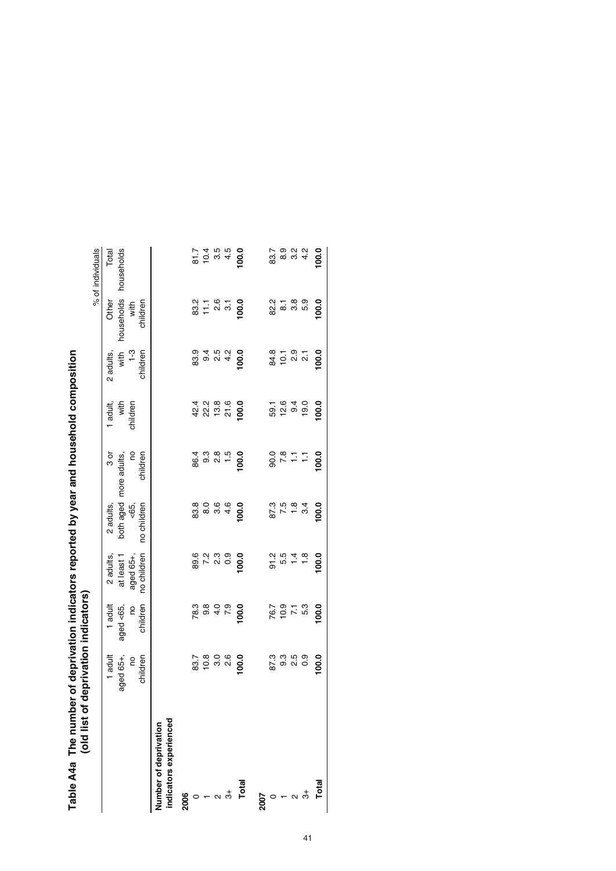| old list of d                  |                           | eprivation indicators)      |                                 |                                                |                                         |                               |                             |                    | % of individuals   |
|--------------------------------|---------------------------|-----------------------------|---------------------------------|------------------------------------------------|-----------------------------------------|-------------------------------|-----------------------------|--------------------|--------------------|
|                                | 1 adult                   | 1 adult                     | 2 adults,                       | 2 adults,                                      | შ<br>თ                                  | 1 adult,                      | 2 adults                    | Other              | Total              |
|                                | aged 65+,                 | aged <65,                   | at least 1                      | both aged more adults,                         |                                         | with                          | with                        | households         | households         |
|                                | e                         | g                           | aged 65+,                       | <65,                                           | g                                       | children                      | $1-3$                       | with               |                    |
|                                | children                  | children                    | no children                     | no children                                    | children                                |                               | children                    | children           |                    |
| Number of deprivation          |                           |                             |                                 |                                                |                                         |                               |                             |                    |                    |
| indicators experienced         |                           |                             |                                 |                                                |                                         |                               |                             |                    |                    |
| 2006                           |                           |                             |                                 |                                                |                                         |                               |                             |                    |                    |
|                                |                           |                             |                                 |                                                |                                         |                               |                             |                    |                    |
|                                |                           |                             |                                 |                                                |                                         |                               |                             |                    |                    |
|                                | 33.7<br>10.8<br>3.0       | k<br>0 0 0 0 0<br>0 0 0 0 0 | 0 0 1 0 0<br>0 0 1 0<br>0 0 1 0 | စ္တိုင္ ေ<br>စိတ္ထိ ယို <del>၂</del><br>ထို    | (co co co co<br>co co co co<br>co co co | 4 2 3 4<br>4 2 5 4<br>4 2 5 7 | 8<br>8 9 9 9 4<br>9 9 9 9 9 | 2<br>2011<br>2022  | 50<br>2004<br>2012 |
| $\dot{\tilde{5}}$              | 2.6                       |                             |                                 |                                                |                                         |                               |                             |                    |                    |
| Total                          | 100.0                     | 100.0                       | 100.0                           | 100.0                                          | 100.0                                   | 100.0                         | $\overline{8}$              | $\overline{00}$    | 100.0              |
| 2007                           |                           |                             |                                 |                                                |                                         |                               |                             |                    |                    |
|                                |                           |                             |                                 |                                                |                                         |                               |                             |                    |                    |
|                                | 8<br>19<br>19<br>19<br>19 | 701<br>1011<br>1011         |                                 | $\frac{3}{2}$ / $\frac{1}{2}$<br>$\frac{3}{2}$ | 0.8777                                  | 5<br>6 2 9 9 9<br>5 9 9 9     | 8 1 1 9 1<br>8 1 0 1 1      | လ္ပံုး<br>လံထွက္ပံ |                    |
| $\alpha$ $\stackrel{+}{\circ}$ |                           |                             |                                 |                                                |                                         |                               |                             |                    |                    |
|                                | 0.9                       |                             | $\frac{8}{1}$                   | 3.4                                            |                                         |                               |                             |                    |                    |
| Total                          | 100.0                     | 100.0                       | 100.0                           | 100.0                                          | 100.0                                   | 100.0                         | 100.0                       | 100.0              | 100.0              |
|                                |                           |                             |                                 |                                                |                                         |                               |                             |                    |                    |

| どうろ アニクロニコン アミク こうりこころ アクサウミク こうせつこう        |                                    |
|---------------------------------------------|------------------------------------|
|                                             |                                    |
|                                             |                                    |
|                                             |                                    |
| oneu by year and                            |                                    |
|                                             |                                    |
|                                             |                                    |
|                                             |                                    |
|                                             |                                    |
|                                             |                                    |
| io Tha numhai                               | Id liet of deprivation indicatore) |
|                                             |                                    |
|                                             |                                    |
| <b>IL DIII btt DI2p I</b><br><b>NA CHAT</b> |                                    |
|                                             |                                    |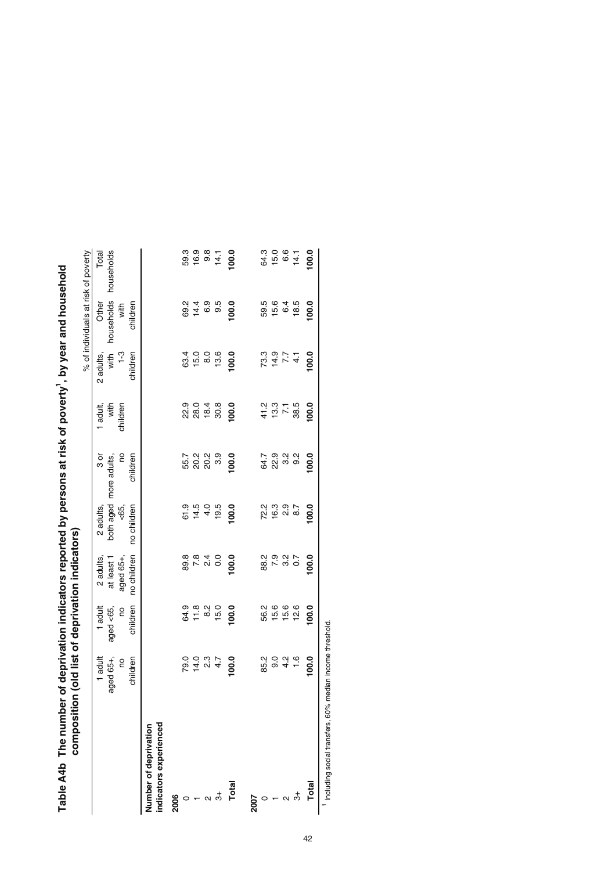| Composition                                     |                        |               | (Signetion depindent light) |                                 |                            |                             |                               |                                     |                       |
|-------------------------------------------------|------------------------|---------------|-----------------------------|---------------------------------|----------------------------|-----------------------------|-------------------------------|-------------------------------------|-----------------------|
|                                                 |                        |               |                             |                                 |                            |                             |                               | % of individuals at risk of poverty |                       |
|                                                 | 1 adult                | $1$ adult     | 2 adults                    | 2 adults                        | $3$ or                     | 1 adult                     | 2 adults,                     | Other                               | Total                 |
|                                                 | aged 65+,              | aged <65,     | at least                    | both aged                       | more adults,               | with                        | with                          | households                          | households            |
|                                                 | g                      | <u>c</u>      | aged 65+,                   | $53 - 5$                        | g                          | children                    | $1-3$                         | with                                |                       |
|                                                 | children               | children      | no children                 | no children                     | children                   |                             | children                      | children                            |                       |
| indicators experienced<br>Number of deprivation |                        |               |                             |                                 |                            |                             |                               |                                     |                       |
| 2006                                            |                        |               |                             |                                 |                            |                             |                               |                                     |                       |
|                                                 |                        |               |                             |                                 |                            |                             |                               |                                     |                       |
|                                                 | 79.0<br>14.0           | 84.8<br>11.8  |                             | 6 1 4 4 6<br>0 4 4 6<br>0 4 4 9 | 5<br>5000<br>500           |                             | 63.4<br>15.0                  | 8 4 6 9<br>8 4 6 9<br>7             | 59.3<br>16.9          |
|                                                 | $2.3$<br>4.7           |               |                             |                                 |                            |                             |                               |                                     |                       |
| $\frac{4}{5}$                                   |                        | $8.2$<br>15.0 |                             |                                 |                            |                             | $8.0$<br>13.6                 |                                     | $9.8$<br>14.1         |
| Total                                           | 100.0                  | 100.0         | 100.0                       | 100.0                           | 100.0                      | 100.0                       | 100.0                         | 100.0                               | 100.0                 |
| 2007                                            |                        |               |                             |                                 |                            |                             |                               |                                     |                       |
|                                                 | 85.2                   | 56.2          |                             |                                 |                            |                             |                               | 59.5                                |                       |
|                                                 | $9.46$<br>$9.46$       | 15.6          |                             | cia<br>Vitoria<br>Vitoria       | ヽ ๑ д д<br>ซี ฎ ๓ ๑<br>© ฎ | $4.58$<br>$4.578$<br>$4.58$ | 2 4 7 4<br>2 4 7 4<br>2 9 7 4 | 15.6                                | 8 10 6 1<br>9 10 6 11 |
|                                                 |                        | 15.6          |                             |                                 |                            |                             |                               |                                     |                       |
| ಕ                                               |                        | 12.6          |                             |                                 |                            |                             |                               | $6.\overline{6}$<br>18.5            |                       |
| Total                                           | 100.0                  | 100.0         | 100.0                       | 100.0                           | 100.0                      | 100.0                       | 100.0                         | 100.0                               | 100.0                 |
| Including social transfers. 60% m               | edian income threshold |               |                             |                                 |                            |                             |                               |                                     |                       |

Table A4b The number of deprivation indicators reported by persons at risk of poverty<sup>1</sup>, by year and household<br>commosition (old list of deprivation indicators) Table A4b The number of deprivation indicators reported by persons at risk of poverty<sup>1</sup>, by year and household **composition (old list of deprivation indicators)**

Including social transfers, 60% median income threshold.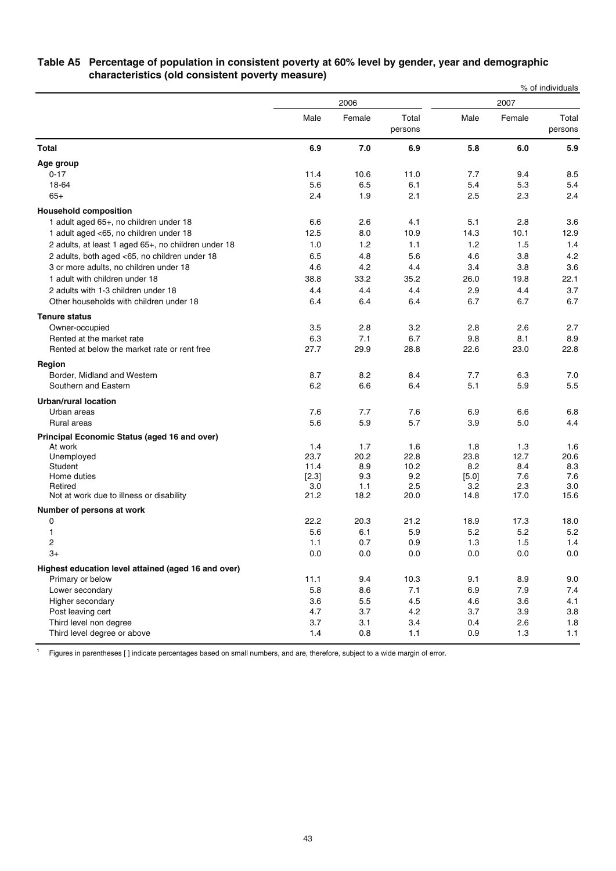|                                                     |             |             |                  |             |             | % of individuals |
|-----------------------------------------------------|-------------|-------------|------------------|-------------|-------------|------------------|
|                                                     | 2006        |             |                  | 2007        |             |                  |
|                                                     | Male        | Female      | Total<br>persons | Male        | Female      | Total<br>persons |
| <b>Total</b>                                        | 6.9         | 7.0         | 6.9              | 5.8         | 6.0         | 5.9              |
| Age group                                           |             |             |                  |             |             |                  |
| $0 - 17$                                            | 11.4        | 10.6        | 11.0             | 7.7         | 9.4         | 8.5              |
| 18-64                                               | 5.6         | 6.5         | 6.1              | 5.4         | 5.3         | 5.4              |
| $65+$                                               | 2.4         | 1.9         | 2.1              | 2.5         | 2.3         | 2.4              |
| <b>Household composition</b>                        |             |             |                  |             |             |                  |
| 1 adult aged 65+, no children under 18              | 6.6         | 2.6         | 4.1              | 5.1         | 2.8         | 3.6              |
| 1 adult aged <65, no children under 18              | 12.5        | 8.0         | 10.9             | 14.3        | 10.1        | 12.9             |
| 2 adults, at least 1 aged 65+, no children under 18 | 1.0         | 1.2         | 1.1              | 1.2         | 1.5         | 1.4              |
| 2 adults, both aged <65, no children under 18       | 6.5         | 4.8         | 5.6              | 4.6         | 3.8         | 4.2              |
| 3 or more adults, no children under 18              | 4.6         | 4.2         | 4.4              | 3.4         | 3.8         | 3.6              |
| 1 adult with children under 18                      | 38.8        | 33.2        | 35.2             | 26.0        | 19.8        | 22.1             |
| 2 adults with 1-3 children under 18                 | 4.4         | 4.4         | 4.4              | 2.9         | 4.4         | 3.7              |
| Other households with children under 18             | 6.4         | 6.4         | 6.4              | 6.7         | 6.7         | 6.7              |
| <b>Tenure status</b>                                |             |             |                  |             |             |                  |
| Owner-occupied                                      | 3.5         | 2.8         | 3.2              | 2.8         | 2.6         | 2.7              |
| Rented at the market rate                           | 6.3         | 7.1         | 6.7              | 9.8         | 8.1         | 8.9              |
| Rented at below the market rate or rent free        | 27.7        | 29.9        | 28.8             | 22.6        | 23.0        | 22.8             |
| Region                                              |             |             |                  |             |             |                  |
| Border, Midland and Western                         | 8.7         | 8.2         | 8.4              | 7.7         | 6.3         | 7.0              |
| Southern and Eastern                                | 6.2         | 6.6         | 6.4              | 5.1         | 5.9         | 5.5              |
| <b>Urban/rural location</b>                         |             |             |                  |             |             |                  |
| Urban areas                                         | 7.6         | 7.7         | 7.6              | 6.9         | 6.6         | 6.8              |
| Rural areas                                         | 5.6         | 5.9         | 5.7              | 3.9         | 5.0         | 4.4              |
| Principal Economic Status (aged 16 and over)        |             |             |                  |             |             |                  |
| At work                                             | 1.4         | 1.7         | 1.6              | 1.8         | 1.3         | 1.6              |
| Unemployed                                          | 23.7        | 20.2        | 22.8             | 23.8        | 12.7        | 20.6             |
| Student                                             | 11.4        | 8.9         | 10.2             | 8.2         | 8.4         | 8.3              |
| Home duties                                         | [2.3]       | 9.3         | 9.2              | [5.0]       | 7.6         | 7.6              |
| Retired<br>Not at work due to illness or disability | 3.0<br>21.2 | 1.1<br>18.2 | 2.5<br>20.0      | 3.2<br>14.8 | 2.3<br>17.0 | 3.0<br>15.6      |
|                                                     |             |             |                  |             |             |                  |
| Number of persons at work                           |             |             |                  |             |             |                  |
| 0<br>1                                              | 22.2<br>5.6 | 20.3<br>6.1 | 21.2<br>5.9      | 18.9<br>5.2 | 17.3<br>5.2 | 18.0<br>5.2      |
| 2                                                   | 1.1         | 0.7         | 0.9              | 1.3         | 1.5         | 1.4              |
| $3+$                                                | $0.0\,$     | $0.0\,$     | 0.0              | 0.0         | 0.0         | $0.0\,$          |
|                                                     |             |             |                  |             |             |                  |
| Highest education level attained (aged 16 and over) |             |             | 10.3             |             |             |                  |
| Primary or below<br>Lower secondary                 | 11.1<br>5.8 | 9.4<br>8.6  | 7.1              | 9.1<br>6.9  | 8.9<br>7.9  | 9.0<br>7.4       |
| Higher secondary                                    | 3.6         | 5.5         | 4.5              | 4.6         | 3.6         | 4.1              |
| Post leaving cert                                   | 4.7         | 3.7         | 4.2              | 3.7         | 3.9         | 3.8              |
| Third level non degree                              | 3.7         | 3.1         | 3.4              | 0.4         | 2.6         | 1.8              |
| Third level degree or above                         | 1.4         | 0.8         | $1.1$            | 0.9         | 1.3         | 1.1              |
|                                                     |             |             |                  |             |             |                  |

### **Table A5 Percentage of population in consistent poverty at 60% level by gender, year and demographic characteristics (old consistent poverty measure)**

Tum Figures in parentheses [] indicate percentages based on small numbers, and are, therefore, subject to a wide margin of error.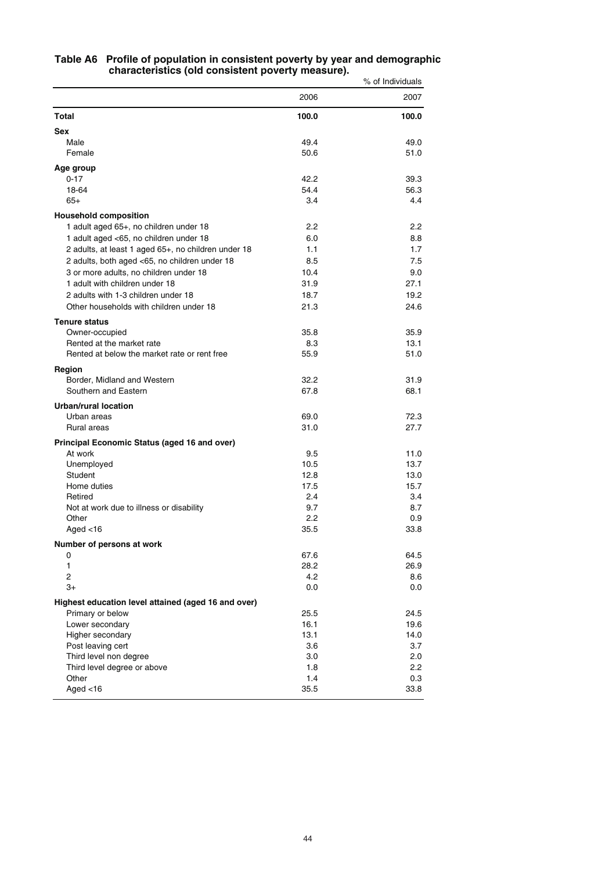|                                                     |            | % of Individuals |
|-----------------------------------------------------|------------|------------------|
|                                                     | 2006       | 2007             |
| Total                                               | 100.0      | 100.0            |
| <b>Sex</b>                                          |            |                  |
| Male                                                | 49.4       | 49.0             |
| Female                                              | 50.6       | 51.0             |
| Age group                                           |            |                  |
| $0 - 17$                                            | 42.2       | 39.3             |
| 18-64                                               | 54.4       | 56.3             |
| $65+$                                               | 3.4        | 4.4              |
| <b>Household composition</b>                        |            |                  |
| 1 adult aged 65+, no children under 18              | 2.2        | $2.2\,$          |
| 1 adult aged <65, no children under 18              | 6.0        | 8.8              |
| 2 adults, at least 1 aged 65+, no children under 18 | 1.1        | 1.7              |
| 2 adults, both aged <65, no children under 18       | 8.5        | 7.5              |
| 3 or more adults, no children under 18              | 10.4       | 9.0              |
| 1 adult with children under 18                      | 31.9       | 27.1             |
| 2 adults with 1-3 children under 18                 | 18.7       | 19.2             |
| Other households with children under 18             | 21.3       | 24.6             |
| <b>Tenure status</b>                                |            |                  |
| Owner-occupied                                      | 35.8       | 35.9             |
| Rented at the market rate                           | 8.3        | 13.1             |
| Rented at below the market rate or rent free        | 55.9       | 51.0             |
| Region                                              |            |                  |
| Border, Midland and Western                         | 32.2       | 31.9             |
| Southern and Eastern                                | 67.8       | 68.1             |
| Urban/rural location                                |            |                  |
| Urban areas                                         | 69.0       | 72.3             |
| <b>Rural areas</b>                                  | 31.0       | 27.7             |
| Principal Economic Status (aged 16 and over)        |            |                  |
| At work                                             | 9.5        | 11.0             |
| Unemployed                                          | 10.5       | 13.7             |
| Student                                             | 12.8       | 13.0             |
| Home duties                                         | 17.5       | 15.7             |
| Retired                                             | 2.4<br>9.7 | 3.4<br>8.7       |
| Not at work due to illness or disability<br>Other   | 2.2        | 0.9              |
| Aged $<$ 16                                         | 35.5       | 33.8             |
|                                                     |            |                  |
| Number of persons at work<br>0                      | 67.6       | 64.5             |
| 1                                                   | 28.2       | 26.9             |
| $\overline{c}$                                      | 4.2        | 8.6              |
| $3+$                                                | 0.0        | 0.0              |
| Highest education level attained (aged 16 and over) |            |                  |
| Primary or below                                    | 25.5       | 24.5             |
| Lower secondary                                     | 16.1       | 19.6             |
| Higher secondary                                    | 13.1       | 14.0             |
| Post leaving cert                                   | 3.6        | 3.7              |
| Third level non degree                              | 3.0        | 2.0              |
| Third level degree or above                         | 1.8        | 2.2              |
| Other                                               | 1.4        | 0.3              |
| Aged $<$ 16                                         | 35.5       | 33.8             |

#### **Table A6 Profile of population in consistent poverty by year and demographic characteristics (old consistent poverty measure).**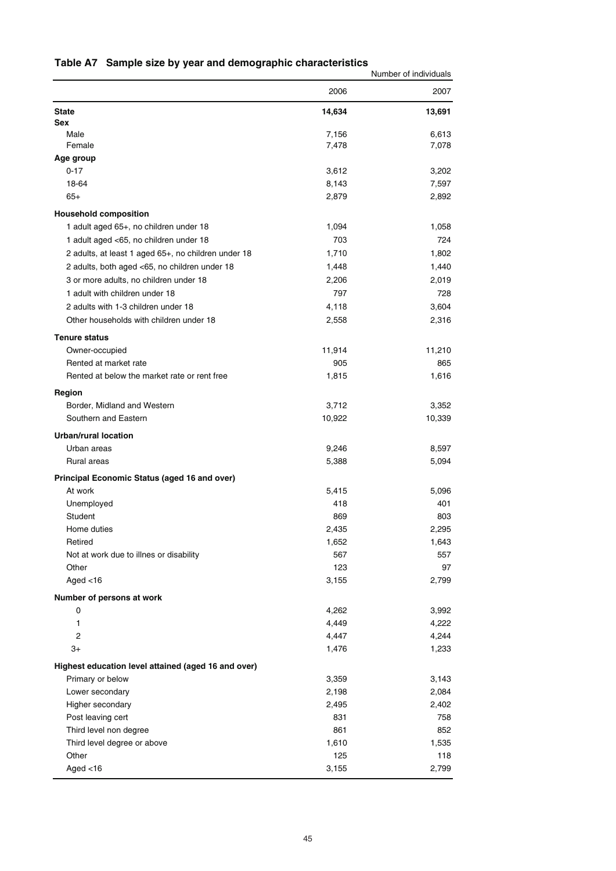# **Table A7 Sample size by year and demographic characteristics**

|                                                     |                 | Number of individuals |
|-----------------------------------------------------|-----------------|-----------------------|
|                                                     | 2006            | 2007                  |
| <b>State</b>                                        | 14,634          | 13,691                |
| <b>Sex</b>                                          |                 |                       |
| Male<br>Female                                      | 7,156           | 6,613<br>7,078        |
| Age group                                           | 7,478           |                       |
| $0 - 17$                                            | 3,612           | 3,202                 |
| 18-64                                               | 8,143           | 7,597                 |
| $65+$                                               | 2,879           | 2,892                 |
| <b>Household composition</b>                        |                 |                       |
| 1 adult aged 65+, no children under 18              | 1,094           | 1,058                 |
| 1 adult aged <65, no children under 18              | 703             | 724                   |
| 2 adults, at least 1 aged 65+, no children under 18 | 1,710           | 1,802                 |
|                                                     | 1,448           |                       |
| 2 adults, both aged <65, no children under 18       |                 | 1,440                 |
| 3 or more adults, no children under 18              | 2,206           | 2,019                 |
| 1 adult with children under 18                      | 797             | 728                   |
| 2 adults with 1-3 children under 18                 | 4,118           | 3,604                 |
| Other households with children under 18             | 2,558           | 2,316                 |
| <b>Tenure status</b>                                |                 |                       |
| Owner-occupied                                      | 11,914          | 11,210                |
| Rented at market rate                               | 905             | 865                   |
| Rented at below the market rate or rent free        | 1,815           | 1,616                 |
| Region<br>Border, Midland and Western               |                 |                       |
| Southern and Eastern                                | 3,712<br>10,922 | 3,352<br>10,339       |
|                                                     |                 |                       |
| <b>Urban/rural location</b>                         |                 |                       |
| Urban areas                                         | 9,246           | 8,597                 |
| Rural areas                                         | 5,388           | 5,094                 |
| Principal Economic Status (aged 16 and over)        |                 |                       |
| At work                                             | 5,415           | 5,096                 |
| Unemployed                                          | 418             | 401                   |
| Student                                             | 869             | 803                   |
| Home duties                                         | 2,435           | 2,295                 |
| Retired                                             | 1,652           | 1,643                 |
| Not at work due to illnes or disability             | 567<br>123      | 557                   |
| Other                                               |                 | 97                    |
| Aged $<$ 16                                         | 3,155           | 2,799                 |
| Number of persons at work                           |                 |                       |
| 0<br>1                                              | 4,262<br>4,449  | 3,992                 |
| 2                                                   | 4,447           | 4,222                 |
| $3+$                                                |                 | 4,244                 |
|                                                     | 1,476           | 1,233                 |
| Highest education level attained (aged 16 and over) |                 |                       |
| Primary or below                                    | 3,359           | 3,143                 |
| Lower secondary                                     | 2,198           | 2,084                 |
| Higher secondary                                    | 2,495           | 2,402                 |
| Post leaving cert                                   | 831             | 758                   |
| Third level non degree                              | 861             | 852                   |
| Third level degree or above                         | 1,610           | 1,535                 |
| Other                                               | 125             | 118                   |
| Aged $<$ 16                                         | 3,155           | 2,799                 |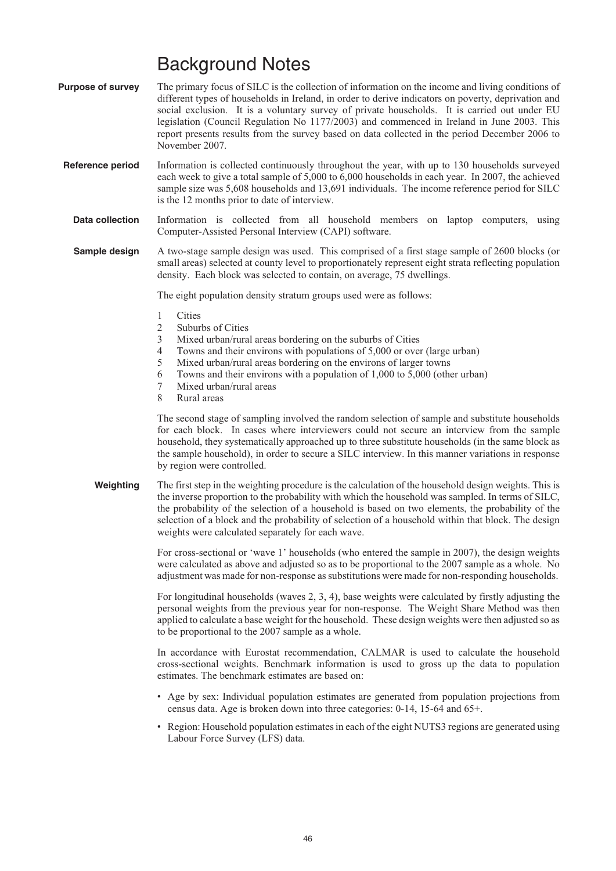# Background Notes

- **Purpose of survey** The primary focus of SILC is the collection of information on the income and living conditions of different types of households in Ireland, in order to derive indicators on poverty, deprivation and social exclusion. It is a voluntary survey of private households. It is carried out under EU legislation (Council Regulation No 1177/2003) and commenced in Ireland in June 2003. This report presents results from the survey based on data collected in the period December 2006 to November 2007.
- **Reference period** Information is collected continuously throughout the year, with up to 130 households surveyed each week to give a total sample of 5,000 to 6,000 households in each year. In 2007, the achieved sample size was 5,608 households and 13,691 individuals. The income reference period for SILC is the 12 months prior to date of interview.
	- **Data collection** Information is collected from all household members on laptop computers, using Computer-Assisted Personal Interview (CAPI) software.
	- **Sample design** A two-stage sample design was used. This comprised of a first stage sample of 2600 blocks (or small areas) selected at county level to proportionately represent eight strata reflecting population density. Each block was selected to contain, on average, 75 dwellings.

The eight population density stratum groups used were as follows:

- 1 Cities
- 2 Suburbs of Cities
- 3 Mixed urban/rural areas bordering on the suburbs of Cities
- 4 Towns and their environs with populations of 5,000 or over (large urban)
- 5 Mixed urban/rural areas bordering on the environs of larger towns
- 6 Towns and their environs with a population of 1,000 to 5,000 (other urban)
- 7 Mixed urban/rural areas
- 8 Rural areas

The second stage of sampling involved the random selection of sample and substitute households for each block. In cases where interviewers could not secure an interview from the sample household, they systematically approached up to three substitute households (in the same block as the sample household), in order to secure a SILC interview. In this manner variations in response by region were controlled.

**Weighting** The first step in the weighting procedure is the calculation of the household design weights. This is the inverse proportion to the probability with which the household was sampled. In terms of SILC, the probability of the selection of a household is based on two elements, the probability of the selection of a block and the probability of selection of a household within that block. The design weights were calculated separately for each wave.

> For cross-sectional or 'wave 1' households (who entered the sample in 2007), the design weights were calculated as above and adjusted so as to be proportional to the 2007 sample as a whole. No adjustment was made for non-response as substitutions were made for non-responding households.

> For longitudinal households (waves 2, 3, 4), base weights were calculated by firstly adjusting the personal weights from the previous year for non-response. The Weight Share Method was then applied to calculate a base weight for the household. These design weights were then adjusted so as to be proportional to the 2007 sample as a whole.

> In accordance with Eurostat recommendation, CALMAR is used to calculate the household cross-sectional weights. Benchmark information is used to gross up the data to population estimates. The benchmark estimates are based on:

- Age by sex: Individual population estimates are generated from population projections from census data. Age is broken down into three categories: 0-14, 15-64 and 65+.
- Region: Household population estimates in each of the eight NUTS3 regions are generated using Labour Force Survey (LFS) data.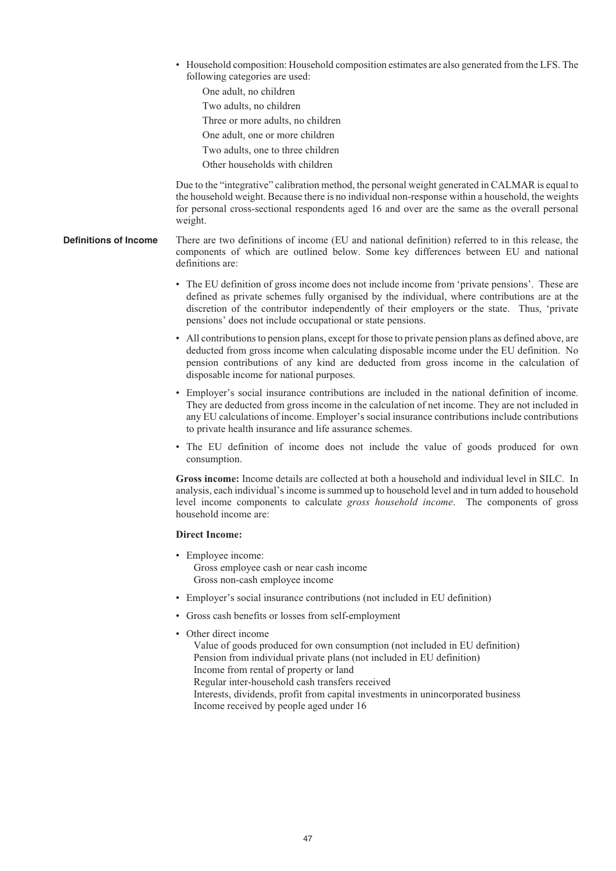- Household composition: Household composition estimates are also generated from the LFS. The following categories are used:
	- One adult, no children
	- Two adults, no children
	- Three or more adults, no children
	- One adult, one or more children
	- Two adults, one to three children
	- Other households with children

Due to the "integrative" calibration method, the personal weight generated in CALMAR is equal to the household weight. Because there is no individual non-response within a household, the weights for personal cross-sectional respondents aged 16 and over are the same as the overall personal weight.

- **Definitions of Income** There are two definitions of income (EU and national definition) referred to in this release, the components of which are outlined below. Some key differences between EU and national definitions are:
	- The EU definition of gross income does not include income from 'private pensions'. These are defined as private schemes fully organised by the individual, where contributions are at the discretion of the contributor independently of their employers or the state. Thus, 'private pensions' does not include occupational or state pensions.
	- All contributions to pension plans, except for those to private pension plans as defined above, are deducted from gross income when calculating disposable income under the EU definition. No pension contributions of any kind are deducted from gross income in the calculation of disposable income for national purposes.
	- Employer's social insurance contributions are included in the national definition of income. They are deducted from gross income in the calculation of net income. They are not included in any EU calculations of income. Employer's social insurance contributions include contributions to private health insurance and life assurance schemes.
	- The EU definition of income does not include the value of goods produced for own consumption.

**Gross income:** Income details are collected at both a household and individual level in SILC. In analysis, each individual's income is summed up to household level and in turn added to household level income components to calculate *gross household income*. The components of gross household income are:

### **Direct Income:**

- Employee income: Gross employee cash or near cash income Gross non-cash employee income
- Employer's social insurance contributions (not included in EU definition)
- Gross cash benefits or losses from self-employment
- Other direct income
	- Value of goods produced for own consumption (not included in EU definition) Pension from individual private plans (not included in EU definition) Income from rental of property or land Regular inter-household cash transfers received Interests, dividends, profit from capital investments in unincorporated business Income received by people aged under 16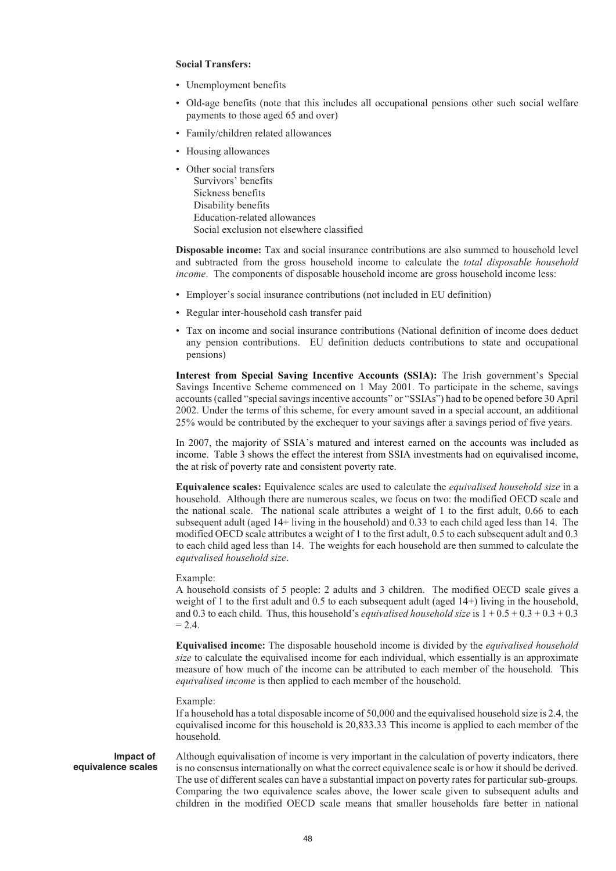#### **Social Transfers:**

- Unemployment benefits
- Old-age benefits (note that this includes all occupational pensions other such social welfare payments to those aged 65 and over)
- Family/children related allowances
- Housing allowances
- Other social transfers Survivors' benefits Sickness benefits Disability benefits Education-related allowances Social exclusion not elsewhere classified

**Disposable income:** Tax and social insurance contributions are also summed to household level and subtracted from the gross household income to calculate the *total disposable household income*. The components of disposable household income are gross household income less:

- Employer's social insurance contributions (not included in EU definition)
- Regular inter-household cash transfer paid
- Tax on income and social insurance contributions (National definition of income does deduct any pension contributions. EU definition deducts contributions to state and occupational pensions)

**Interest from Special Saving Incentive Accounts (SSIA):** The Irish government's Special Savings Incentive Scheme commenced on 1 May 2001. To participate in the scheme, savings accounts (called "special savings incentive accounts" or "SSIAs") had to be opened before 30 April 2002. Under the terms of this scheme, for every amount saved in a special account, an additional 25% would be contributed by the exchequer to your savings after a savings period of five years.

In 2007, the majority of SSIA's matured and interest earned on the accounts was included as income. Table 3 shows the effect the interest from SSIA investments had on equivalised income, the at risk of poverty rate and consistent poverty rate.

**Equivalence scales:** Equivalence scales are used to calculate the *equivalised household size* in a household. Although there are numerous scales, we focus on two: the modified OECD scale and the national scale. The national scale attributes a weight of 1 to the first adult, 0.66 to each subsequent adult (aged 14+ living in the household) and 0.33 to each child aged less than 14. The modified OECD scale attributes a weight of 1 to the first adult, 0.5 to each subsequent adult and 0.3 to each child aged less than 14. The weights for each household are then summed to calculate the *equivalised household size*.

#### Example:

A household consists of 5 people: 2 adults and 3 children. The modified OECD scale gives a weight of 1 to the first adult and 0.5 to each subsequent adult (aged 14+) living in the household, and 0.3 to each child. Thus, this household's *equivalised household size* is 1 + 0.5 + 0.3 + 0.3 + 0.3  $= 2.4.$ 

**Equivalised income:** The disposable household income is divided by the *equivalised household size* to calculate the equivalised income for each individual, which essentially is an approximate measure of how much of the income can be attributed to each member of the household. This *equivalised income* is then applied to each member of the household.

#### Example:

If a household has a total disposable income of 50,000 and the equivalised household size is 2.4, the equivalised income for this household is 20,833.33 This income is applied to each member of the household.

**Impact of equivalence scales** Although equivalisation of income is very important in the calculation of poverty indicators, there is no consensus internationally on what the correct equivalence scale is or how it should be derived. The use of different scales can have a substantial impact on poverty rates for particular sub-groups. Comparing the two equivalence scales above, the lower scale given to subsequent adults and children in the modified OECD scale means that smaller households fare better in national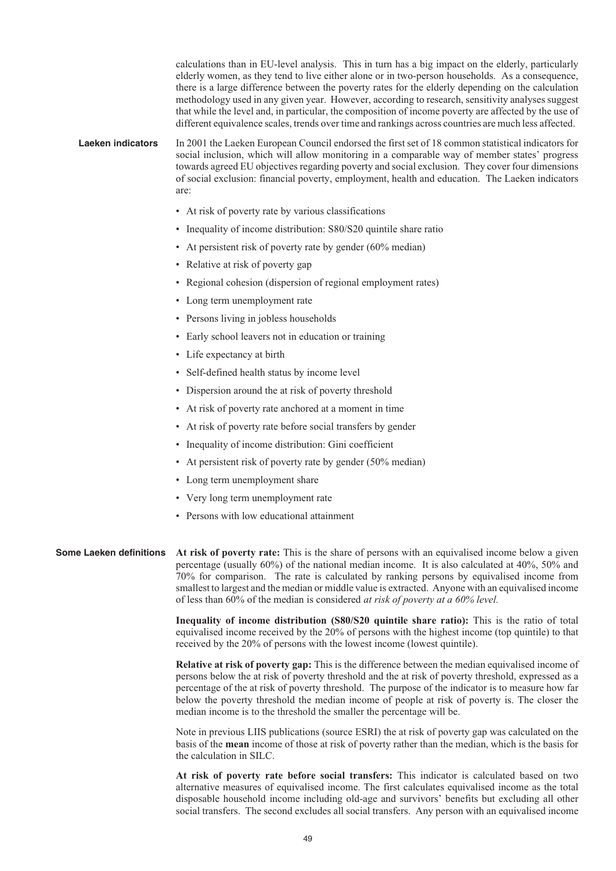calculations than in EU-level analysis. This in turn has a big impact on the elderly, particularly elderly women, as they tend to live either alone or in two-person households. As a consequence, there is a large difference between the poverty rates for the elderly depending on the calculation methodology used in any given year. However, according to research, sensitivity analyses suggest that while the level and, in particular, the composition of income poverty are affected by the use of different equivalence scales, trends over time and rankings across countries are much less affected.

**Laeken indicators** In 2001 the Laeken European Council endorsed the first set of 18 common statistical indicators for social inclusion, which will allow monitoring in a comparable way of member states' progress towards agreed EU objectives regarding poverty and social exclusion. They cover four dimensions of social exclusion: financial poverty, employment, health and education. The Laeken indicators are:

- At risk of poverty rate by various classifications
- Inequality of income distribution: S80/S20 quintile share ratio
- At persistent risk of poverty rate by gender (60% median)
- Relative at risk of poverty gap
- Regional cohesion (dispersion of regional employment rates)
- Long term unemployment rate
- Persons living in jobless households
- Early school leavers not in education or training
- Life expectancy at birth
- Self-defined health status by income level
- Dispersion around the at risk of poverty threshold
- At risk of poverty rate anchored at a moment in time
- At risk of poverty rate before social transfers by gender
- Inequality of income distribution: Gini coefficient
- At persistent risk of poverty rate by gender (50% median)
- Long term unemployment share
- Very long term unemployment rate
- Persons with low educational attainment

**Some Laeken definitions** At risk of poverty rate: This is the share of persons with an equivalised income below a given percentage (usually 60%) of the national median income. It is also calculated at 40%, 50% and 70% for comparison. The rate is calculated by ranking persons by equivalised income from smallest to largest and the median or middle value is extracted. Anyone with an equivalised income of less than 60% of the median is considered *at risk of poverty at a 60% level.*

> **Inequality of income distribution (S80/S20 quintile share ratio):** This is the ratio of total equivalised income received by the 20% of persons with the highest income (top quintile) to that received by the 20% of persons with the lowest income (lowest quintile).

> **Relative at risk of poverty gap:** This is the difference between the median equivalised income of persons below the at risk of poverty threshold and the at risk of poverty threshold, expressed as a percentage of the at risk of poverty threshold. The purpose of the indicator is to measure how far below the poverty threshold the median income of people at risk of poverty is. The closer the median income is to the threshold the smaller the percentage will be.

> Note in previous LIIS publications (source ESRI) the at risk of poverty gap was calculated on the basis of the **mean** income of those at risk of poverty rather than the median, which is the basis for the calculation in SILC.

> **At risk of poverty rate before social transfers:** This indicator is calculated based on two alternative measures of equivalised income. The first calculates equivalised income as the total disposable household income including old-age and survivors' benefits but excluding all other social transfers. The second excludes all social transfers. Any person with an equivalised income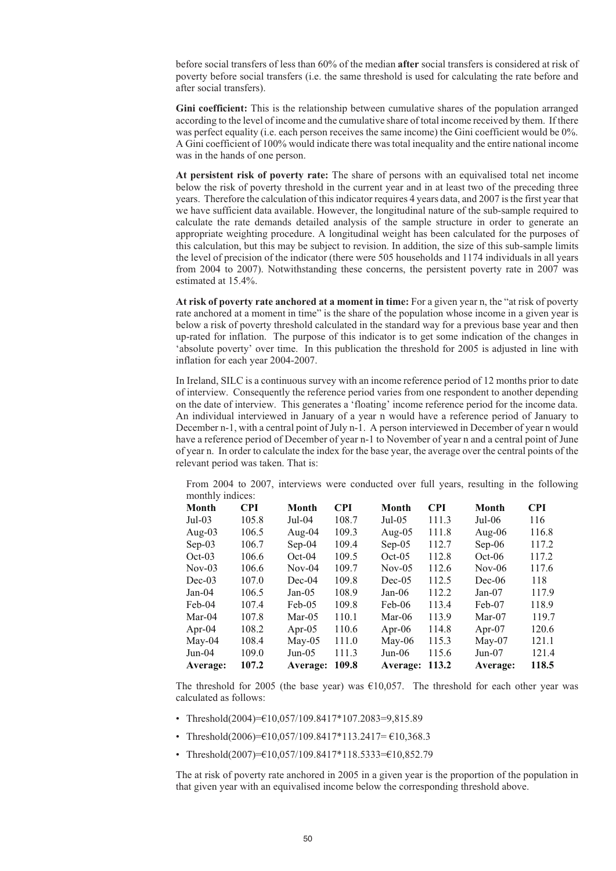before social transfers of less than 60% of the median **after** social transfers is considered at risk of poverty before social transfers (i.e. the same threshold is used for calculating the rate before and after social transfers).

**Gini coefficient:** This is the relationship between cumulative shares of the population arranged according to the level of income and the cumulative share of total income received by them. If there was perfect equality (i.e. each person receives the same income) the Gini coefficient would be 0%. A Gini coefficient of 100% would indicate there was total inequality and the entire national income was in the hands of one person.

**At persistent risk of poverty rate:** The share of persons with an equivalised total net income below the risk of poverty threshold in the current year and in at least two of the preceding three years. Therefore the calculation of this indicator requires 4 years data, and 2007 is the first year that we have sufficient data available. However, the longitudinal nature of the sub-sample required to calculate the rate demands detailed analysis of the sample structure in order to generate an appropriate weighting procedure. A longitudinal weight has been calculated for the purposes of this calculation, but this may be subject to revision. In addition, the size of this sub-sample limits the level of precision of the indicator (there were 505 households and 1174 individuals in all years from 2004 to 2007). Notwithstanding these concerns, the persistent poverty rate in 2007 was estimated at 15.4%.

**At risk of poverty rate anchored at a moment in time:** For a given year n, the "at risk of poverty rate anchored at a moment in time" is the share of the population whose income in a given year is below a risk of poverty threshold calculated in the standard way for a previous base year and then up-rated for inflation. The purpose of this indicator is to get some indication of the changes in 'absolute poverty' over time. In this publication the threshold for 2005 is adjusted in line with inflation for each year 2004-2007.

In Ireland, SILC is a continuous survey with an income reference period of 12 months prior to date of interview. Consequently the reference period varies from one respondent to another depending on the date of interview. This generates a 'floating' income reference period for the income data. An individual interviewed in January of a year n would have a reference period of January to December n-1, with a central point of July n-1. A person interviewed in December of year n would have a reference period of December of year n-1 to November of year n and a central point of June of year n. In order to calculate the index for the base year, the average over the central points of the relevant period was taken. That is:

• From 2004 to 2007, interviews were conducted over full years, resulting in the following monthly indices:

| <b>Month</b> | <b>CPI</b> | Month    | <b>CPI</b> | Month     | <b>CPI</b> | Month     | <b>CPI</b> |
|--------------|------------|----------|------------|-----------|------------|-----------|------------|
| $Jul-03$     | 105.8      | Jul-04   | 108.7      | Jul-05    | 111.3      | $Jul-06$  | 116        |
| Aug-03       | 106.5      | Aug-04   | 109.3      | Aug- $05$ | 111.8      | Aug- $06$ | 116.8      |
| $Sep-03$     | 106.7      | $Sep-04$ | 109.4      | $Sep-05$  | 112.7      | $Sep-06$  | 117.2      |
| $Oct-03$     | 106.6      | $Oct-04$ | 109.5      | $Oct-05$  | 112.8      | $Oct-06$  | 117.2      |
| $Nov-03$     | 106.6      | $Nov-04$ | 109.7      | $Nov-05$  | 112.6      | Nov-06    | 117.6      |
| $Dec-03$     | 107.0      | $Dec-04$ | 109.8      | $Dec-05$  | 112.5      | $Dec-06$  | 118        |
| $Jan-04$     | 106.5      | Jan-05   | 108.9      | Jan-06    | 112.2      | $Jan-07$  | 117.9      |
| Feb-04       | 107.4      | $Feb-05$ | 109.8      | $Feb-06$  | 113.4      | Feb-07    | 118.9      |
| Mar-04       | 107.8      | Mar-05   | 110.1      | Mar-06    | 113.9      | Mar-07    | 119.7      |
| Apr-04       | 108.2      | Apr-05   | 110.6      | Apr-06    | 114.8      | Apr- $07$ | 120.6      |
| May-04       | 108.4      | May-05   | 111.0      | May-06    | 115.3      | May-07    | 121.1      |
| $Jun-04$     | 109.0      | Jun-05   | 111.3      | $Jun-06$  | 115.6      | $Jun-07$  | 121.4      |
| Average:     | 107.2      | Average: | 109.8      | Average:  | 113.2      | Average:  | 118.5      |

The threshold for 2005 (the base year) was  $E10,057$ . The threshold for each other year was calculated as follows:

- Threshold(2004)= $€10,057/109.8417*107.2083=9,815.89$
- Threshold(2006)= $\text{\textsterling}10,057/109.8417*113.2417 = \text{\textsterling}10,368.3$
- Threshold(2007)= $€10,057/109.8417*118.5333=€10,852.79$

The at risk of poverty rate anchored in 2005 in a given year is the proportion of the population in that given year with an equivalised income below the corresponding threshold above.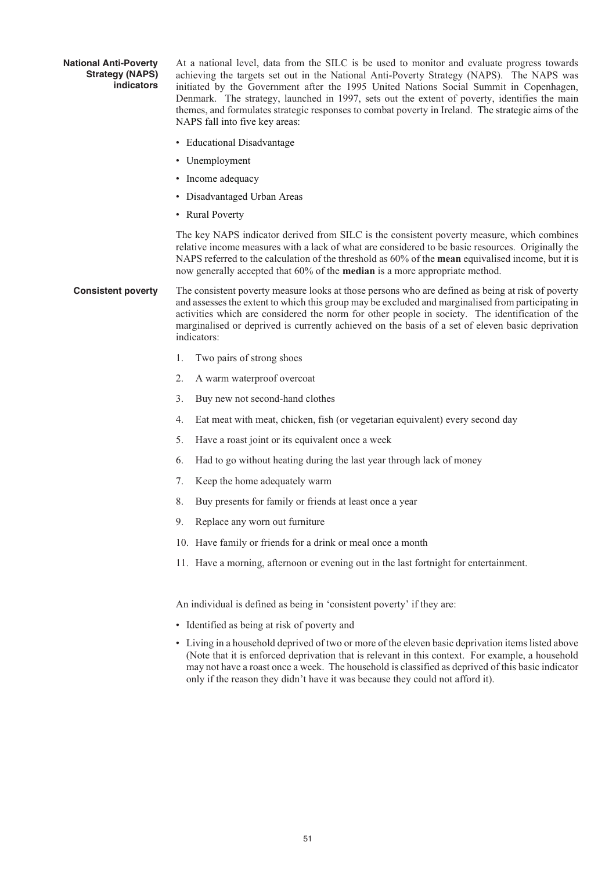#### **National Anti-Poverty Strategy (NAPS) indicators**

At a national level, data from the SILC is be used to monitor and evaluate progress towards achieving the targets set out in the National Anti-Poverty Strategy (NAPS). The NAPS was initiated by the Government after the 1995 United Nations Social Summit in Copenhagen, Denmark. The strategy, launched in 1997, sets out the extent of poverty, identifies the main themes, and formulates strategic responses to combat poverty in Ireland. The strategic aims of the NAPS fall into five key areas:

- Educational Disadvantage
- Unemployment
- Income adequacy
- Disadvantaged Urban Areas
- Rural Poverty

The key NAPS indicator derived from SILC is the consistent poverty measure, which combines relative income measures with a lack of what are considered to be basic resources. Originally the NAPS referred to the calculation of the threshold as 60% of the **mean** equivalised income, but it is now generally accepted that 60% of the **median** is a more appropriate method.

#### **Consistent poverty** The consistent poverty measure looks at those persons who are defined as being at risk of poverty and assesses the extent to which this group may be excluded and marginalised from participating in activities which are considered the norm for other people in society. The identification of the marginalised or deprived is currently achieved on the basis of a set of eleven basic deprivation indicators:

- 1. Two pairs of strong shoes
- 2. A warm waterproof overcoat
- 3. Buy new not second-hand clothes
- 4. Eat meat with meat, chicken, fish (or vegetarian equivalent) every second day
- 5. Have a roast joint or its equivalent once a week
- 6. Had to go without heating during the last year through lack of money
- 7. Keep the home adequately warm
- 8. Buy presents for family or friends at least once a year
- 9. Replace any worn out furniture
- 10. Have family or friends for a drink or meal once a month
- 11. Have a morning, afternoon or evening out in the last fortnight for entertainment.

An individual is defined as being in 'consistent poverty' if they are:

- Identified as being at risk of poverty and
- Living in a household deprived of two or more of the eleven basic deprivation items listed above (Note that it is enforced deprivation that is relevant in this context. For example, a household may not have a roast once a week. The household is classified as deprived of this basic indicator only if the reason they didn't have it was because they could not afford it).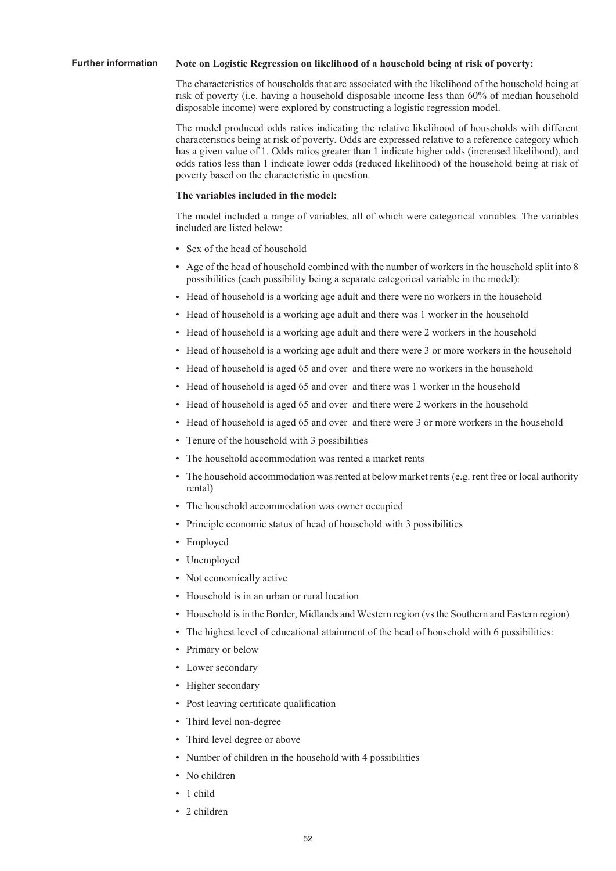#### **Further information Note on Logistic Regression on likelihood of a household being at risk of poverty:**

The characteristics of households that are associated with the likelihood of the household being at risk of poverty (i.e. having a household disposable income less than 60% of median household disposable income) were explored by constructing a logistic regression model.

The model produced odds ratios indicating the relative likelihood of households with different characteristics being at risk of poverty. Odds are expressed relative to a reference category which has a given value of 1. Odds ratios greater than 1 indicate higher odds (increased likelihood), and odds ratios less than 1 indicate lower odds (reduced likelihood) of the household being at risk of poverty based on the characteristic in question.

#### **The variables included in the model:**

The model included a range of variables, all of which were categorical variables. The variables included are listed below:

- Sex of the head of household
- Age of the head of household combined with the number of workers in the household split into 8 possibilities (each possibility being a separate categorical variable in the model):
- Head of household is a working age adult and there were no workers in the household
- Head of household is a working age adult and there was 1 worker in the household
- Head of household is a working age adult and there were 2 workers in the household
- Head of household is a working age adult and there were 3 or more workers in the household
- Head of household is aged 65 and over and there were no workers in the household
- Head of household is aged 65 and over and there was 1 worker in the household
- Head of household is aged 65 and over and there were 2 workers in the household
- Head of household is aged 65 and over and there were 3 or more workers in the household
- Tenure of the household with 3 possibilities
- The household accommodation was rented a market rents
- The household accommodation was rented at below market rents (e.g. rent free or local authority rental)
- The household accommodation was owner occupied
- Principle economic status of head of household with 3 possibilities
- Employed
- Unemployed
- Not economically active
- Household is in an urban or rural location
- Household is in the Border, Midlands and Western region (vs the Southern and Eastern region)
- The highest level of educational attainment of the head of household with 6 possibilities:
- Primary or below
- Lower secondary
- Higher secondary
- Post leaving certificate qualification
- Third level non-degree
- Third level degree or above
- Number of children in the household with 4 possibilities
- No children
- 1 child
- 2 children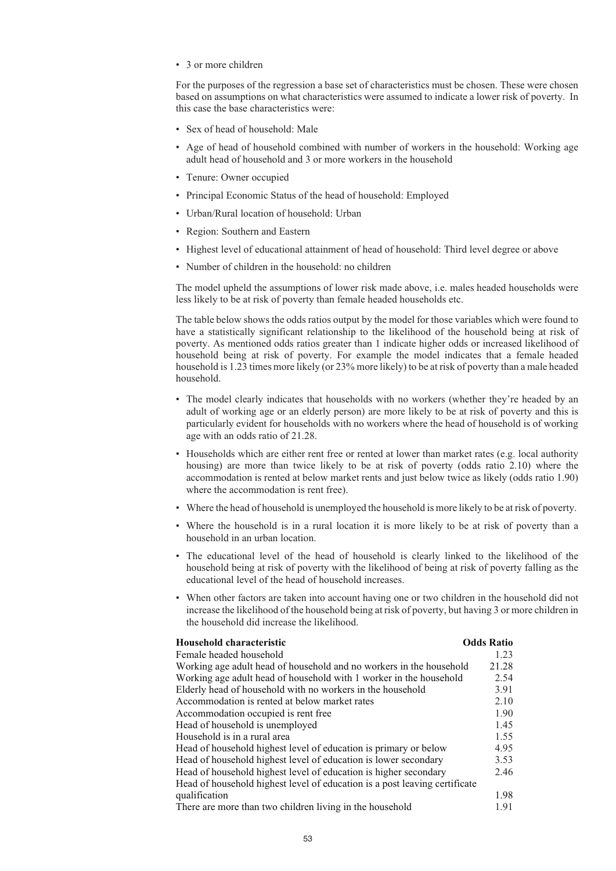• 3 or more children

For the purposes of the regression a base set of characteristics must be chosen. These were chosen based on assumptions on what characteristics were assumed to indicate a lower risk of poverty. In this case the base characteristics were:

- Sex of head of household: Male
- Age of head of household combined with number of workers in the household: Working age adult head of household and 3 or more workers in the household
- Tenure: Owner occupied
- Principal Economic Status of the head of household: Employed
- Urban/Rural location of household: Urban
- Region: Southern and Eastern
- Highest level of educational attainment of head of household: Third level degree or above
- Number of children in the household: no children

The model upheld the assumptions of lower risk made above, i.e. males headed households were less likely to be at risk of poverty than female headed households etc.

The table below shows the odds ratios output by the model for those variables which were found to have a statistically significant relationship to the likelihood of the household being at risk of poverty. As mentioned odds ratios greater than 1 indicate higher odds or increased likelihood of household being at risk of poverty. For example the model indicates that a female headed household is 1.23 times more likely (or 23% more likely) to be at risk of poverty than a male headed household.

- The model clearly indicates that households with no workers (whether they're headed by an adult of working age or an elderly person) are more likely to be at risk of poverty and this is particularly evident for households with no workers where the head of household is of working age with an odds ratio of 21.28.
- Households which are either rent free or rented at lower than market rates (e.g. local authority housing) are more than twice likely to be at risk of poverty (odds ratio 2.10) where the accommodation is rented at below market rents and just below twice as likely (odds ratio 1.90) where the accommodation is rent free).
- Where the head of household is unemployed the household is more likely to be at risk of poverty.
- Where the household is in a rural location it is more likely to be at risk of poverty than a household in an urban location.
- The educational level of the head of household is clearly linked to the likelihood of the household being at risk of poverty with the likelihood of being at risk of poverty falling as the educational level of the head of household increases.
- When other factors are taken into account having one or two children in the household did not increase the likelihood of the household being at risk of poverty, but having 3 or more children in the household did increase the likelihood.

| Household characteristic                                                   | <b>Odds Ratio</b> |
|----------------------------------------------------------------------------|-------------------|
| Female headed household                                                    | 1.23              |
| Working age adult head of household and no workers in the household        | 21.28             |
| Working age adult head of household with 1 worker in the household         | 2.54              |
| Elderly head of household with no workers in the household                 | 3.91              |
| Accommodation is rented at below market rates                              | 2.10              |
| Accommodation occupied is rent free                                        | 1.90              |
| Head of household is unemployed                                            | 1.45              |
| Household is in a rural area                                               | 1.55              |
| Head of household highest level of education is primary or below           | 4.95              |
| Head of household highest level of education is lower secondary            | 3.53              |
| Head of household highest level of education is higher secondary           | 2.46              |
| Head of household highest level of education is a post leaving certificate |                   |
| qualification                                                              | 1.98              |
| There are more than two children living in the household                   | 1.91              |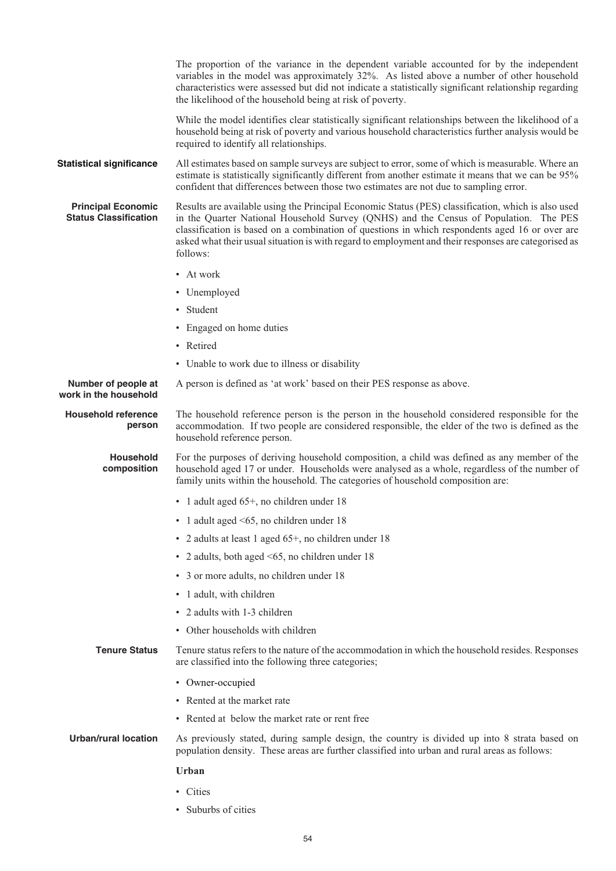|                                                           | The proportion of the variance in the dependent variable accounted for by the independent<br>variables in the model was approximately 32%. As listed above a number of other household<br>characteristics were assessed but did not indicate a statistically significant relationship regarding<br>the likelihood of the household being at risk of poverty.                                                      |
|-----------------------------------------------------------|-------------------------------------------------------------------------------------------------------------------------------------------------------------------------------------------------------------------------------------------------------------------------------------------------------------------------------------------------------------------------------------------------------------------|
|                                                           | While the model identifies clear statistically significant relationships between the likelihood of a<br>household being at risk of poverty and various household characteristics further analysis would be<br>required to identify all relationships.                                                                                                                                                             |
| <b>Statistical significance</b>                           | All estimates based on sample surveys are subject to error, some of which is measurable. Where an<br>estimate is statistically significantly different from another estimate it means that we can be 95%<br>confident that differences between those two estimates are not due to sampling error.                                                                                                                 |
| <b>Principal Economic</b><br><b>Status Classification</b> | Results are available using the Principal Economic Status (PES) classification, which is also used<br>in the Quarter National Household Survey (QNHS) and the Census of Population. The PES<br>classification is based on a combination of questions in which respondents aged 16 or over are<br>asked what their usual situation is with regard to employment and their responses are categorised as<br>follows: |
|                                                           | • At work                                                                                                                                                                                                                                                                                                                                                                                                         |
|                                                           | • Unemployed                                                                                                                                                                                                                                                                                                                                                                                                      |
|                                                           | • Student                                                                                                                                                                                                                                                                                                                                                                                                         |
|                                                           | • Engaged on home duties                                                                                                                                                                                                                                                                                                                                                                                          |
|                                                           | • Retired                                                                                                                                                                                                                                                                                                                                                                                                         |
|                                                           | • Unable to work due to illness or disability                                                                                                                                                                                                                                                                                                                                                                     |
| Number of people at<br>work in the household              | A person is defined as 'at work' based on their PES response as above.                                                                                                                                                                                                                                                                                                                                            |
| <b>Household reference</b><br>person                      | The household reference person is the person in the household considered responsible for the<br>accommodation. If two people are considered responsible, the elder of the two is defined as the<br>household reference person.                                                                                                                                                                                    |
| <b>Household</b><br>composition                           | For the purposes of deriving household composition, a child was defined as any member of the<br>household aged 17 or under. Households were analysed as a whole, regardless of the number of<br>family units within the household. The categories of household composition are:                                                                                                                                   |
|                                                           | • 1 adult aged 65+, no children under 18                                                                                                                                                                                                                                                                                                                                                                          |
|                                                           | • 1 adult aged $\leq 65$ , no children under 18                                                                                                                                                                                                                                                                                                                                                                   |
|                                                           | • 2 adults at least 1 aged 65+, no children under 18                                                                                                                                                                                                                                                                                                                                                              |
|                                                           | • 2 adults, both aged <65, no children under 18                                                                                                                                                                                                                                                                                                                                                                   |
|                                                           | • 3 or more adults, no children under 18                                                                                                                                                                                                                                                                                                                                                                          |
|                                                           | • 1 adult, with children                                                                                                                                                                                                                                                                                                                                                                                          |
|                                                           | • 2 adults with 1-3 children                                                                                                                                                                                                                                                                                                                                                                                      |
|                                                           | • Other households with children                                                                                                                                                                                                                                                                                                                                                                                  |
| <b>Tenure Status</b>                                      | Tenure status refers to the nature of the accommodation in which the household resides. Responses<br>are classified into the following three categories;                                                                                                                                                                                                                                                          |
|                                                           | • Owner-occupied                                                                                                                                                                                                                                                                                                                                                                                                  |
|                                                           | • Rented at the market rate                                                                                                                                                                                                                                                                                                                                                                                       |
|                                                           | • Rented at below the market rate or rent free                                                                                                                                                                                                                                                                                                                                                                    |
| <b>Urban/rural location</b>                               | As previously stated, during sample design, the country is divided up into 8 strata based on<br>population density. These areas are further classified into urban and rural areas as follows:                                                                                                                                                                                                                     |
|                                                           | <b>Urban</b>                                                                                                                                                                                                                                                                                                                                                                                                      |
|                                                           | • Cities                                                                                                                                                                                                                                                                                                                                                                                                          |
|                                                           |                                                                                                                                                                                                                                                                                                                                                                                                                   |

• Suburbs of cities